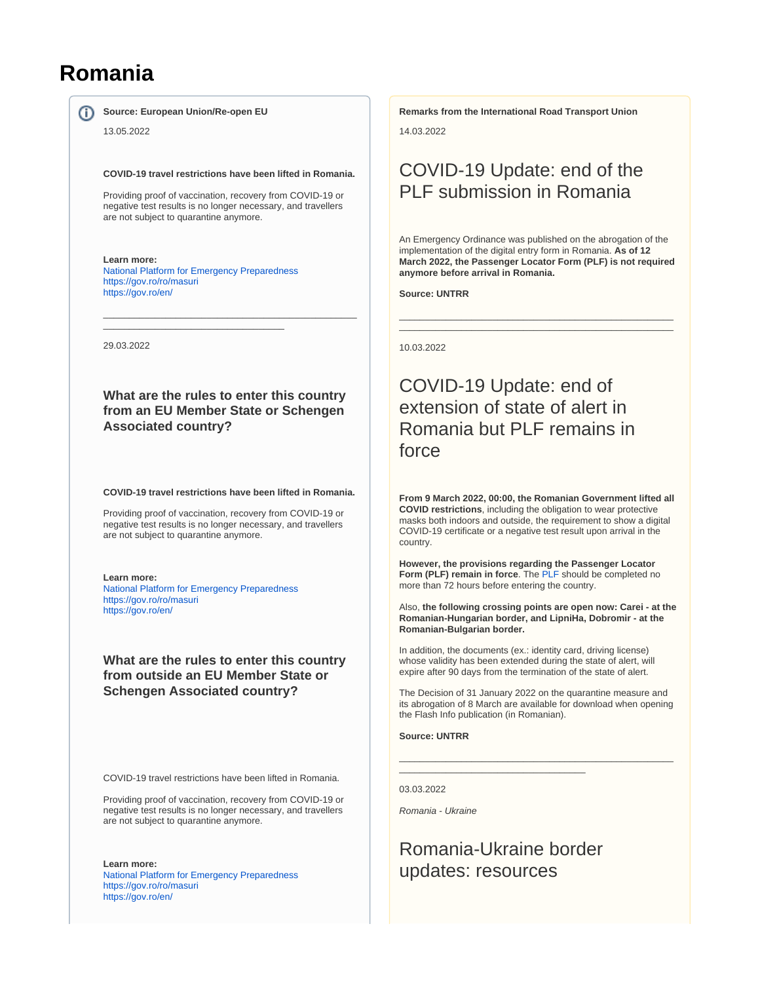# **Romania**

**Source: European Union/Re-open EU** 

13.05.2022

**COVID-19 travel restrictions have been lifted in Romania.** 

Providing proof of vaccination, recovery from COVID-19 or negative test results is no longer necessary, and travellers are not subject to quarantine anymore.

**Learn more:** [National Platform for Emergency Preparedness](https://fiipregatit.ro/sectiune_ghid/conditii-intrare-in-romania/) <https://gov.ro/ro/masuri> <https://gov.ro/en/>

\_\_\_\_\_\_\_\_\_\_\_\_\_\_\_\_\_\_\_\_\_\_\_\_\_\_\_\_\_\_\_\_\_\_\_

29.03.2022

**What are the rules to enter this country from an EU Member State or Schengen Associated country?**

\_\_\_\_\_\_\_\_\_\_\_\_\_\_\_\_\_\_\_\_\_\_\_\_\_\_\_\_\_\_\_\_\_\_\_\_\_\_\_\_\_\_\_\_\_\_\_\_\_

**COVID-19 travel restrictions have been lifted in Romania.** 

Providing proof of vaccination, recovery from COVID-19 or negative test results is no longer necessary, and travellers are not subject to quarantine anymore.

#### **Learn more:**

[National Platform for Emergency Preparedness](https://fiipregatit.ro/sectiune_ghid/conditii-intrare-in-romania/) <https://gov.ro/ro/masuri> <https://gov.ro/en/>

**What are the rules to enter this country from outside an EU Member State or Schengen Associated country?**

COVID-19 travel restrictions have been lifted in Romania.

Providing proof of vaccination, recovery from COVID-19 or negative test results is no longer necessary, and travellers are not subject to quarantine anymore.

**Learn more:** [National Platform for Emergency Preparedness](https://fiipregatit.ro/sectiune_ghid/conditii-intrare-in-romania/) <https://gov.ro/ro/masuri> <https://gov.ro/en/>

**Remarks from the International Road Transport Union**

14.03.2022

# COVID-19 Update: end of the PLF submission in Romania

An Emergency Ordinance was published on the abrogation of the implementation of the digital entry form in Romania. **As of 12 March 2022, the Passenger Locator Form (PLF) is not required anymore before arrival in Romania.**

\_\_\_\_\_\_\_\_\_\_\_\_\_\_\_\_\_\_\_\_\_\_\_\_\_\_\_\_\_\_\_\_\_\_\_\_\_\_\_\_\_\_\_\_\_\_\_\_\_\_\_\_\_ \_\_\_\_\_\_\_\_\_\_\_\_\_\_\_\_\_\_\_\_\_\_\_\_\_\_\_\_\_\_\_\_\_\_\_\_\_\_\_\_\_\_\_\_\_\_\_\_\_\_\_\_\_

**Source: UNTRR**

10.03.2022

## COVID-19 Update: end of extension of state of alert in Romania but PLF remains in force

**From 9 March 2022, 00:00, the Romanian Government lifted all COVID restrictions**, including the obligation to wear protective masks both indoors and outside, the requirement to show a digital COVID-19 certificate or a negative test result upon arrival in the country.

**However, the provisions regarding the Passenger Locator Form (PLF) remain in force**. The [PLF](https://plf.gov.ro/login) should be completed no more than 72 hours before entering the country.

Also, **the following crossing points are open now: Carei - at the Romanian-Hungarian border, and LipniHa, Dobromir - at the Romanian-Bulgarian border.**

In addition, the documents (ex.: identity card, driving license) whose validity has been extended during the state of alert, will expire after 90 days from the termination of the state of alert.

The Decision of 31 January 2022 on the quarantine measure and its abrogation of 8 March are available for download when opening the Flash Info publication (in Romanian).

\_\_\_\_\_\_\_\_\_\_\_\_\_\_\_\_\_\_\_\_\_\_\_\_\_\_\_\_\_\_\_\_\_\_\_\_\_\_\_\_\_\_\_\_\_\_\_\_\_\_\_\_\_

**Source: UNTRR**

03.03.2022

Romania - Ukraine

# Romania-Ukraine border updates: resources

\_\_\_\_\_\_\_\_\_\_\_\_\_\_\_\_\_\_\_\_\_\_\_\_\_\_\_\_\_\_\_\_\_\_\_\_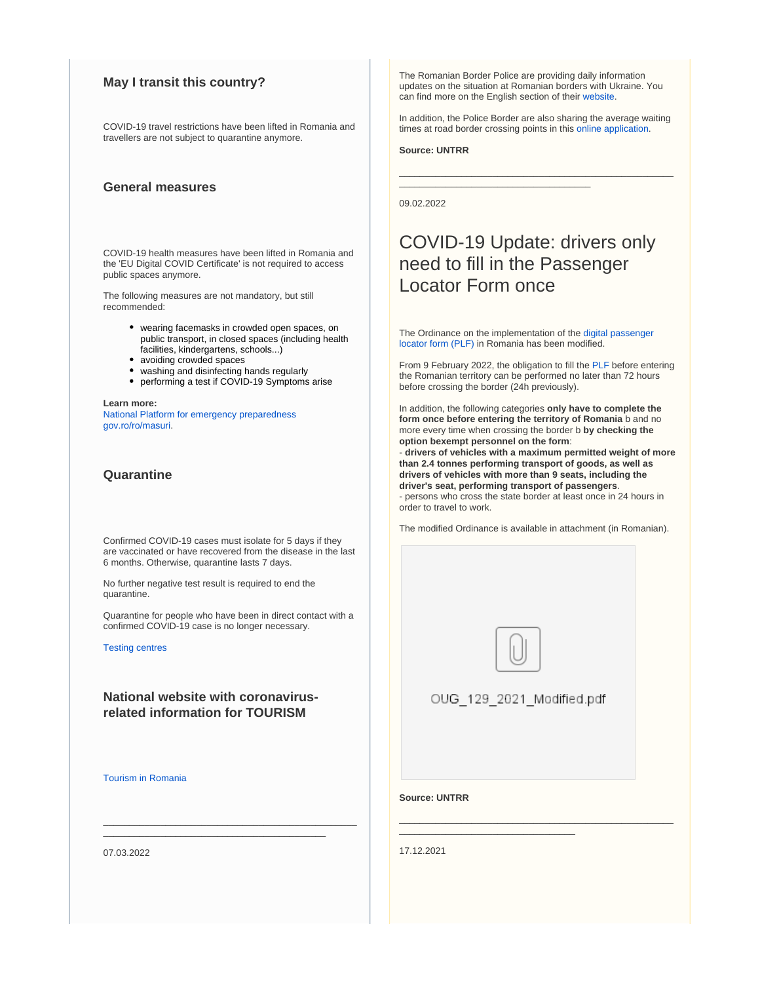## **May I transit this country?**

COVID-19 travel restrictions have been lifted in Romania and travellers are not subject to quarantine anymore.

## **General measures**

COVID-19 health measures have been lifted in Romania and the 'EU Digital COVID Certificate' is not required to access public spaces anymore.

The following measures are not mandatory, but still recommended:

- wearing facemasks in crowded open spaces, on public transport, in closed spaces (including health facilities, kindergartens, schools...)
- avoiding crowded spaces
- washing and disinfecting hands regularly
- performing a test if COVID-19 Symptoms arise

**Learn more:** [National Platform for emergency preparedness](https://fiipregatit.ro/sectiune_ghid/restrictii-covid-si-masuri-de-preventie/) [gov.ro/ro/masuri](https://gov.ro/ro/masuri).

## **Quarantine**

Confirmed COVID-19 cases must isolate for 5 days if they are vaccinated or have recovered from the disease in the last 6 months. Otherwise, quarantine lasts 7 days.

No further negative test result is required to end the quarantine.

Quarantine for people who have been in direct contact with a confirmed COVID-19 case is no longer necessary.

\_\_\_\_\_\_\_\_\_\_\_\_\_\_\_\_\_\_\_\_\_\_\_\_\_\_\_\_\_\_\_\_\_\_\_\_\_\_\_\_\_\_\_\_\_\_\_\_\_ \_\_\_\_\_\_\_\_\_\_\_\_\_\_\_\_\_\_\_\_\_\_\_\_\_\_\_\_\_\_\_\_\_\_\_\_\_\_\_\_\_\_\_

[Testing centres](http://www.ms.ro/centre-testare/)

## **National website with coronavirusrelated information for TOURISM**

[Tourism in Romania](http://romaniatourism.com/)

07.03.2022

The Romanian Border Police are providing daily information updates on the situation at Romanian borders with Ukraine. You can find more on the English section of their [website](https://www.politiadefrontiera.ro/en/main/n-communication-news-and-events-1/).

In addition, the Police Border are also sharing the average waiting times at road border crossing points in this [online application.](https://www.politiadefrontiera.ro/en/traficonline/?vt=2&dt=2)

\_\_\_\_\_\_\_\_\_\_\_\_\_\_\_\_\_\_\_\_\_\_\_\_\_\_\_\_\_\_\_\_\_\_\_\_\_\_\_\_\_\_\_\_\_\_\_\_\_\_\_\_\_

\_\_\_\_\_\_\_\_\_\_\_\_\_\_\_\_\_\_\_\_\_\_\_\_\_\_\_\_\_\_\_\_\_\_\_\_\_

**Source: UNTRR**

09.02.2022

## COVID-19 Update: drivers only need to fill in the Passenger Locator Form once

The Ordinance on the implementation of the [digital passenger](https://plf.gov.ro/)  [locator form \(PLF\)](https://plf.gov.ro/) in Romania has been modified.

From 9 February 2022, the obligation to fill the [PLF](https://plf.gov.ro/) before entering the Romanian territory can be performed no later than 72 hours before crossing the border (24h previously).

In addition, the following categories **only have to complete the form once before entering the territory of Romania** b and no more every time when crossing the border b **by checking the option bexempt personnel on the form**:

- **drivers of vehicles with a maximum permitted weight of more than 2.4 tonnes performing transport of goods, as well as drivers of vehicles with more than 9 seats, including the driver's seat, performing transport of passengers**. - persons who cross the state border at least once in 24 hours in order to travel to work.

The modified Ordinance is available in attachment (in Romanian).



OUG 129 2021 Modified.pdf

\_\_\_\_\_\_\_\_\_\_\_\_\_\_\_\_\_\_\_\_\_\_\_\_\_\_\_\_\_\_\_\_\_\_\_\_\_\_\_\_\_\_\_\_\_\_\_\_\_\_\_\_\_

\_\_\_\_\_\_\_\_\_\_\_\_\_\_\_\_\_\_\_\_\_\_\_\_\_\_\_\_\_\_\_\_\_\_

**Source: UNTRR**

17.12.2021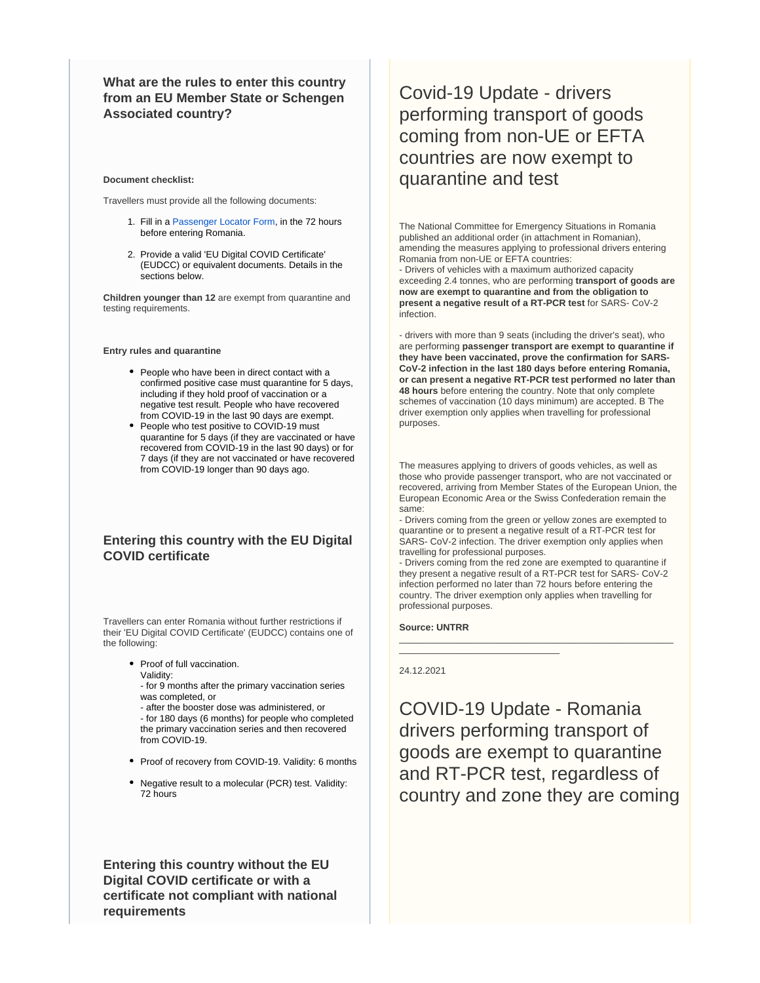**What are the rules to enter this country from an EU Member State or Schengen Associated country?**

#### **Document checklist:**

Travellers must provide all the following documents:

- 1. Fill in a [Passenger Locator Form,](https://plf.gov.ro/) in the 72 hours before entering Romania.
- 2. Provide a valid 'EU Digital COVID Certificate' (EUDCC) or equivalent documents. Details in the sections below.

**Children younger than 12** are exempt from quarantine and testing requirements.

**Entry rules and quarantine**

- People who have been in direct contact with a confirmed positive case must quarantine for 5 days, including if they hold proof of vaccination or a negative test result. People who have recovered from COVID-19 in the last 90 days are exempt.
- People who test positive to COVID-19 must quarantine for 5 days (if they are vaccinated or have recovered from COVID-19 in the last 90 days) or for 7 days (if they are not vaccinated or have recovered from COVID-19 longer than 90 days ago.

## **Entering this country with the EU Digital COVID certificate**

Travellers can enter Romania without further restrictions if their 'EU Digital COVID Certificate' (EUDCC) contains one of the following:

> • Proof of full vaccination. Validity:

- for 9 months after the primary vaccination series was completed, or

- after the booster dose was administered, or - for 180 days (6 months) for people who completed the primary vaccination series and then recovered from COVID-19.

- Proof of recovery from COVID-19. Validity: 6 months
- Negative result to a molecular (PCR) test. Validity: 72 hours

**Entering this country without the EU Digital COVID certificate or with a certificate not compliant with national requirements**

# Covid-19 Update - drivers performing transport of goods coming from non-UE or EFTA countries are now exempt to quarantine and test

The National Committee for Emergency Situations in Romania published an additional order (in attachment in Romanian), amending the measures applying to professional drivers entering Romania from non-UE or EFTA countries: - Drivers of vehicles with a maximum authorized capacity exceeding 2.4 tonnes, who are performing **transport of goods are now are exempt to quarantine and from the obligation to present a negative result of a RT-PCR test** for SARS- CoV-2 infection.

- drivers with more than 9 seats (including the driver's seat), who are performing **passenger transport are exempt to quarantine if they have been vaccinated, prove the confirmation for SARS-CoV-2 infection in the last 180 days before entering Romania, or can present a negative RT-PCR test performed no later than 48 hours** before entering the country. Note that only complete schemes of vaccination (10 days minimum) are accepted. B The driver exemption only applies when travelling for professional purposes.

The measures applying to drivers of goods vehicles, as well as those who provide passenger transport, who are not vaccinated or recovered, arriving from Member States of the European Union, the European Economic Area or the Swiss Confederation remain the same:

- Drivers coming from the green or yellow zones are exempted to quarantine or to present a negative result of a RT-PCR test for SARS- CoV-2 infection. The driver exemption only applies when travelling for professional purposes.

- Drivers coming from the red zone are exempted to quarantine if they present a negative result of a RT-PCR test for SARS- CoV-2 infection performed no later than 72 hours before entering the country. The driver exemption only applies when travelling for professional purposes.

\_\_\_\_\_\_\_\_\_\_\_\_\_\_\_\_\_\_\_\_\_\_\_\_\_\_\_\_\_\_\_\_\_\_\_\_\_\_\_\_\_\_\_\_\_\_\_\_\_\_\_\_\_

**Source: UNTRR**

\_\_\_\_\_\_\_\_\_\_\_\_\_\_\_\_\_\_\_\_\_\_\_\_\_\_\_\_\_\_\_

#### 24.12.2021

COVID-19 Update - Romania drivers performing transport of goods are exempt to quarantine and RT-PCR test, regardless of country and zone they are coming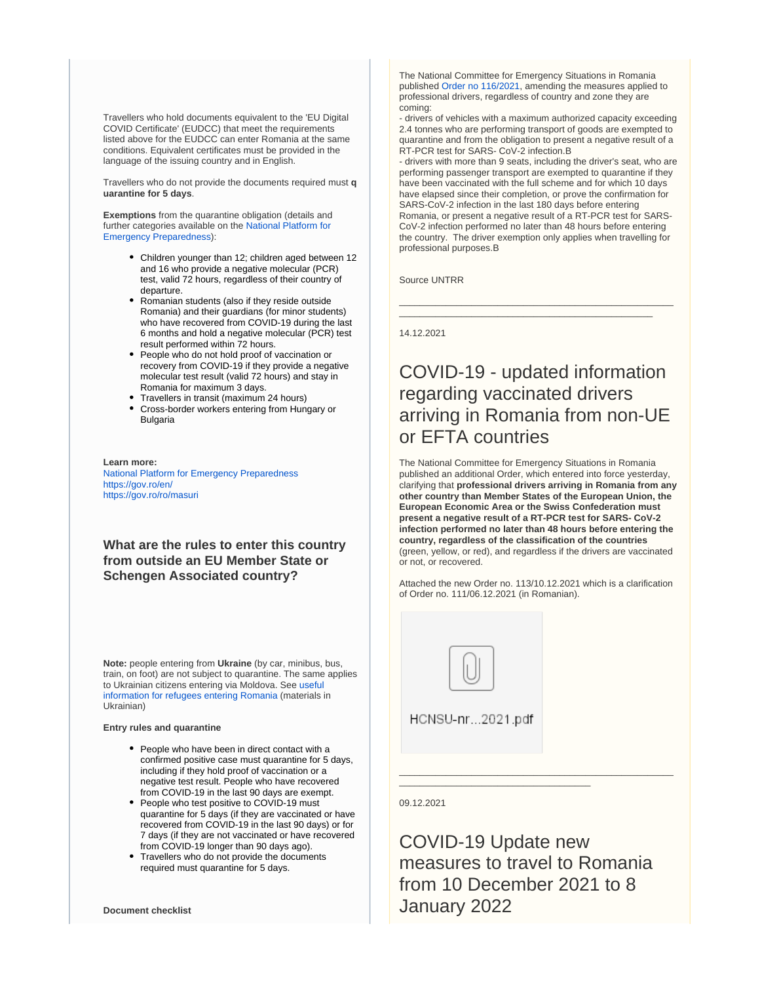Travellers who hold documents equivalent to the 'EU Digital COVID Certificate' (EUDCC) that meet the requirements listed above for the EUDCC can enter Romania at the same conditions. Equivalent certificates must be provided in the language of the issuing country and in English.

Travellers who do not provide the documents required must **q uarantine for 5 days**.

**Exemptions** from the quarantine obligation (details and further categories available on the [National Platform for](https://fiipregatit.ro/sectiune_ghid/conditii-intrare-in-romania/)  [Emergency Preparedness\)](https://fiipregatit.ro/sectiune_ghid/conditii-intrare-in-romania/):

- Children younger than 12; children aged between 12 and 16 who provide a negative molecular (PCR) test, valid 72 hours, regardless of their country of departure.
- Romanian students (also if they reside outside Romania) and their guardians (for minor students) who have recovered from COVID-19 during the last 6 months and hold a negative molecular (PCR) test result performed within 72 hours.
- People who do not hold proof of vaccination or recovery from COVID-19 if they provide a negative molecular test result (valid 72 hours) and stay in Romania for maximum 3 days.
- Travellers in transit (maximum 24 hours)
- Cross-border workers entering from Hungary or Bulgaria

#### **Learn more:** [National Platform for Emergency Preparedness](https://fiipregatit.ro/sectiune_ghid/conditii-intrare-in-romania/) <https://gov.ro/en/> <https://gov.ro/ro/masuri>

**What are the rules to enter this country from outside an EU Member State or Schengen Associated country?**

**Note:** people entering from **Ukraine** (by car, minibus, bus, train, on foot) are not subject to quarantine. The same applies to Ukrainian citizens entering via Moldova. See [useful](https://fiipregatit.ro/ghid/ajutor-umanitar-refugiati/)  [information for refugees entering Romania](https://fiipregatit.ro/ghid/ajutor-umanitar-refugiati/) (materials in Ukrainian)

#### **Entry rules and quarantine**

- People who have been in direct contact with a confirmed positive case must quarantine for 5 days, including if they hold proof of vaccination or a negative test result. People who have recovered from COVID-19 in the last 90 days are exempt.
- People who test positive to COVID-19 must quarantine for 5 days (if they are vaccinated or have recovered from COVID-19 in the last 90 days) or for 7 days (if they are not vaccinated or have recovered from COVID-19 longer than 90 days ago).
- Travellers who do not provide the documents required must quarantine for 5 days.

The National Committee for Emergency Situations in Romania published [Order no 116/2021,](https://www.untrr.ro/userfiles/files/HCNSU_nr.116_din_23.12.2021-1.pdf#.YcWeRVn8tPZ) amending the measures applied to professional drivers, regardless of country and zone they are coming:

- drivers of vehicles with a maximum authorized capacity exceeding 2.4 tonnes who are performing transport of goods are exempted to quarantine and from the obligation to present a negative result of a RT-PCR test for SARS- CoV-2 infection.B

- drivers with more than 9 seats, including the driver's seat, who are performing passenger transport are exempted to quarantine if they have been vaccinated with the full scheme and for which 10 days have elapsed since their completion, or prove the confirmation for SARS-CoV-2 infection in the last 180 days before entering Romania, or present a negative result of a RT-PCR test for SARS-CoV-2 infection performed no later than 48 hours before entering the country. The driver exemption only applies when travelling for professional purposes.B

\_\_\_\_\_\_\_\_\_\_\_\_\_\_\_\_\_\_\_\_\_\_\_\_\_\_\_\_\_\_\_\_\_\_\_\_\_\_\_\_\_\_\_\_\_\_\_\_\_\_\_\_\_ \_\_\_\_\_\_\_\_\_\_\_\_\_\_\_\_\_\_\_\_\_\_\_\_\_\_\_\_\_\_\_\_\_\_\_\_\_\_\_\_\_\_\_\_\_\_\_\_\_

Source UNTRR

14.12.2021

## COVID-19 - updated information regarding vaccinated drivers arriving in Romania from non-UE or EFTA countries

The National Committee for Emergency Situations in Romania published an additional Order, which entered into force yesterday, clarifying that **professional drivers arriving in Romania from any other country than Member States of the European Union, the European Economic Area or the Swiss Confederation must present a negative result of a RT-PCR test for SARS- CoV-2 infection performed no later than 48 hours before entering the country, regardless of the classification of the countries** (green, yellow, or red), and regardless if the drivers are vaccinated or not, or recovered.

Attached the new Order no. 113/10.12.2021 which is a clarification of Order no. 111/06.12.2021 (in Romanian).



\_\_\_\_\_\_\_\_\_\_\_\_\_\_\_\_\_\_\_\_\_\_\_\_\_\_\_\_\_\_\_\_\_\_\_\_\_

#### 09.12.2021

COVID-19 Update new measures to travel to Romania from 10 December 2021 to 8 January 2022

\_\_\_\_\_\_\_\_\_\_\_\_\_\_\_\_\_\_\_\_\_\_\_\_\_\_\_\_\_\_\_\_\_\_\_\_\_\_\_\_\_\_\_\_\_\_\_\_\_\_\_\_\_

**Document checklist**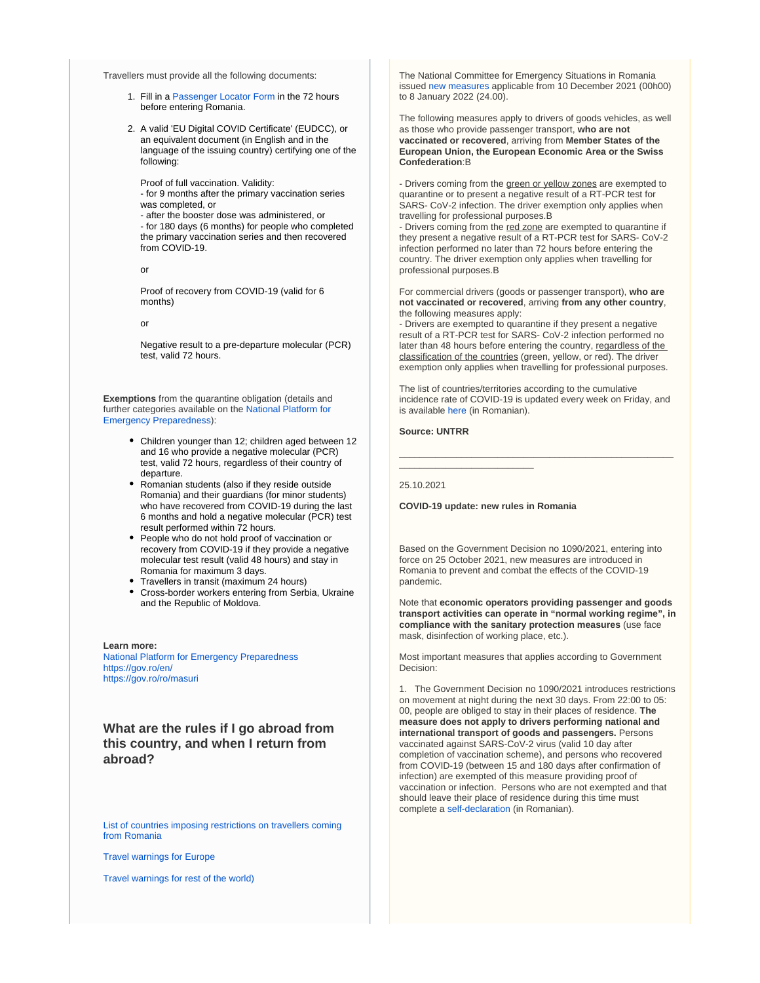Travellers must provide all the following documents:

- 1. Fill in a [Passenger Locator Form](https://plf.gov.ro/) in the 72 hours before entering Romania.
- 2. A valid 'EU Digital COVID Certificate' (EUDCC), or an equivalent document (in English and in the language of the issuing country) certifying one of the following:

Proof of full vaccination. Validity:

- for 9 months after the primary vaccination series was completed, or

- after the booster dose was administered, or - for 180 days (6 months) for people who completed the primary vaccination series and then recovered from COVID-19.

or

Proof of recovery from COVID-19 (valid for 6 months)

or

Negative result to a pre-departure molecular (PCR) test, valid 72 hours.

**Exemptions** from the quarantine obligation (details and further categories available on the [National Platform for](https://fiipregatit.ro/sectiune_ghid/conditii-intrare-in-romania/)  [Emergency Preparedness\)](https://fiipregatit.ro/sectiune_ghid/conditii-intrare-in-romania/):

- Children younger than 12; children aged between 12 and 16 who provide a negative molecular (PCR) test, valid 72 hours, regardless of their country of departure.
- Romanian students (also if they reside outside Romania) and their guardians (for minor students) who have recovered from COVID-19 during the last 6 months and hold a negative molecular (PCR) test result performed within 72 hours.
- People who do not hold proof of vaccination or recovery from COVID-19 if they provide a negative molecular test result (valid 48 hours) and stay in Romania for maximum 3 days.
- Travellers in transit (maximum 24 hours)
- Cross-border workers entering from Serbia, Ukraine and the Republic of Moldova.

**Learn more:** [National Platform for Emergency Preparedness](https://fiipregatit.ro/sectiune_ghid/conditii-intrare-in-romania/) <https://gov.ro/en/> <https://gov.ro/ro/masuri>

**What are the rules if I go abroad from this country, and when I return from abroad?**

[List of countries imposing restrictions on travellers coming](http://www.mae.ro/node/51759)  [from Romania](http://www.mae.ro/node/51759)

[Travel warnings for Europe](http://www.mae.ro/node/51880)

[Travel warnings for rest of the world\)](http://www.mae.ro/node/51982)

The National Committee for Emergency Situations in Romania issued [new measures](https://www.untrr.ro/userfiles/files/HCNSU-nr-111-din-06-12-2021%281%29.pdf#.YbISz1n8tPY) applicable from 10 December 2021 (00h00) to 8 January 2022 (24.00).

The following measures apply to drivers of goods vehicles, as well as those who provide passenger transport, **who are not vaccinated or recovered**, arriving from **Member States of the European Union, the European Economic Area or the Swiss Confederation**:B

- Drivers coming from the green or yellow zones are exempted to quarantine or to present a negative result of a RT-PCR test for SARS- CoV-2 infection. The driver exemption only applies when travelling for professional purposes.B

- Drivers coming from the red zone are exempted to quarantine if they present a negative result of a RT-PCR test for SARS- CoV-2 infection performed no later than 72 hours before entering the country. The driver exemption only applies when travelling for professional purposes.B

For commercial drivers (goods or passenger transport), **who are not vaccinated or recovered**, arriving **from any other country**, the following measures apply:

- Drivers are exempted to quarantine if they present a negative result of a RT-PCR test for SARS- CoV-2 infection performed no later than 48 hours before entering the country, regardless of the classification of the countries (green, yellow, or red). The driver exemption only applies when travelling for professional purposes.

The list of countries/territories according to the cumulative incidence rate of COVID-19 is updated every week on Friday, and is available [here](http://www.cnscbt.ro/index.php/liste-zone-afectate-covid-19) (in Romanian).

\_\_\_\_\_\_\_\_\_\_\_\_\_\_\_\_\_\_\_\_\_\_\_\_\_\_\_\_\_\_\_\_\_\_\_\_\_\_\_\_\_\_\_\_\_\_\_\_\_\_\_\_\_

#### **Source: UNTRR**

25.10.2021

**COVID-19 update: new rules in Romania**

\_\_\_\_\_\_\_\_\_\_\_\_\_\_\_\_\_\_\_\_\_\_\_\_\_\_

Based on the Government Decision no 1090/2021, entering into force on 25 October 2021, new measures are introduced in Romania to prevent and combat the effects of the COVID-19 pandemic.

Note that **economic operators providing passenger and goods transport activities can operate in "normal working regime", in compliance with the sanitary protection measures** (use face mask, disinfection of working place, etc.).

Most important measures that applies according to Government Decision:

1. The Government Decision no 1090/2021 introduces restrictions on movement at night during the next 30 days. From 22:00 to 05: 00, people are obliged to stay in their places of residence. **The measure does not apply to drivers performing national and international transport of goods and passengers.** Persons vaccinated against SARS-CoV-2 virus (valid 10 day after completion of vaccination scheme), and persons who recovered from COVID-19 (between 15 and 180 days after confirmation of infection) are exempted of this measure providing proof of vaccination or infection. Persons who are not exempted and that should leave their place of residence during this time must complete a [self-declaration](https://formular.sts.ro/) (in Romanian).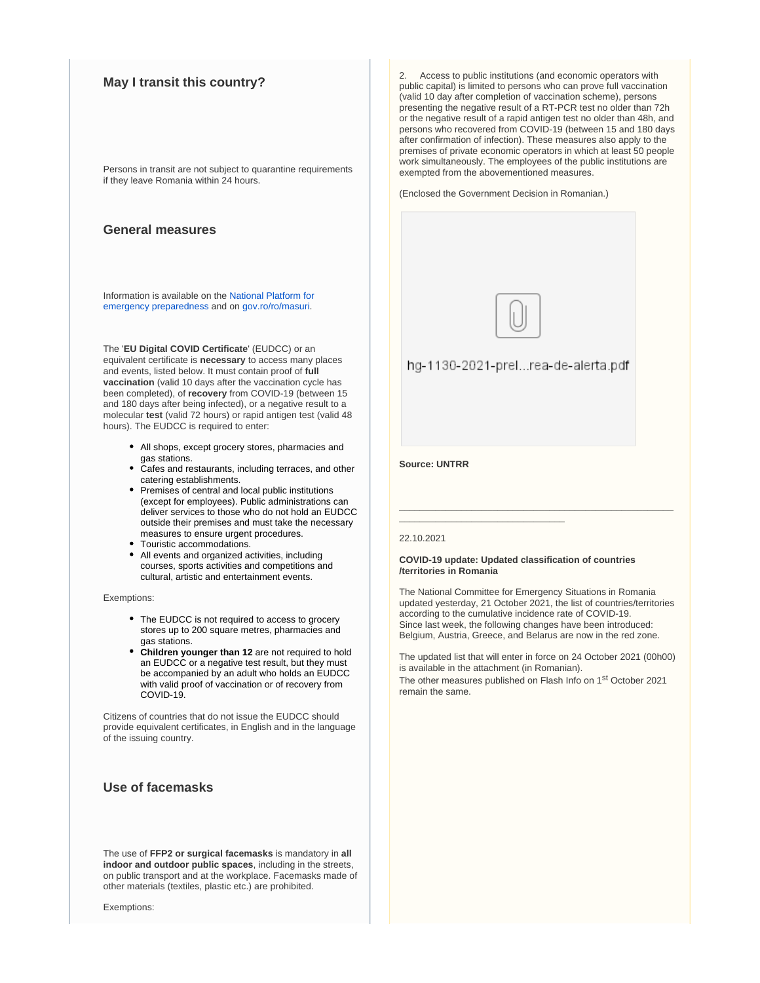## **May I transit this country?**

Persons in transit are not subject to quarantine requirements if they leave Romania within 24 hours.

## **General measures**

Information is available on the [National Platform for](https://fiipregatit.ro/sectiune_ghid/restrictii-covid-si-masuri-de-preventie/)  [emergency preparedness](https://fiipregatit.ro/sectiune_ghid/restrictii-covid-si-masuri-de-preventie/) and on [gov.ro/ro/masuri.](https://gov.ro/ro/masuri)

The '**EU Digital COVID Certificate**' (EUDCC) or an equivalent certificate is **necessary** to access many places and events, listed below. It must contain proof of **full vaccination** (valid 10 days after the vaccination cycle has been completed), of **recovery** from COVID-19 (between 15 and 180 days after being infected), or a negative result to a molecular **test** (valid 72 hours) or rapid antigen test (valid 48 hours). The EUDCC is required to enter:

- All shops, except grocery stores, pharmacies and gas stations.
- Cafes and restaurants, including terraces, and other catering establishments.
- Premises of central and local public institutions (except for employees). Public administrations can deliver services to those who do not hold an EUDCC outside their premises and must take the necessary measures to ensure urgent procedures.
- Touristic accommodations.
- All events and organized activities, including courses, sports activities and competitions and cultural, artistic and entertainment events.

Exemptions:

- The EUDCC is not required to access to grocery stores up to 200 square metres, pharmacies and gas stations.
- **Children younger than 12** are not required to hold an EUDCC or a negative test result, but they must be accompanied by an adult who holds an EUDCC with valid proof of vaccination or of recovery from COVID-19.

Citizens of countries that do not issue the EUDCC should provide equivalent certificates, in English and in the language of the issuing country.

## **Use of facemasks**

The use of **FFP2 or surgical facemasks** is mandatory in **all indoor and outdoor public spaces**, including in the streets, on public transport and at the workplace. Facemasks made of other materials (textiles, plastic etc.) are prohibited.

Exemptions:

2. Access to public institutions (and economic operators with public capital) is limited to persons who can prove full vaccination (valid 10 day after completion of vaccination scheme), persons presenting the negative result of a RT-PCR test no older than 72h or the negative result of a rapid antigen test no older than 48h, and persons who recovered from COVID-19 (between 15 and 180 days after confirmation of infection). These measures also apply to the premises of private economic operators in which at least 50 people work simultaneously. The employees of the public institutions are exempted from the abovementioned measures.

(Enclosed the Government Decision in Romanian.)



hg-1130-2021-prel...rea-de-alerta.pdf

#### **Source: UNTRR**

#### 22.10.2021

#### **COVID-19 update: Updated classification of countries /territories in Romania**

\_\_\_\_\_\_\_\_\_\_\_\_\_\_\_\_\_\_\_\_\_\_\_\_\_\_\_\_\_\_\_\_

The National Committee for Emergency Situations in Romania updated yesterday, 21 October 2021, the list of countries/territories according to the cumulative incidence rate of COVID-19. Since last week, the following changes have been introduced: Belgium, Austria, Greece, and Belarus are now in the red zone.

\_\_\_\_\_\_\_\_\_\_\_\_\_\_\_\_\_\_\_\_\_\_\_\_\_\_\_\_\_\_\_\_\_\_\_\_\_\_\_\_\_\_\_\_\_\_\_\_\_\_\_\_\_

The updated list that will enter in force on 24 October 2021 (00h00) is available in the attachment (in Romanian). The other measures published on Flash Info on 1st October 2021

remain the same.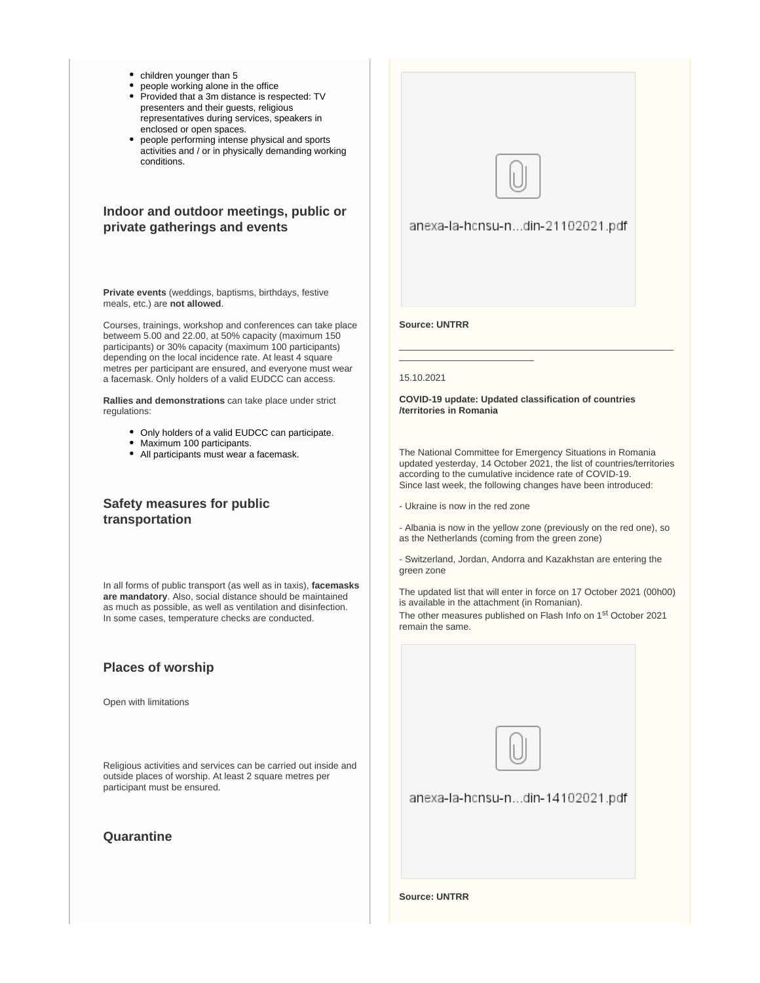- children younger than 5
- people working alone in the office
- Provided that a 3m distance is respected: TV presenters and their guests, religious representatives during services, speakers in enclosed or open spaces.
- people performing intense physical and sports activities and / or in physically demanding working conditions.

## **Indoor and outdoor meetings, public or private gatherings and events**

**Private events** (weddings, baptisms, birthdays, festive meals, etc.) are **not allowed**.

Courses, trainings, workshop and conferences can take place betweem 5.00 and 22.00, at 50% capacity (maximum 150 participants) or 30% capacity (maximum 100 participants) depending on the local incidence rate. At least 4 square metres per participant are ensured, and everyone must wear a facemask. Only holders of a valid EUDCC can access.

**Rallies and demonstrations** can take place under strict regulations:

- Only holders of a valid EUDCC can participate.
- Maximum 100 participants.
- All participants must wear a facemask.

## **Safety measures for public transportation**

In all forms of public transport (as well as in taxis), **facemasks are mandatory**. Also, social distance should be maintained as much as possible, as well as ventilation and disinfection. In some cases, temperature checks are conducted.

## **Places of worship**

Open with limitations

Religious activities and services can be carried out inside and outside places of worship. At least 2 square metres per participant must be ensured.

## **Quarantine**





anexa-la-hcnsu-n...din-14102021.pdf

**Source: UNTRR**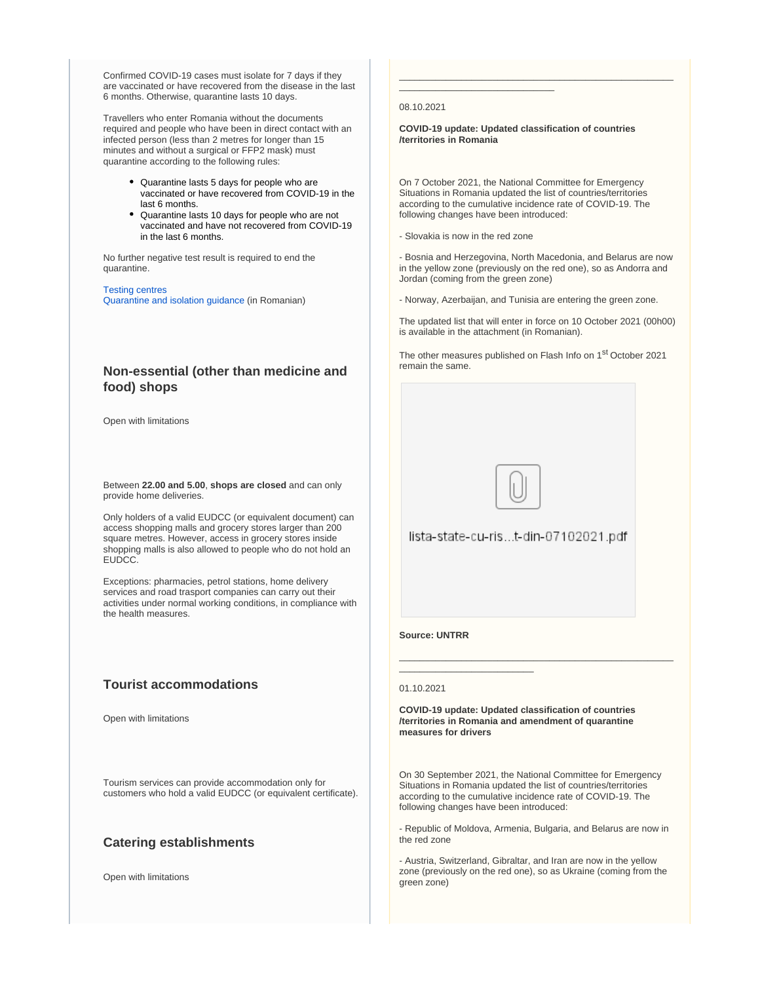Confirmed COVID-19 cases must isolate for 7 days if they are vaccinated or have recovered from the disease in the last 6 months. Otherwise, quarantine lasts 10 days.

Travellers who enter Romania without the documents required and people who have been in direct contact with an infected person (less than 2 metres for longer than 15 minutes and without a surgical or FFP2 mask) must quarantine according to the following rules:

- Quarantine lasts 5 days for people who are vaccinated or have recovered from COVID-19 in the last 6 months.
- Quarantine lasts 10 days for people who are not vaccinated and have not recovered from COVID-19 in the last 6 months.

No further negative test result is required to end the quarantine.

[Testing centres](http://www.ms.ro/centre-testare/) [Quarantine and isolation guidance](https://fiipregatit.ro/ghid/covid19-simptome/) (in Romanian)

## **Non-essential (other than medicine and food) shops**

Open with limitations

Between **22.00 and 5.00**, **shops are closed** and can only provide home deliveries.

Only holders of a valid EUDCC (or equivalent document) can access shopping malls and grocery stores larger than 200 square metres. However, access in grocery stores inside shopping malls is also allowed to people who do not hold an EUDCC.

Exceptions: pharmacies, petrol stations, home delivery services and road trasport companies can carry out their activities under normal working conditions, in compliance with the health measures.

## **Tourist accommodations**

Open with limitations

Tourism services can provide accommodation only for customers who hold a valid EUDCC (or equivalent certificate).

## **Catering establishments**

Open with limitations

#### 08.10.2021

**COVID-19 update: Updated classification of countries /territories in Romania**

\_\_\_\_\_\_\_\_\_\_\_\_\_\_\_\_\_\_\_\_\_\_\_\_\_\_\_\_\_\_\_\_\_\_\_\_\_\_\_\_\_\_\_\_\_\_\_\_\_\_\_\_\_

On 7 October 2021, the National Committee for Emergency Situations in Romania updated the list of countries/territories according to the cumulative incidence rate of COVID-19. The following changes have been introduced:

- Slovakia is now in the red zone

\_\_\_\_\_\_\_\_\_\_\_\_\_\_\_\_\_\_\_\_\_\_\_\_\_\_\_\_\_\_

- Bosnia and Herzegovina, North Macedonia, and Belarus are now in the yellow zone (previously on the red one), so as Andorra and Jordan (coming from the green zone)

- Norway, Azerbaijan, and Tunisia are entering the green zone.

The updated list that will enter in force on 10 October 2021 (00h00) is available in the attachment (in Romanian).

The other measures published on Flash Info on 1<sup>st</sup> October 2021 remain the same.



lista-state-cu-ris...t-din-07102021.pdf

#### **Source: UNTRR**

#### 01.10.2021

**COVID-19 update: Updated classification of countries /territories in Romania and amendment of quarantine measures for drivers**

\_\_\_\_\_\_\_\_\_\_\_\_\_\_\_\_\_\_\_\_\_\_\_\_\_\_\_\_\_\_\_\_\_\_\_\_\_\_\_\_\_\_\_\_\_\_\_\_\_\_\_\_\_

On 30 September 2021, the National Committee for Emergency Situations in Romania updated the list of countries/territories according to the cumulative incidence rate of COVID-19. The following changes have been introduced:

- Republic of Moldova, Armenia, Bulgaria, and Belarus are now in the red zone

- Austria, Switzerland, Gibraltar, and Iran are now in the yellow zone (previously on the red one), so as Ukraine (coming from the green zone)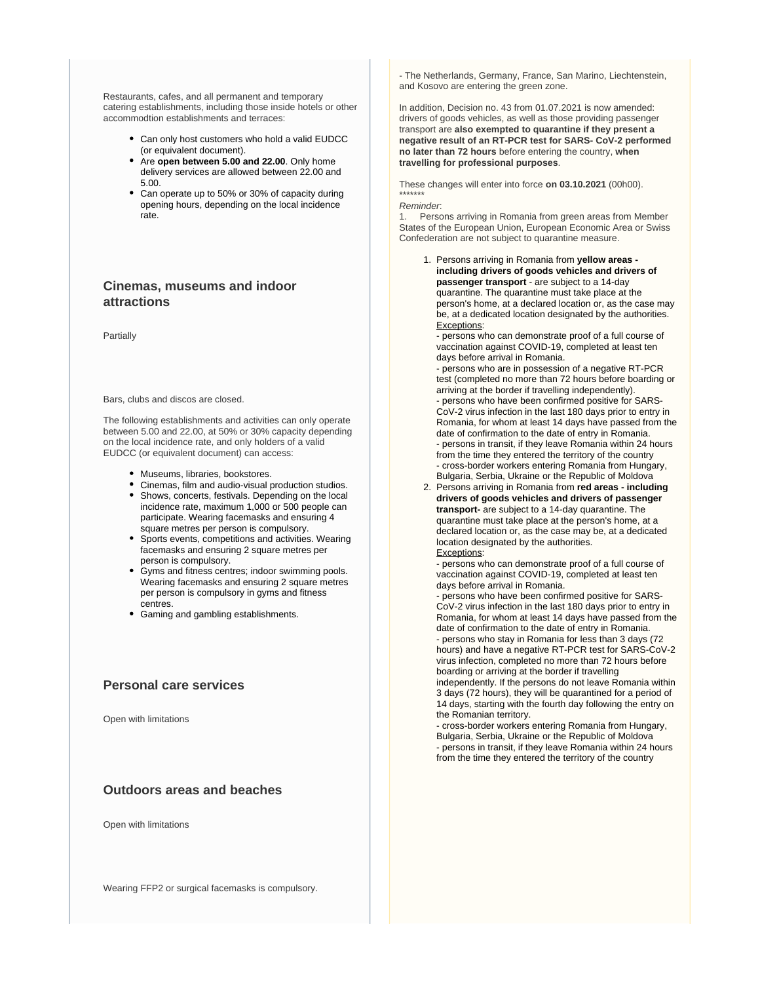Restaurants, cafes, and all permanent and temporary catering establishments, including those inside hotels or other accommodtion establishments and terraces:

- Can only host customers who hold a valid EUDCC (or equivalent document).
- Are **open between 5.00 and 22.00**. Only home delivery services are allowed between 22.00 and 5.00.
- Can operate up to 50% or 30% of capacity during opening hours, depending on the local incidence rate.

## **Cinemas, museums and indoor attractions**

Partially

Bars, clubs and discos are closed.

The following establishments and activities can only operate between 5.00 and 22.00, at 50% or 30% capacity depending on the local incidence rate, and only holders of a valid EUDCC (or equivalent document) can access:

- Museums, libraries, bookstores.
- Cinemas, film and audio-visual production studios.
- Shows, concerts, festivals. Depending on the local incidence rate, maximum 1,000 or 500 people can participate. Wearing facemasks and ensuring 4 square metres per person is compulsory.
- Sports events, competitions and activities. Wearing facemasks and ensuring 2 square metres per person is compulsory.
- Gyms and fitness centres; indoor swimming pools. Wearing facemasks and ensuring 2 square metres per person is compulsory in gyms and fitness centres.
- Gaming and gambling establishments.

## **Personal care services**

Open with limitations

## **Outdoors areas and beaches**

Open with limitations

Wearing FFP2 or surgical facemasks is compulsory.

- The Netherlands, Germany, France, San Marino, Liechtenstein, and Kosovo are entering the green zone.

In addition, Decision no. 43 from 01.07.2021 is now amended: drivers of goods vehicles, as well as those providing passenger transport are **also exempted to quarantine if they present a negative result of an RT-PCR test for SARS- CoV-2 performed no later than 72 hours** before entering the country, **when travelling for professional purposes**.

These changes will enter into force **on 03.10.2021** (00h00). \*\*\*\*\*\*\*

#### Reminder:

1. Persons arriving in Romania from green areas from Member States of the European Union, European Economic Area or Swiss Confederation are not subject to quarantine measure.

1. Persons arriving in Romania from **yellow areas including drivers of goods vehicles and drivers of passenger transport** - are subject to a 14-day quarantine. The quarantine must take place at the person's home, at a declared location or, as the case may be, at a dedicated location designated by the authorities. Exceptions:

- persons who can demonstrate proof of a full course of vaccination against COVID-19, completed at least ten days before arrival in Romania.

- persons who are in possession of a negative RT-PCR test (completed no more than 72 hours before boarding or arriving at the border if travelling independently).

- persons who have been confirmed positive for SARS-CoV-2 virus infection in the last 180 days prior to entry in Romania, for whom at least 14 days have passed from the date of confirmation to the date of entry in Romania. - persons in transit, if they leave Romania within 24 hours from the time they entered the territory of the country - cross-border workers entering Romania from Hungary, Bulgaria, Serbia, Ukraine or the Republic of Moldova

2. Persons arriving in Romania from **red areas - including drivers of goods vehicles and drivers of passenger transport-** are subject to a 14-day quarantine. The quarantine must take place at the person's home, at a declared location or, as the case may be, at a dedicated location designated by the authorities. Exceptions:

- persons who can demonstrate proof of a full course of vaccination against COVID-19, completed at least ten days before arrival in Romania.

- persons who have been confirmed positive for SARS-CoV-2 virus infection in the last 180 days prior to entry in Romania, for whom at least 14 days have passed from the date of confirmation to the date of entry in Romania. - persons who stay in Romania for less than 3 days (72 hours) and have a negative RT-PCR test for SARS-CoV-2

virus infection, completed no more than 72 hours before boarding or arriving at the border if travelling independently. If the persons do not leave Romania within

3 days (72 hours), they will be quarantined for a period of 14 days, starting with the fourth day following the entry on the Romanian territory.

- cross-border workers entering Romania from Hungary, Bulgaria, Serbia, Ukraine or the Republic of Moldova - persons in transit, if they leave Romania within 24 hours from the time they entered the territory of the country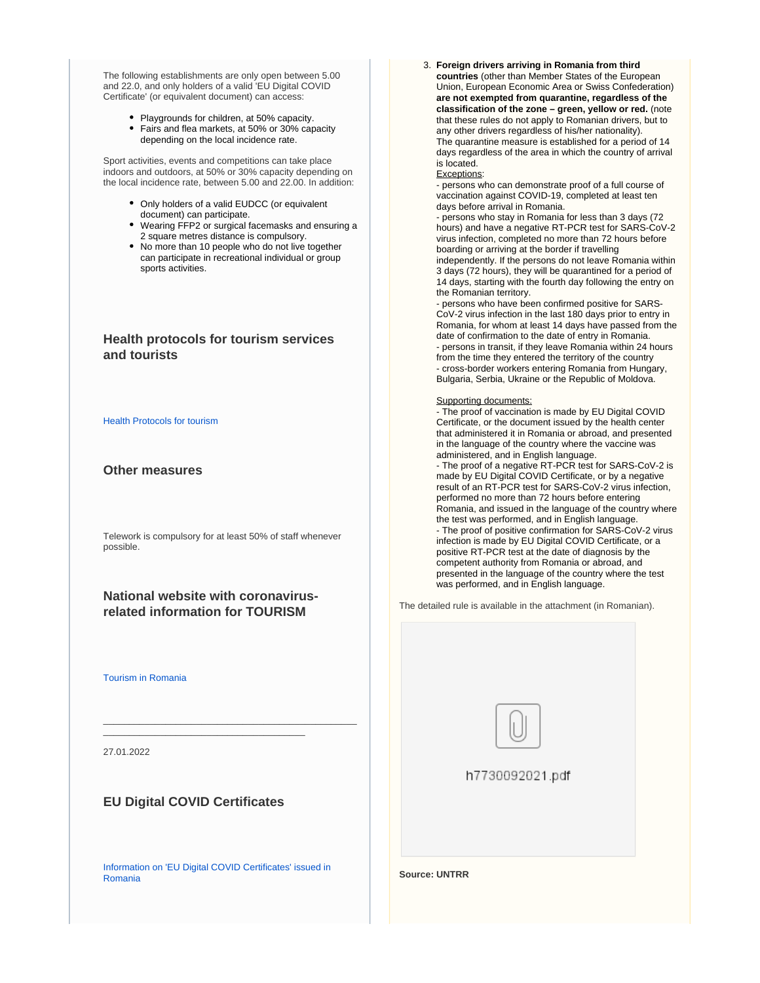The following establishments are only open between 5.00 and 22.0, and only holders of a valid 'EU Digital COVID Certificate' (or equivalent document) can access:

- Playgrounds for children, at 50% capacity.
- Fairs and flea markets, at 50% or 30% capacity depending on the local incidence rate.

Sport activities, events and competitions can take place indoors and outdoors, at 50% or 30% capacity depending on the local incidence rate, between 5.00 and 22.00. In addition:

- Only holders of a valid EUDCC (or equivalent document) can participate.
- Wearing FFP2 or surgical facemasks and ensuring a 2 square metres distance is compulsory.
- No more than 10 people who do not live together can participate in recreational individual or group sports activities.

## **Health protocols for tourism services and tourists**

#### [Health Protocols for tourism](https://www.cnscbt.ro/)

## **Other measures**

Telework is compulsory for at least 50% of staff whenever possible.

## **National website with coronavirusrelated information for TOURISM**

\_\_\_\_\_\_\_\_\_\_\_\_\_\_\_\_\_\_\_\_\_\_\_\_\_\_\_\_\_\_\_\_\_\_\_\_\_\_\_\_\_\_\_\_\_\_\_\_\_

[Tourism in Romania](http://romaniatourism.com/)

27.01.2022

## **EU Digital COVID Certificates**

\_\_\_\_\_\_\_\_\_\_\_\_\_\_\_\_\_\_\_\_\_\_\_\_\_\_\_\_\_\_\_\_\_\_\_\_\_\_\_

[Information on 'EU Digital COVID Certificates' issued in](https://vaccinare-covid.gov.ro/certificat-verde-electronic/)  [Romania](https://vaccinare-covid.gov.ro/certificat-verde-electronic/)

3. **Foreign drivers arriving in Romania from third countries** (other than Member States of the European Union, European Economic Area or Swiss Confederation) **are not exempted from quarantine, regardless of the classification of the zone – green, yellow or red.** (note that these rules do not apply to Romanian drivers, but to any other drivers regardless of his/her nationality). The quarantine measure is established for a period of 14 days regardless of the area in which the country of arrival is located.

#### Exceptions:

- persons who can demonstrate proof of a full course of vaccination against COVID-19, completed at least ten days before arrival in Romania.

- persons who stay in Romania for less than 3 days (72 hours) and have a negative RT-PCR test for SARS-CoV-2 virus infection, completed no more than 72 hours before boarding or arriving at the border if travelling independently. If the persons do not leave Romania within 3 days (72 hours), they will be quarantined for a period of 14 days, starting with the fourth day following the entry on the Romanian territory.

- persons who have been confirmed positive for SARS-CoV-2 virus infection in the last 180 days prior to entry in Romania, for whom at least 14 days have passed from the date of confirmation to the date of entry in Romania. - persons in transit, if they leave Romania within 24 hours from the time they entered the territory of the country - cross-border workers entering Romania from Hungary, Bulgaria, Serbia, Ukraine or the Republic of Moldova.

#### Supporting documents:

- The proof of vaccination is made by EU Digital COVID Certificate, or the document issued by the health center that administered it in Romania or abroad, and presented in the language of the country where the vaccine was administered, and in English language.

- The proof of a negative RT-PCR test for SARS-CoV-2 is made by EU Digital COVID Certificate, or by a negative result of an RT-PCR test for SARS-CoV-2 virus infection, performed no more than 72 hours before entering Romania, and issued in the language of the country where the test was performed, and in English language. - The proof of positive confirmation for SARS-CoV-2 virus infection is made by EU Digital COVID Certificate, or a positive RT-PCR test at the date of diagnosis by the competent authority from Romania or abroad, and presented in the language of the country where the test was performed, and in English language.

The detailed rule is available in the attachment (in Romanian).



h7730092021.pdf

**Source: UNTRR**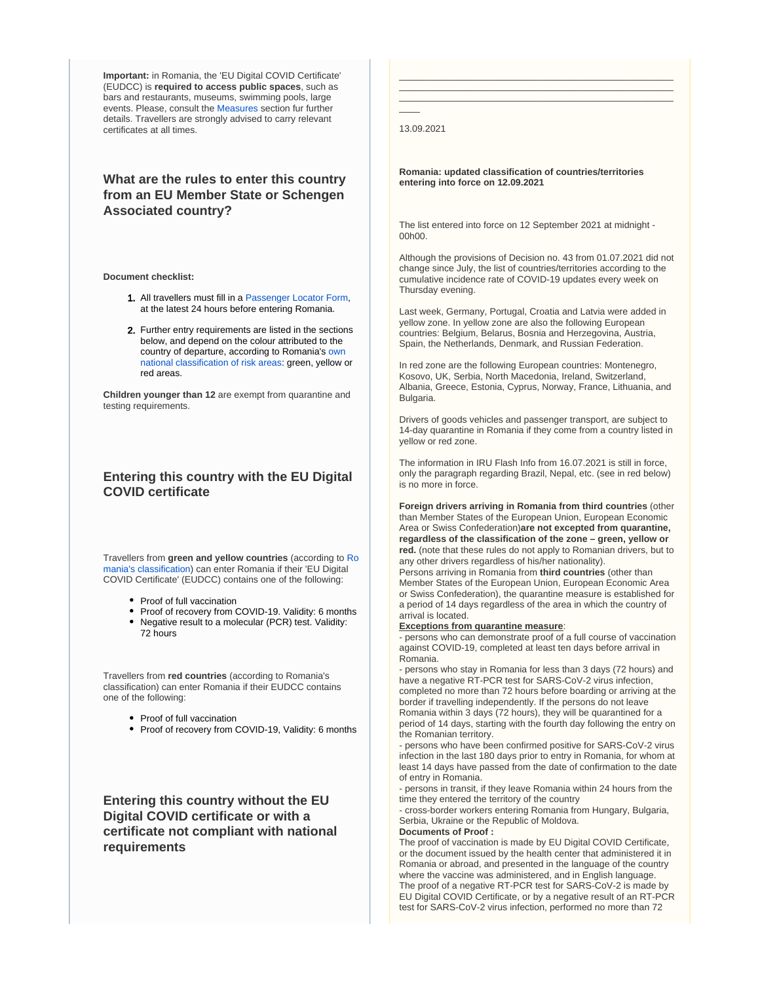**Important:** in Romania, the 'EU Digital COVID Certificate' (EUDCC) is **required to access public spaces**, such as bars and restaurants, museums, swimming pools, large events. Please, consult the [Measures](https://reopen.europa.eu/en/map/ROU/6001) section fur further details. Travellers are strongly advised to carry relevant certificates at all times.

## **What are the rules to enter this country from an EU Member State or Schengen Associated country?**

**Document checklist:**

- 1. All travellers must fill in a [Passenger Locator Form](https://plf.gov.ro/), at the latest 24 hours before entering Romania.
- 2. Further entry requirements are listed in the sections below, and depend on the colour attributed to the country of departure, according to Romania's [own](https://www.cnscbt.ro/index.php/liste-zone-afectate-covid-19/)  [national classification of risk areas](https://www.cnscbt.ro/index.php/liste-zone-afectate-covid-19/): green, yellow or red areas.

**Children younger than 12** are exempt from quarantine and testing requirements.

## **Entering this country with the EU Digital COVID certificate**

Travellers from **green and yellow countries** (according to [Ro](https://www.cnscbt.ro/index.php/liste-zone-afectate-covid-19/) [mania's classification](https://www.cnscbt.ro/index.php/liste-zone-afectate-covid-19/)) can enter Romania if their 'EU Digital COVID Certificate' (EUDCC) contains one of the following:

- Proof of full vaccination
- Proof of recovery from COVID-19. Validity: 6 months
- Negative result to a molecular (PCR) test. Validity: 72 hours

Travellers from **red countries** (according to Romania's classification) can enter Romania if their EUDCC contains one of the following:

- Proof of full vaccination
- Proof of recovery from COVID-19, Validity: 6 months

**Entering this country without the EU Digital COVID certificate or with a certificate not compliant with national requirements**

13.09.2021

 $\overline{\phantom{a}}$ 

**Romania: updated classification of countries/territories entering into force on 12.09.2021**

\_\_\_\_\_\_\_\_\_\_\_\_\_\_\_\_\_\_\_\_\_\_\_\_\_\_\_\_\_\_\_\_\_\_\_\_\_\_\_\_\_\_\_\_\_\_\_\_\_\_\_\_\_ \_\_\_\_\_\_\_\_\_\_\_\_\_\_\_\_\_\_\_\_\_\_\_\_\_\_\_\_\_\_\_\_\_\_\_\_\_\_\_\_\_\_\_\_\_\_\_\_\_\_\_\_\_ \_\_\_\_\_\_\_\_\_\_\_\_\_\_\_\_\_\_\_\_\_\_\_\_\_\_\_\_\_\_\_\_\_\_\_\_\_\_\_\_\_\_\_\_\_\_\_\_\_\_\_\_\_

The list entered into force on 12 September 2021 at midnight - 00h00.

Although the provisions of Decision no. 43 from 01.07.2021 did not change since July, the list of countries/territories according to the cumulative incidence rate of COVID-19 updates every week on Thursday evening.

Last week, Germany, Portugal, Croatia and Latvia were added in yellow zone. In yellow zone are also the following European countries: Belgium, Belarus, Bosnia and Herzegovina, Austria, Spain, the Netherlands, Denmark, and Russian Federation.

In red zone are the following European countries: Montenegro, Kosovo, UK, Serbia, North Macedonia, Ireland, Switzerland, Albania, Greece, Estonia, Cyprus, Norway, France, Lithuania, and Bulgaria.

Drivers of goods vehicles and passenger transport, are subject to 14-day quarantine in Romania if they come from a country listed in yellow or red zone.

The information in IRU Flash Info from 16.07.2021 is still in force, only the paragraph regarding Brazil, Nepal, etc. (see in red below) is no more in force.

**Foreign drivers arriving in Romania from third countries** (other than Member States of the European Union, European Economic Area or Swiss Confederation)**are not excepted from quarantine, regardless of the classification of the zone – green, yellow or red.** (note that these rules do not apply to Romanian drivers, but to any other drivers regardless of his/her nationality). Persons arriving in Romania from **third countries** (other than Member States of the European Union, European Economic Area or Swiss Confederation), the quarantine measure is established for

a period of 14 days regardless of the area in which the country of arrival is located.

#### **Exceptions from quarantine measure**:

- persons who can demonstrate proof of a full course of vaccination against COVID-19, completed at least ten days before arrival in Romania.

- persons who stay in Romania for less than 3 days (72 hours) and have a negative RT-PCR test for SARS-CoV-2 virus infection, completed no more than 72 hours before boarding or arriving at the border if travelling independently. If the persons do not leave Romania within 3 days (72 hours), they will be quarantined for a period of 14 days, starting with the fourth day following the entry on the Romanian territory.

- persons who have been confirmed positive for SARS-CoV-2 virus infection in the last 180 days prior to entry in Romania, for whom at least 14 days have passed from the date of confirmation to the date of entry in Romania.

- persons in transit, if they leave Romania within 24 hours from the time they entered the territory of the country

- cross-border workers entering Romania from Hungary, Bulgaria, Serbia, Ukraine or the Republic of Moldova.

#### **Documents of Proof :**

The proof of vaccination is made by EU Digital COVID Certificate, or the document issued by the health center that administered it in Romania or abroad, and presented in the language of the country where the vaccine was administered, and in English language. The proof of a negative RT-PCR test for SARS-CoV-2 is made by EU Digital COVID Certificate, or by a negative result of an RT-PCR test for SARS-CoV-2 virus infection, performed no more than 72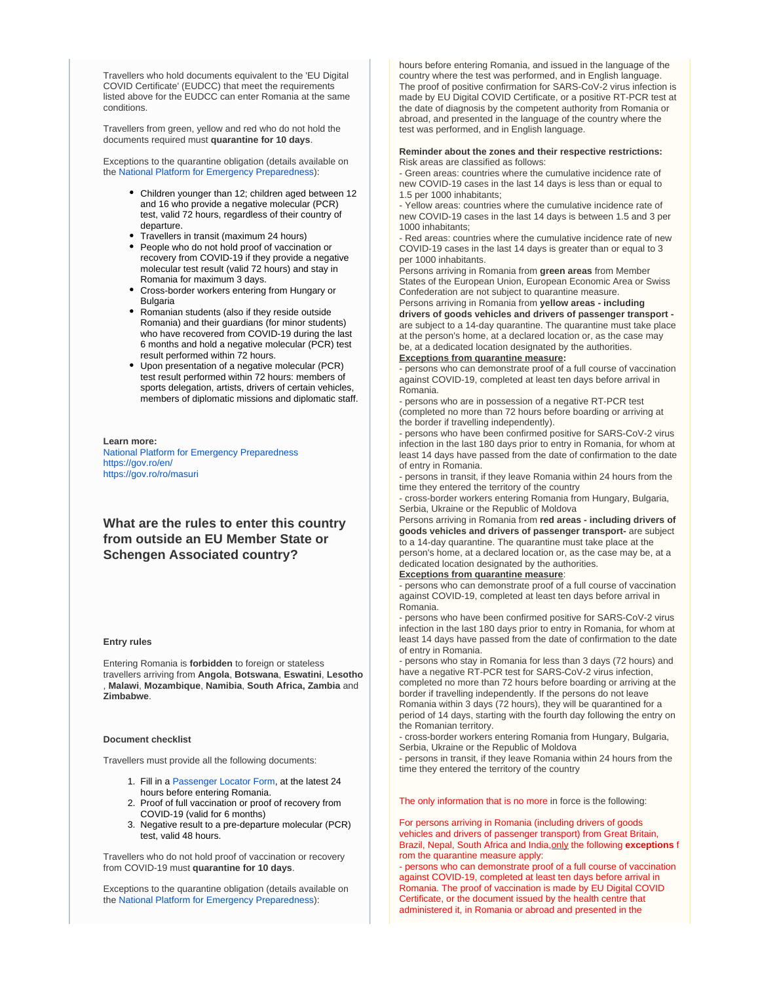Travellers who hold documents equivalent to the 'EU Digital COVID Certificate' (EUDCC) that meet the requirements listed above for the EUDCC can enter Romania at the same conditions.

Travellers from green, yellow and red who do not hold the documents required must **quarantine for 10 days**.

Exceptions to the quarantine obligation (details available on the [National Platform for Emergency Preparedness\)](https://fiipregatit.ro/sectiune_ghid/conditii-intrare-in-romania/):

- Children younger than 12; children aged between 12 and 16 who provide a negative molecular (PCR) test, valid 72 hours, regardless of their country of departure.
- Travellers in transit (maximum 24 hours)
- People who do not hold proof of vaccination or recovery from COVID-19 if they provide a negative molecular test result (valid 72 hours) and stay in Romania for maximum 3 days.
- Cross-border workers entering from Hungary or **Bulgaria**
- Romanian students (also if they reside outside Romania) and their guardians (for minor students) who have recovered from COVID-19 during the last 6 months and hold a negative molecular (PCR) test result performed within 72 hours.
- Upon presentation of a negative molecular (PCR) test result performed within 72 hours: members of sports delegation, artists, drivers of certain vehicles, members of diplomatic missions and diplomatic staff.

#### **Learn more:**

[National Platform for Emergency Preparedness](https://fiipregatit.ro/sectiune_ghid/conditii-intrare-in-romania/) <https://gov.ro/en/> <https://gov.ro/ro/masuri>

**What are the rules to enter this country from outside an EU Member State or Schengen Associated country?**

#### **Entry rules**

Entering Romania is **forbidden** to foreign or stateless travellers arriving from **Angola**, **Botswana**, **Eswatini**, **Lesotho** , **Malawi**, **Mozambique**, **Namibia**, **South Africa, Zambia** and **Zimbabwe**.

#### **Document checklist**

Travellers must provide all the following documents:

- 1. Fill in a [Passenger Locator Form,](https://plf.gov.ro/) at the latest 24 hours before entering Romania.
- 2. Proof of full vaccination or proof of recovery from COVID-19 (valid for 6 months)
- 3. Negative result to a pre-departure molecular (PCR) test, valid 48 hours.

Travellers who do not hold proof of vaccination or recovery from COVID-19 must **quarantine for 10 days**.

Exceptions to the quarantine obligation (details available on the [National Platform for Emergency Preparedness\)](https://fiipregatit.ro/sectiune_ghid/conditii-intrare-in-romania/):

hours before entering Romania, and issued in the language of the country where the test was performed, and in English language. The proof of positive confirmation for SARS-CoV-2 virus infection is made by EU Digital COVID Certificate, or a positive RT-PCR test at the date of diagnosis by the competent authority from Romania or abroad, and presented in the language of the country where the test was performed, and in English language.

#### **Reminder about the zones and their respective restrictions:**  Risk areas are classified as follows:

- Green areas: countries where the cumulative incidence rate of new COVID-19 cases in the last 14 days is less than or equal to 1.5 per 1000 inhabitants;

- Yellow areas: countries where the cumulative incidence rate of new COVID-19 cases in the last 14 days is between 1.5 and 3 per 1000 inhabitants;

- Red areas: countries where the cumulative incidence rate of new COVID-19 cases in the last 14 days is greater than or equal to 3 per 1000 inhabitants.

Persons arriving in Romania from **green areas** from Member States of the European Union, European Economic Area or Swiss Confederation are not subject to quarantine measure.

Persons arriving in Romania from **yellow areas - including drivers of goods vehicles and drivers of passenger transport**  are subject to a 14-day quarantine. The quarantine must take place at the person's home, at a declared location or, as the case may be, at a dedicated location designated by the authorities.

#### **Exceptions from quarantine measure:**

- persons who can demonstrate proof of a full course of vaccination against COVID-19, completed at least ten days before arrival in Romania.

- persons who are in possession of a negative RT-PCR test (completed no more than 72 hours before boarding or arriving at the border if travelling independently).

- persons who have been confirmed positive for SARS-CoV-2 virus infection in the last 180 days prior to entry in Romania, for whom at least 14 days have passed from the date of confirmation to the date of entry in Romania.

- persons in transit, if they leave Romania within 24 hours from the time they entered the territory of the country

- cross-border workers entering Romania from Hungary, Bulgaria, Serbia, Ukraine or the Republic of Moldova

Persons arriving in Romania from **red areas - including drivers of goods vehicles and drivers of passenger transport-** are subject to a 14-day quarantine. The quarantine must take place at the person's home, at a declared location or, as the case may be, at a dedicated location designated by the authorities.

#### **Exceptions from quarantine measure**:

- persons who can demonstrate proof of a full course of vaccination against COVID-19, completed at least ten days before arrival in Romania.

- persons who have been confirmed positive for SARS-CoV-2 virus infection in the last 180 days prior to entry in Romania, for whom at least 14 days have passed from the date of confirmation to the date of entry in Romania.

- persons who stay in Romania for less than 3 days (72 hours) and have a negative RT-PCR test for SARS-CoV-2 virus infection,

completed no more than 72 hours before boarding or arriving at the border if travelling independently. If the persons do not leave Romania within 3 days (72 hours), they will be quarantined for a period of 14 days, starting with the fourth day following the entry on the Romanian territory.

- cross-border workers entering Romania from Hungary, Bulgaria, Serbia, Ukraine or the Republic of Moldova

- persons in transit, if they leave Romania within 24 hours from the time they entered the territory of the country

The only information that is no more in force is the following:

For persons arriving in Romania (including drivers of goods vehicles and drivers of passenger transport) from Great Britain, Brazil, Nepal, South Africa and India,only the following **exceptions** f rom the quarantine measure apply:

- persons who can demonstrate proof of a full course of vaccination against COVID-19, completed at least ten days before arrival in Romania. The proof of vaccination is made by EU Digital COVID Certificate, or the document issued by the health centre that administered it, in Romania or abroad and presented in the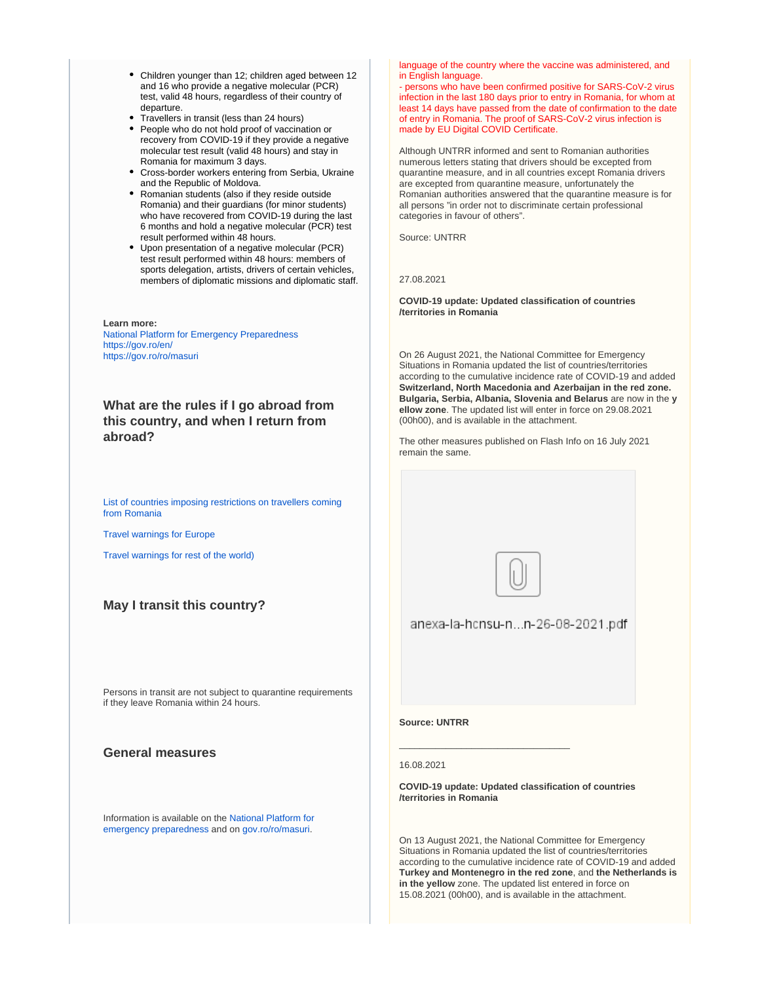- Children younger than 12; children aged between 12 and 16 who provide a negative molecular (PCR) test, valid 48 hours, regardless of their country of departure.
- Travellers in transit (less than 24 hours)
- People who do not hold proof of vaccination or recovery from COVID-19 if they provide a negative molecular test result (valid 48 hours) and stay in Romania for maximum 3 days.
- Cross-border workers entering from Serbia, Ukraine and the Republic of Moldova.
- Romanian students (also if they reside outside Romania) and their guardians (for minor students) who have recovered from COVID-19 during the last 6 months and hold a negative molecular (PCR) test result performed within 48 hours.
- Upon presentation of a negative molecular (PCR) test result performed within 48 hours: members of sports delegation, artists, drivers of certain vehicles, members of diplomatic missions and diplomatic staff.

**Learn more:** [National Platform for Emergency Preparedness](https://fiipregatit.ro/sectiune_ghid/conditii-intrare-in-romania/) <https://gov.ro/en/> <https://gov.ro/ro/masuri>

**What are the rules if I go abroad from this country, and when I return from abroad?**

[List of countries imposing restrictions on travellers coming](http://www.mae.ro/node/51759)  [from Romania](http://www.mae.ro/node/51759)

[Travel warnings for Europe](http://www.mae.ro/node/51880)

[Travel warnings for rest of the world\)](http://www.mae.ro/node/51982)

## **May I transit this country?**

Persons in transit are not subject to quarantine requirements if they leave Romania within 24 hours.

## **General measures**

Information is available on the [National Platform for](https://fiipregatit.ro/sectiune_ghid/restrictii-covid-si-masuri-de-preventie/)  [emergency preparedness](https://fiipregatit.ro/sectiune_ghid/restrictii-covid-si-masuri-de-preventie/) and on [gov.ro/ro/masuri.](https://gov.ro/ro/masuri)

language of the country where the vaccine was administered, and in English language.

- persons who have been confirmed positive for SARS-CoV-2 virus infection in the last 180 days prior to entry in Romania, for whom at least 14 days have passed from the date of confirmation to the date of entry in Romania. The proof of SARS-CoV-2 virus infection is made by EU Digital COVID Certificate.

Although UNTRR informed and sent to Romanian authorities numerous letters stating that drivers should be excepted from quarantine measure, and in all countries except Romania drivers are excepted from quarantine measure, unfortunately the Romanian authorities answered that the quarantine measure is for all persons "in order not to discriminate certain professional categories in favour of others".

Source: UNTRR

27.08.2021

**COVID-19 update: Updated classification of countries /territories in Romania**

On 26 August 2021, the National Committee for Emergency Situations in Romania updated the list of countries/territories according to the cumulative incidence rate of COVID-19 and added **Switzerland, North Macedonia and Azerbaijan in the red zone. Bulgaria, Serbia, Albania, Slovenia and Belarus** are now in the **y ellow zone**. The updated list will enter in force on 29.08.2021 (00h00), and is available in the attachment.

The other measures published on Flash Info on 16 July 2021 remain the same.



anexa-la-hcnsu-n...n-26-08-2021.pdf

**Source: UNTRR**

#### 16.08.2021

**COVID-19 update: Updated classification of countries /territories in Romania**

\_\_\_\_\_\_\_\_\_\_\_\_\_\_\_\_\_\_\_\_\_\_\_\_\_\_\_\_\_\_\_\_\_

On 13 August 2021, the National Committee for Emergency Situations in Romania updated the list of countries/territories according to the cumulative incidence rate of COVID-19 and added **Turkey and Montenegro in the red zone**, and **the Netherlands is in the yellow** zone. The updated list entered in force on 15.08.2021 (00h00), and is available in the attachment.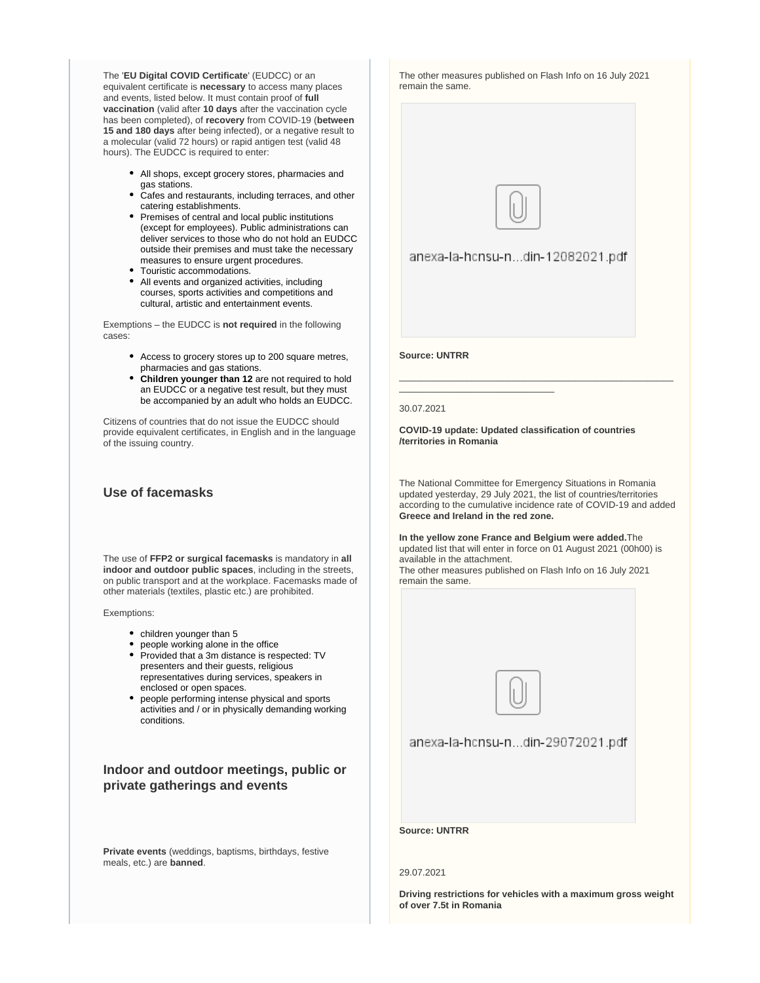The '**EU Digital COVID Certificate**' (EUDCC) or an equivalent certificate is **necessary** to access many places and events, listed below. It must contain proof of **full vaccination** (valid after **10 days** after the vaccination cycle has been completed), of **recovery** from COVID-19 (**between 15 and 180 days** after being infected), or a negative result to a molecular (valid 72 hours) or rapid antigen test (valid 48 hours). The EUDCC is required to enter:

- All shops, except grocery stores, pharmacies and gas stations.
- Cafes and restaurants, including terraces, and other catering establishments.
- Premises of central and local public institutions (except for employees). Public administrations can deliver services to those who do not hold an EUDCC outside their premises and must take the necessary measures to ensure urgent procedures.
- Touristic accommodations.
- All events and organized activities, including courses, sports activities and competitions and cultural, artistic and entertainment events.

Exemptions – the EUDCC is **not required** in the following cases:

- Access to grocery stores up to 200 square metres, pharmacies and gas stations.
- **Children younger than 12** are not required to hold an EUDCC or a negative test result, but they must be accompanied by an adult who holds an EUDCC.

Citizens of countries that do not issue the EUDCC should provide equivalent certificates, in English and in the language of the issuing country.

## **Use of facemasks**

The use of **FFP2 or surgical facemasks** is mandatory in **all indoor and outdoor public spaces**, including in the streets, on public transport and at the workplace. Facemasks made of other materials (textiles, plastic etc.) are prohibited.

Exemptions:

- children younger than 5
- people working alone in the office
- Provided that a 3m distance is respected: TV presenters and their guests, religious representatives during services, speakers in enclosed or open spaces.
- people performing intense physical and sports activities and / or in physically demanding working conditions.

## **Indoor and outdoor meetings, public or private gatherings and events**

**Private events** (weddings, baptisms, birthdays, festive meals, etc.) are **banned**.

The other measures published on Flash Info on 16 July 2021 remain the same.



anexa-la-hcnsu-n...din-12082021.pdf

**Source: UNTRR**

\_\_\_\_\_\_\_\_\_\_\_\_\_\_\_\_\_\_\_\_\_\_\_\_\_\_\_\_\_\_

#### 30.07.2021

**COVID-19 update: Updated classification of countries /territories in Romania**

The National Committee for Emergency Situations in Romania updated yesterday, 29 July 2021, the list of countries/territories according to the cumulative incidence rate of COVID-19 and added **Greece and Ireland in the red zone.**

\_\_\_\_\_\_\_\_\_\_\_\_\_\_\_\_\_\_\_\_\_\_\_\_\_\_\_\_\_\_\_\_\_\_\_\_\_\_\_\_\_\_\_\_\_\_\_\_\_\_\_\_\_

**In the yellow zone France and Belgium were added.**The updated list that will enter in force on 01 August 2021 (00h00) is available in the attachment. The other measures published on Flash Info on 16 July 2021 remain the same.



anexa-la-hcnsu-n...din-29072021.pdf

**Source: UNTRR**

## 29.07.2021

**Driving restrictions for vehicles with a maximum gross weight of over 7.5t in Romania**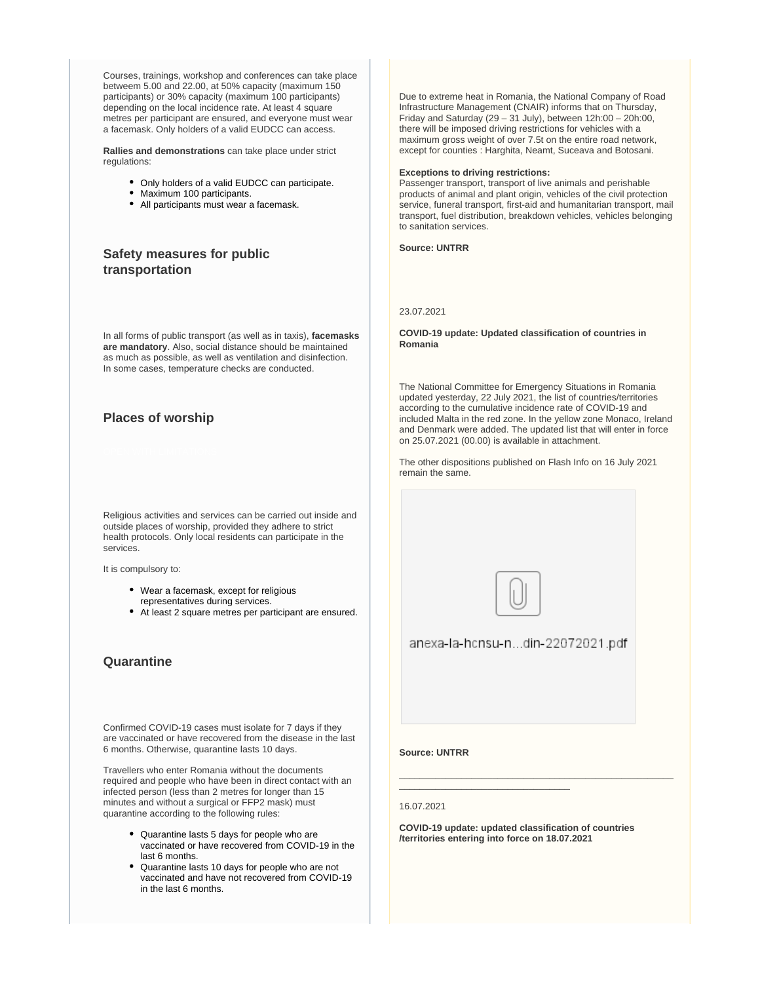Courses, trainings, workshop and conferences can take place betweem 5.00 and 22.00, at 50% capacity (maximum 150 participants) or 30% capacity (maximum 100 participants) depending on the local incidence rate. At least 4 square metres per participant are ensured, and everyone must wear a facemask. Only holders of a valid EUDCC can access.

**Rallies and demonstrations** can take place under strict regulations:

- Only holders of a valid EUDCC can participate.
- Maximum 100 participants.
- All participants must wear a facemask.

## **Safety measures for public transportation**

In all forms of public transport (as well as in taxis), **facemasks are mandatory**. Also, social distance should be maintained as much as possible, as well as ventilation and disinfection. In some cases, temperature checks are conducted.

## **Places of worship**

Religious activities and services can be carried out inside and outside places of worship, provided they adhere to strict health protocols. Only local residents can participate in the services.

It is compulsory to:

- Wear a facemask, except for religious representatives during services.
- At least 2 square metres per participant are ensured.

## **Quarantine**

Confirmed COVID-19 cases must isolate for 7 days if they are vaccinated or have recovered from the disease in the last 6 months. Otherwise, quarantine lasts 10 days.

Travellers who enter Romania without the documents required and people who have been in direct contact with an infected person (less than 2 metres for longer than 15 minutes and without a surgical or FFP2 mask) must quarantine according to the following rules:

- Quarantine lasts 5 days for people who are vaccinated or have recovered from COVID-19 in the last 6 months.
- Quarantine lasts 10 days for people who are not vaccinated and have not recovered from COVID-19 in the last 6 months.

Due to extreme heat in Romania, the National Company of Road Infrastructure Management (CNAIR) informs that on Thursday, Friday and Saturday  $(29 - 31$  July), between  $12h:00 - 20h:00$ , there will be imposed driving restrictions for vehicles with a maximum gross weight of over 7.5t on the entire road network, except for counties : Harghita, Neamt, Suceava and Botosani.

#### **Exceptions to driving restrictions:**

Passenger transport, transport of live animals and perishable products of animal and plant origin, vehicles of the civil protection service, funeral transport, first-aid and humanitarian transport, mail transport, fuel distribution, breakdown vehicles, vehicles belonging to sanitation services.

**Source: UNTRR**

#### 23.07.2021

**COVID-19 update: Updated classification of countries in Romania**

The National Committee for Emergency Situations in Romania updated yesterday, 22 July 2021, the list of countries/territories according to the cumulative incidence rate of COVID-19 and included Malta in the red zone. In the yellow zone Monaco, Ireland and Denmark were added. The updated list that will enter in force on 25.07.2021 (00.00) is available in attachment.

The other dispositions published on Flash Info on 16 July 2021 remain the same.



anexa-la-hcnsu-n...din-22072021.pdf

**Source: UNTRR**

#### 16.07.2021

**COVID-19 update: updated classification of countries /territories entering into force on 18.07.2021**

\_\_\_\_\_\_\_\_\_\_\_\_\_\_\_\_\_\_\_\_\_\_\_\_\_\_\_\_\_\_\_\_\_

\_\_\_\_\_\_\_\_\_\_\_\_\_\_\_\_\_\_\_\_\_\_\_\_\_\_\_\_\_\_\_\_\_\_\_\_\_\_\_\_\_\_\_\_\_\_\_\_\_\_\_\_\_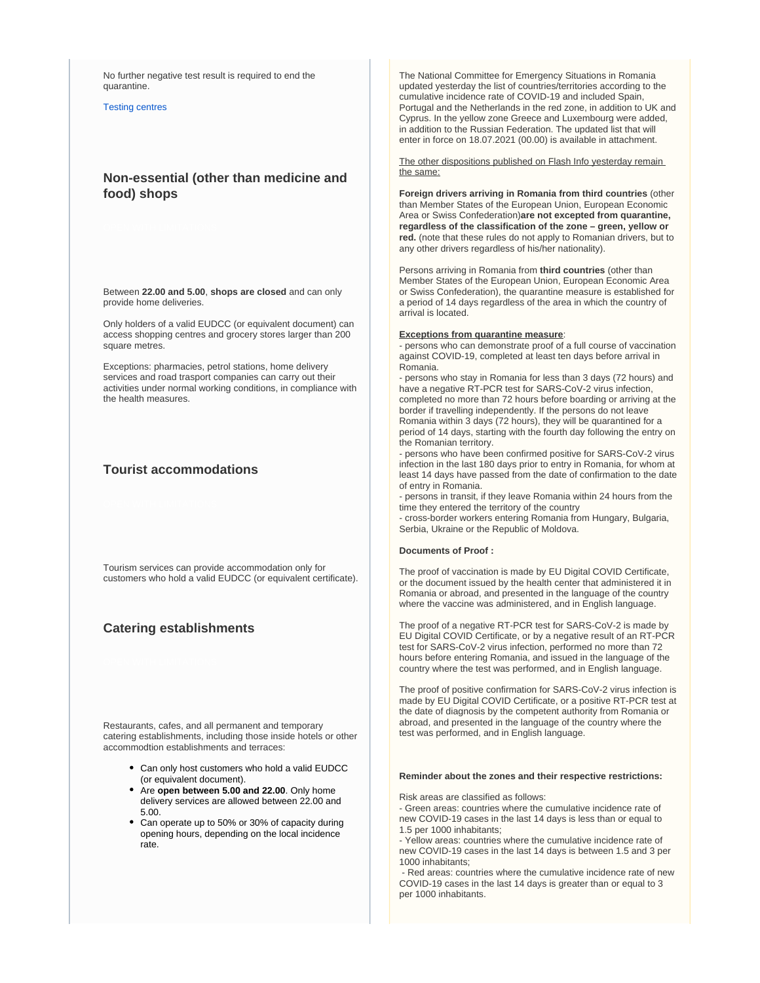No further negative test result is required to end the quarantine.

[Testing centres](http://www.ms.ro/centre-testare/)

## **Non-essential (other than medicine and food) shops**

Between **22.00 and 5.00**, **shops are closed** and can only provide home deliveries.

Only holders of a valid EUDCC (or equivalent document) can access shopping centres and grocery stores larger than 200 square metres.

Exceptions: pharmacies, petrol stations, home delivery services and road trasport companies can carry out their activities under normal working conditions, in compliance with the health measures.

## **Tourist accommodations**

Tourism services can provide accommodation only for customers who hold a valid EUDCC (or equivalent certificate).

## **Catering establishments**

Restaurants, cafes, and all permanent and temporary catering establishments, including those inside hotels or other accommodtion establishments and terraces:

- Can only host customers who hold a valid EUDCC (or equivalent document).
- Are **open between 5.00 and 22.00**. Only home delivery services are allowed between 22.00 and 5.00.
- Can operate up to 50% or 30% of capacity during opening hours, depending on the local incidence rate.

The National Committee for Emergency Situations in Romania updated yesterday the list of countries/territories according to the cumulative incidence rate of COVID-19 and included Spain, Portugal and the Netherlands in the red zone, in addition to UK and Cyprus. In the yellow zone Greece and Luxembourg were added, in addition to the Russian Federation. The updated list that will enter in force on 18.07.2021 (00.00) is available in attachment.

The other dispositions published on Flash Info yesterday remain the same:

**Foreign drivers arriving in Romania from third countries** (other than Member States of the European Union, European Economic Area or Swiss Confederation)**are not excepted from quarantine, regardless of the classification of the zone – green, yellow or red.** (note that these rules do not apply to Romanian drivers, but to any other drivers regardless of his/her nationality).

Persons arriving in Romania from **third countries** (other than Member States of the European Union, European Economic Area or Swiss Confederation), the quarantine measure is established for a period of 14 days regardless of the area in which the country of arrival is located.

#### **Exceptions from quarantine measure**:

- persons who can demonstrate proof of a full course of vaccination against COVID-19, completed at least ten days before arrival in Romania.

- persons who stay in Romania for less than 3 days (72 hours) and have a negative RT-PCR test for SARS-CoV-2 virus infection, completed no more than 72 hours before boarding or arriving at the border if travelling independently. If the persons do not leave Romania within 3 days (72 hours), they will be quarantined for a period of 14 days, starting with the fourth day following the entry on the Romanian territory.

- persons who have been confirmed positive for SARS-CoV-2 virus infection in the last 180 days prior to entry in Romania, for whom at least 14 days have passed from the date of confirmation to the date of entry in Romania.

- persons in transit, if they leave Romania within 24 hours from the time they entered the territory of the country

- cross-border workers entering Romania from Hungary, Bulgaria, Serbia, Ukraine or the Republic of Moldova.

#### **Documents of Proof :**

The proof of vaccination is made by EU Digital COVID Certificate, or the document issued by the health center that administered it in Romania or abroad, and presented in the language of the country where the vaccine was administered, and in English language.

The proof of a negative RT-PCR test for SARS-CoV-2 is made by EU Digital COVID Certificate, or by a negative result of an RT-PCR test for SARS-CoV-2 virus infection, performed no more than 72 hours before entering Romania, and issued in the language of the country where the test was performed, and in English language.

The proof of positive confirmation for SARS-CoV-2 virus infection is made by EU Digital COVID Certificate, or a positive RT-PCR test at the date of diagnosis by the competent authority from Romania or abroad, and presented in the language of the country where the test was performed, and in English language.

#### **Reminder about the zones and their respective restrictions:**

Risk areas are classified as follows:

- Green areas: countries where the cumulative incidence rate of new COVID-19 cases in the last 14 days is less than or equal to 1.5 per 1000 inhabitants;

- Yellow areas: countries where the cumulative incidence rate of new COVID-19 cases in the last 14 days is between 1.5 and 3 per 1000 inhabitants;

 - Red areas: countries where the cumulative incidence rate of new COVID-19 cases in the last 14 days is greater than or equal to 3 per 1000 inhabitants.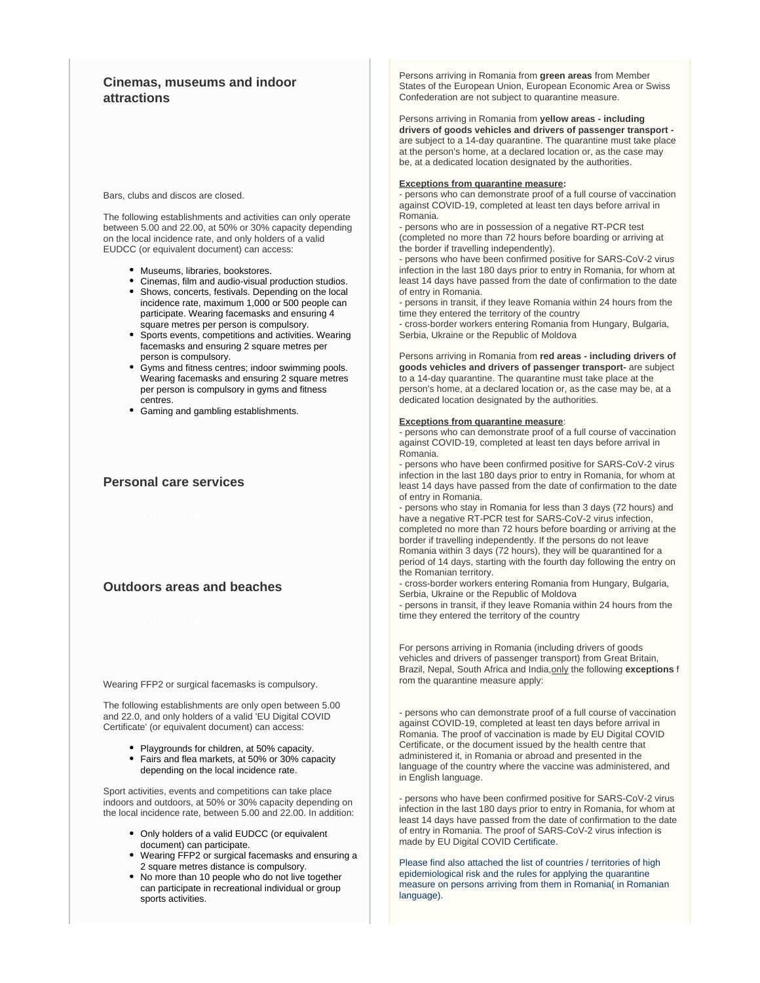## **Cinemas, museums and indoor attractions**

Bars, clubs and discos are closed.

The following establishments and activities can only operate between 5.00 and 22.00, at 50% or 30% capacity depending on the local incidence rate, and only holders of a valid EUDCC (or equivalent document) can access:

- Museums, libraries, bookstores.
- Cinemas, film and audio-visual production studios.
- Shows, concerts, festivals. Depending on the local incidence rate, maximum 1,000 or 500 people can participate. Wearing facemasks and ensuring 4 square metres per person is compulsory.
- Sports events, competitions and activities. Wearing facemasks and ensuring 2 square metres per person is compulsory.
- Gyms and fitness centres; indoor swimming pools. Wearing facemasks and ensuring 2 square metres per person is compulsory in gyms and fitness centres.
- Gaming and gambling establishments.

## **Personal care services**

## **Outdoors areas and beaches**

Wearing FFP2 or surgical facemasks is compulsory.

The following establishments are only open between 5.00 and 22.0, and only holders of a valid 'EU Digital COVID Certificate' (or equivalent document) can access:

> • Playgrounds for children, at 50% capacity. Fairs and flea markets, at 50% or 30% capacity depending on the local incidence rate.

Sport activities, events and competitions can take place indoors and outdoors, at 50% or 30% capacity depending on the local incidence rate, between 5.00 and 22.00. In addition:

- Only holders of a valid EUDCC (or equivalent document) can participate.
- Wearing FFP2 or surgical facemasks and ensuring a 2 square metres distance is compulsory.
- No more than 10 people who do not live together can participate in recreational individual or group sports activities.

Persons arriving in Romania from **green areas** from Member States of the European Union, European Economic Area or Swiss Confederation are not subject to quarantine measure.

Persons arriving in Romania from **yellow areas - including drivers of goods vehicles and drivers of passenger transport**  are subject to a 14-day quarantine. The quarantine must take place at the person's home, at a declared location or, as the case may be, at a dedicated location designated by the authorities.

#### **Exceptions from quarantine measure:**

- persons who can demonstrate proof of a full course of vaccination against COVID-19, completed at least ten days before arrival in Romania.

- persons who are in possession of a negative RT-PCR test (completed no more than 72 hours before boarding or arriving at the border if travelling independently).

- persons who have been confirmed positive for SARS-CoV-2 virus infection in the last 180 days prior to entry in Romania, for whom at least 14 days have passed from the date of confirmation to the date of entry in Romania.

- persons in transit, if they leave Romania within 24 hours from the time they entered the territory of the country

- cross-border workers entering Romania from Hungary, Bulgaria, Serbia, Ukraine or the Republic of Moldova

Persons arriving in Romania from **red areas - including drivers of goods vehicles and drivers of passenger transport-** are subject to a 14-day quarantine. The quarantine must take place at the person's home, at a declared location or, as the case may be, at a dedicated location designated by the authorities.

#### **Exceptions from quarantine measure**:

- persons who can demonstrate proof of a full course of vaccination against COVID-19, completed at least ten days before arrival in Romania.

- persons who have been confirmed positive for SARS-CoV-2 virus infection in the last 180 days prior to entry in Romania, for whom at least 14 days have passed from the date of confirmation to the date of entry in Romania.

- persons who stay in Romania for less than 3 days (72 hours) and have a negative RT-PCR test for SARS-CoV-2 virus infection, completed no more than 72 hours before boarding or arriving at the border if travelling independently. If the persons do not leave Romania within 3 days (72 hours), they will be quarantined for a period of 14 days, starting with the fourth day following the entry on the Romanian territory.

- cross-border workers entering Romania from Hungary, Bulgaria, Serbia, Ukraine or the Republic of Moldova

- persons in transit, if they leave Romania within 24 hours from the time they entered the territory of the country

For persons arriving in Romania (including drivers of goods vehicles and drivers of passenger transport) from Great Britain, Brazil, Nepal, South Africa and India,only the following **exceptions** f rom the quarantine measure apply:

- persons who can demonstrate proof of a full course of vaccination against COVID-19, completed at least ten days before arrival in Romania. The proof of vaccination is made by EU Digital COVID Certificate, or the document issued by the health centre that administered it, in Romania or abroad and presented in the language of the country where the vaccine was administered, and in English language.

- persons who have been confirmed positive for SARS-CoV-2 virus infection in the last 180 days prior to entry in Romania, for whom at least 14 days have passed from the date of confirmation to the date of entry in Romania. The proof of SARS-CoV-2 virus infection is made by EU Digital COVID Certificate.

Please find also attached the list of countries / territories of high epidemiological risk and the rules for applying the quarantine measure on persons arriving from them in Romania( in Romanian language).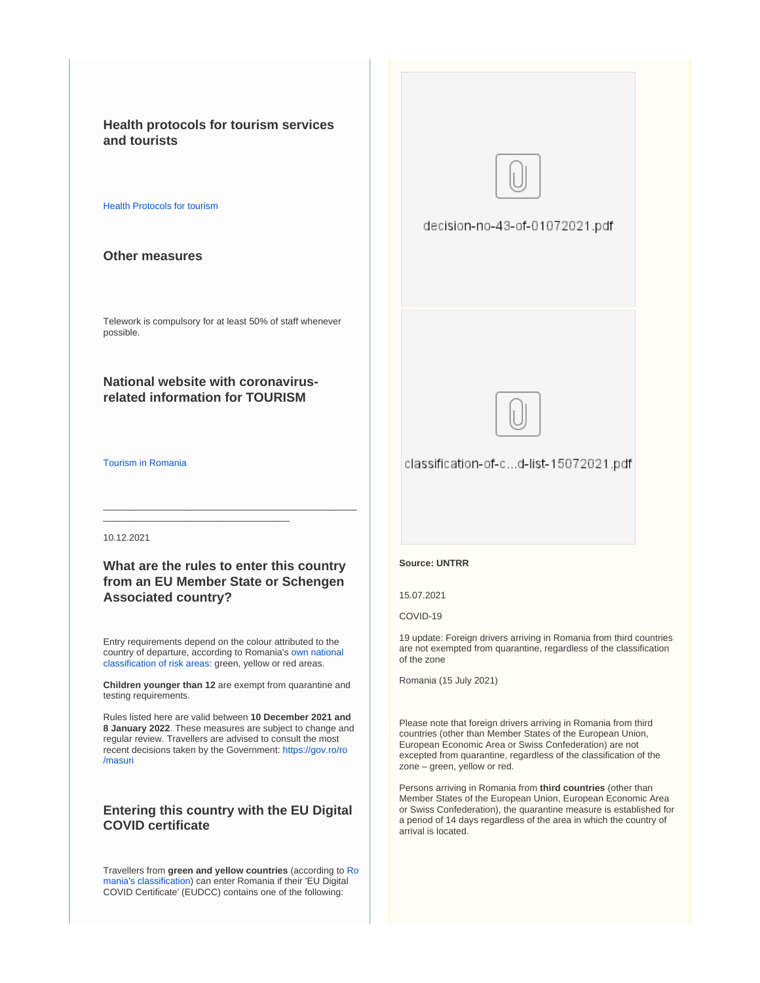**Health protocols for tourism services and tourists**

#### [Health Protocols for tourism](https://www.cnscbt.ro/)

## **Other measures**

Telework is compulsory for at least 50% of staff whenever possible.

## **National website with coronavirusrelated information for TOURISM**

#### [Tourism in Romania](http://romaniatourism.com/)

#### 10.12.2021

## **What are the rules to enter this country from an EU Member State or Schengen Associated country?**

\_\_\_\_\_\_\_\_\_\_\_\_\_\_\_\_\_\_\_\_\_\_\_\_\_\_\_\_\_\_\_\_\_\_\_\_\_\_\_\_\_\_\_\_\_\_\_\_\_

\_\_\_\_\_\_\_\_\_\_\_\_\_\_\_\_\_\_\_\_\_\_\_\_\_\_\_\_\_\_\_\_\_\_\_\_

Entry requirements depend on the colour attributed to the country of departure, according to Romania's [own national](https://www.cnscbt.ro/index.php/liste-zone-afectate-covid-19/)  [classification of risk areas:](https://www.cnscbt.ro/index.php/liste-zone-afectate-covid-19/) green, yellow or red areas.

**Children younger than 12** are exempt from quarantine and testing requirements.

Rules listed here are valid between **10 December 2021 and 8 January 2022**. These measures are subject to change and regular review. Travellers are advised to consult the most recent decisions taken by the Government: [https://gov.ro/ro](https://gov.ro/ro/masuri) [/masuri](https://gov.ro/ro/masuri)

## **Entering this country with the EU Digital COVID certificate**

Travellers from **green and yellow countries** (according to [Ro](https://www.cnscbt.ro/index.php/liste-zone-afectate-covid-19/) [mania's classification](https://www.cnscbt.ro/index.php/liste-zone-afectate-covid-19/)) can enter Romania if their 'EU Digital COVID Certificate' (EUDCC) contains one of the following:





classification-of-c...d-list-15072021.pdf

#### **Source: UNTRR**

15.07.2021

COVID-19

19 update: Foreign drivers arriving in Romania from third countries are not exempted from quarantine, regardless of the classification of the zone

Romania (15 July 2021)

Please note that foreign drivers arriving in Romania from third countries (other than Member States of the European Union, European Economic Area or Swiss Confederation) are not excepted from quarantine, regardless of the classification of the zone – green, yellow or red.

Persons arriving in Romania from **third countries** (other than Member States of the European Union, European Economic Area or Swiss Confederation), the quarantine measure is established for a period of 14 days regardless of the area in which the country of arrival is located.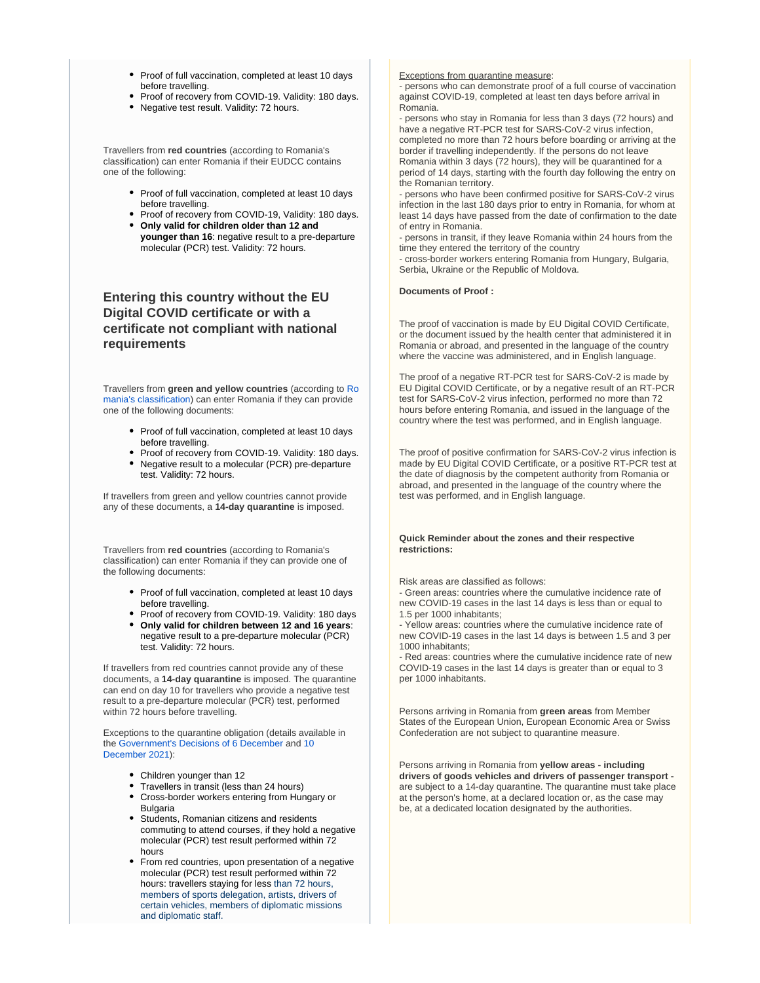- Proof of full vaccination, completed at least 10 days before travelling.
- Proof of recovery from COVID-19. Validity: 180 days.
- Negative test result. Validity: 72 hours.

Travellers from **red countries** (according to Romania's classification) can enter Romania if their EUDCC contains one of the following:

- Proof of full vaccination, completed at least 10 days before travelling.
- Proof of recovery from COVID-19, Validity: 180 days. **Only valid for children older than 12 and**
- **younger than 16**: negative result to a pre-departure molecular (PCR) test. Validity: 72 hours.

## **Entering this country without the EU Digital COVID certificate or with a certificate not compliant with national requirements**

Travellers from **green and yellow countries** (according to [Ro](https://www.cnscbt.ro/index.php/liste-zone-afectate-covid-19/) [mania's classification](https://www.cnscbt.ro/index.php/liste-zone-afectate-covid-19/)) can enter Romania if they can provide one of the following documents:

- Proof of full vaccination, completed at least 10 days before travelling.
- Proof of recovery from COVID-19. Validity: 180 days.
- Negative result to a molecular (PCR) pre-departure test. Validity: 72 hours.

If travellers from green and yellow countries cannot provide any of these documents, a **14-day quarantine** is imposed.

Travellers from **red countries** (according to Romania's classification) can enter Romania if they can provide one of the following documents:

- Proof of full vaccination, completed at least 10 days before travelling.
- Proof of recovery from COVID-19. Validity: 180 days
- **Only valid for children between 12 and 16 years**: negative result to a pre-departure molecular (PCR) test. Validity: 72 hours.

If travellers from red countries cannot provide any of these documents, a **14-day quarantine** is imposed. The quarantine can end on day 10 for travellers who provide a negative test result to a pre-departure molecular (PCR) test, performed within 72 hours before travelling.

Exceptions to the quarantine obligation (details available in the [Government's Decisions of 6 December](https://gov.ro/fisiere/pagini_fisiere/HOT%C4%82R%C3%82REA_nr._111_din_06.12.2021_pentru_stabilirea_regulilor_de_aplicare_a_m%C4%83surii_carantinei_asupra_persoanelor_care_sosesc_%C3%AEn_Rom%C3%A2nia_valabile_%C3%AEn_perioada_10.12.2021_ora_0000_-_08.01.2022_ora_2400.pdf) and [10](https://gov.ro/fisiere/pagini_fisiere/HCNSU_nr._113_din_10.12.2021.pdf)  [December 2021\)](https://gov.ro/fisiere/pagini_fisiere/HCNSU_nr._113_din_10.12.2021.pdf):

- Children younger than 12
- Travellers in transit (less than 24 hours)
- Cross-border workers entering from Hungary or Bulgaria
- Students, Romanian citizens and residents commuting to attend courses, if they hold a negative molecular (PCR) test result performed within 72 hours
- From red countries, upon presentation of a negative molecular (PCR) test result performed within 72 hours: travellers staying for less than 72 hours, members of sports delegation, artists, drivers of certain vehicles, members of diplomatic missions and diplomatic staff.

#### Exceptions from quarantine measure:

- persons who can demonstrate proof of a full course of vaccination against COVID-19, completed at least ten days before arrival in Romania.

- persons who stay in Romania for less than 3 days (72 hours) and have a negative RT-PCR test for SARS-CoV-2 virus infection, completed no more than 72 hours before boarding or arriving at the border if travelling independently. If the persons do not leave Romania within 3 days (72 hours), they will be quarantined for a period of 14 days, starting with the fourth day following the entry on the Romanian territory.

- persons who have been confirmed positive for SARS-CoV-2 virus infection in the last 180 days prior to entry in Romania, for whom at least 14 days have passed from the date of confirmation to the date of entry in Romania.

- persons in transit, if they leave Romania within 24 hours from the time they entered the territory of the country

- cross-border workers entering Romania from Hungary, Bulgaria, Serbia, Ukraine or the Republic of Moldova.

#### **Documents of Proof :**

The proof of vaccination is made by EU Digital COVID Certificate, or the document issued by the health center that administered it in Romania or abroad, and presented in the language of the country where the vaccine was administered, and in English language.

The proof of a negative RT-PCR test for SARS-CoV-2 is made by EU Digital COVID Certificate, or by a negative result of an RT-PCR test for SARS-CoV-2 virus infection, performed no more than 72 hours before entering Romania, and issued in the language of the country where the test was performed, and in English language.

The proof of positive confirmation for SARS-CoV-2 virus infection is made by EU Digital COVID Certificate, or a positive RT-PCR test at the date of diagnosis by the competent authority from Romania or abroad, and presented in the language of the country where the test was performed, and in English language.

#### **Quick Reminder about the zones and their respective restrictions:**

Risk areas are classified as follows:

- Green areas: countries where the cumulative incidence rate of new COVID-19 cases in the last 14 days is less than or equal to 1.5 per 1000 inhabitants;

- Yellow areas: countries where the cumulative incidence rate of new COVID-19 cases in the last 14 days is between 1.5 and 3 per 1000 inhabitants;

- Red areas: countries where the cumulative incidence rate of new COVID-19 cases in the last 14 days is greater than or equal to 3 per 1000 inhabitants.

Persons arriving in Romania from **green areas** from Member States of the European Union, European Economic Area or Swiss Confederation are not subject to quarantine measure.

Persons arriving in Romania from **yellow areas - including drivers of goods vehicles and drivers of passenger transport**  are subject to a 14-day quarantine. The quarantine must take place at the person's home, at a declared location or, as the case may be, at a dedicated location designated by the authorities.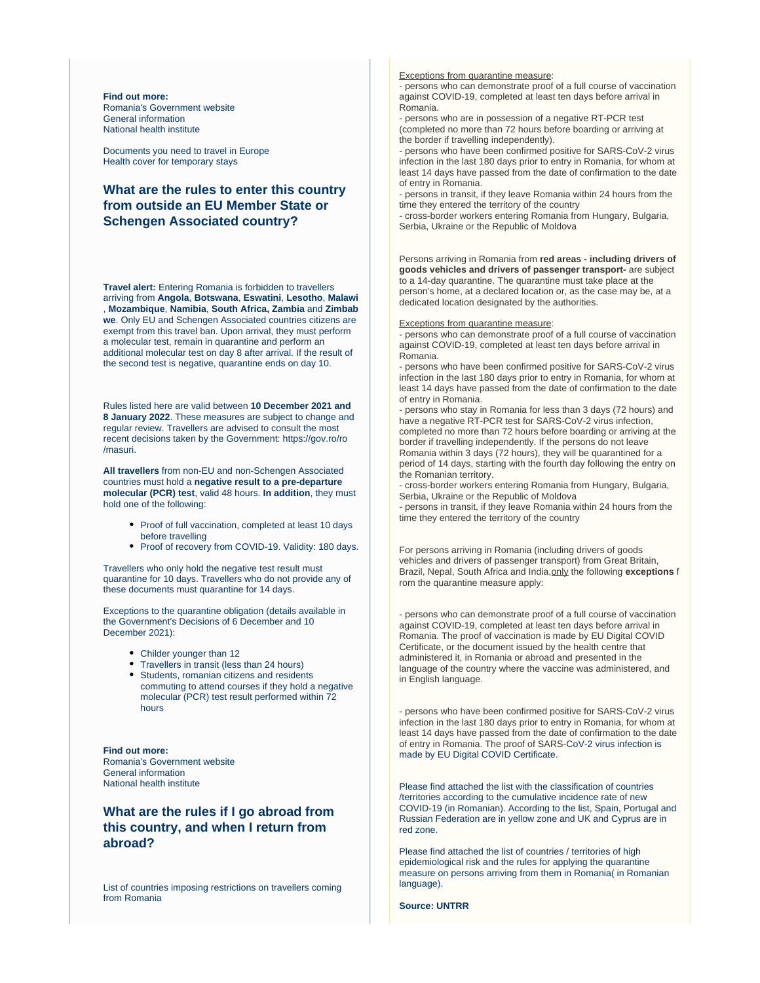**Find out more:** [Romania's Government website](https://gov.ro/en/) [General information](https://stirioficiale.ro/informatii) [National health institute](https://www.cnscbt.ro/)

[Documents you need to travel in Europe](https://europa.eu/youreurope/citizens/travel/entry-exit/index_en.htm) [Health cover for temporary stays](https://europa.eu/youreurope/citizens/health/unplanned-healthcare/temporary-stays/index_en.htm)

## **What are the rules to enter this country from outside an EU Member State or Schengen Associated country?**

**Travel alert:** Entering Romania is forbidden to travellers arriving from **Angola**, **Botswana**, **Eswatini**, **Lesotho**, **Malawi** , **Mozambique**, **Namibia**, **South Africa, Zambia** and **Zimbab we**. Only EU and Schengen Associated countries citizens are exempt from this travel ban. Upon arrival, they must perform a molecular test, remain in quarantine and perform an additional molecular test on day 8 after arrival. If the result of the second test is negative, quarantine ends on day 10.

Rules listed here are valid between **10 December 2021 and 8 January 2022**. These measures are subject to change and regular review. Travellers are advised to consult the most recent decisions taken by the Government: [https://gov.ro/ro](https://gov.ro/ro/masuri) [/masuri.](https://gov.ro/ro/masuri)

**All travellers** from non-EU and non-Schengen Associated countries must hold a **negative result to a pre-departure molecular (PCR) test**, valid 48 hours. **In addition**, they must hold one of the following:

- Proof of full vaccination, completed at least 10 days before travelling
- Proof of recovery from COVID-19. Validity: 180 days.

Travellers who only hold the negative test result must quarantine for 10 days. Travellers who do not provide any of these documents must quarantine for 14 days.

Exceptions to the quarantine obligation (details available in the [Government's Decisions of 6 December](https://gov.ro/fisiere/pagini_fisiere/HOT%C4%82R%C3%82REA_nr._111_din_06.12.2021_pentru_stabilirea_regulilor_de_aplicare_a_m%C4%83surii_carantinei_asupra_persoanelor_care_sosesc_%C3%AEn_Rom%C3%A2nia_valabile_%C3%AEn_perioada_10.12.2021_ora_0000_-_08.01.2022_ora_2400.pdf) and [10](https://gov.ro/fisiere/pagini_fisiere/HCNSU_nr._113_din_10.12.2021.pdf)  [December 2021\)](https://gov.ro/fisiere/pagini_fisiere/HCNSU_nr._113_din_10.12.2021.pdf):

- Childer younger than 12
- Travellers in transit (less than 24 hours)
- Students, romanian citizens and residents
- commuting to attend courses if they hold a negative molecular (PCR) test result performed within 72 hours

**Find out more:** [Romania's Government website](https://gov.ro/en/) [General information](https://stirioficiale.ro/informatii) [National health institute](https://www.cnscbt.ro/)

## **What are the rules if I go abroad from this country, and when I return from abroad?**

[List of countries imposing restrictions on travellers coming](http://www.mae.ro/node/51759)  [from Romania](http://www.mae.ro/node/51759)

Exceptions from quarantine measure:

- persons who can demonstrate proof of a full course of vaccination against COVID-19, completed at least ten days before arrival in Romania.

- persons who are in possession of a negative RT-PCR test (completed no more than 72 hours before boarding or arriving at the border if travelling independently).

- persons who have been confirmed positive for SARS-CoV-2 virus infection in the last 180 days prior to entry in Romania, for whom at least 14 days have passed from the date of confirmation to the date of entry in Romania.

- persons in transit, if they leave Romania within 24 hours from the time they entered the territory of the country

- cross-border workers entering Romania from Hungary, Bulgaria, Serbia, Ukraine or the Republic of Moldova

Persons arriving in Romania from **red areas - including drivers of goods vehicles and drivers of passenger transport-** are subject to a 14-day quarantine. The quarantine must take place at the person's home, at a declared location or, as the case may be, at a dedicated location designated by the authorities.

#### Exceptions from quarantine measure:

- persons who can demonstrate proof of a full course of vaccination against COVID-19, completed at least ten days before arrival in Romania.

- persons who have been confirmed positive for SARS-CoV-2 virus infection in the last 180 days prior to entry in Romania, for whom at least 14 days have passed from the date of confirmation to the date of entry in Romania.

- persons who stay in Romania for less than 3 days (72 hours) and have a negative RT-PCR test for SARS-CoV-2 virus infection, completed no more than 72 hours before boarding or arriving at the border if travelling independently. If the persons do not leave Romania within 3 days (72 hours), they will be quarantined for a period of 14 days, starting with the fourth day following the entry on the Romanian territory.

- cross-border workers entering Romania from Hungary, Bulgaria, Serbia, Ukraine or the Republic of Moldova

- persons in transit, if they leave Romania within 24 hours from the time they entered the territory of the country

For persons arriving in Romania (including drivers of goods vehicles and drivers of passenger transport) from Great Britain, Brazil, Nepal, South Africa and India,only the following **exceptions** f rom the quarantine measure apply:

- persons who can demonstrate proof of a full course of vaccination against COVID-19, completed at least ten days before arrival in Romania. The proof of vaccination is made by EU Digital COVID Certificate, or the document issued by the health centre that administered it, in Romania or abroad and presented in the language of the country where the vaccine was administered, and in English language.

- persons who have been confirmed positive for SARS-CoV-2 virus infection in the last 180 days prior to entry in Romania, for whom at least 14 days have passed from the date of confirmation to the date of entry in Romania. The proof of SARS-CoV-2 virus infection is made by EU Digital COVID Certificate.

Please find attached the list with the classification of countries /territories according to the cumulative incidence rate of new COVID-19 (in Romanian). According to the list, Spain, Portugal and Russian Federation are in yellow zone and UK and Cyprus are in red zone.

Please find attached the list of countries / territories of high epidemiological risk and the rules for applying the quarantine measure on persons arriving from them in Romania( in Romanian language).

**Source: UNTRR**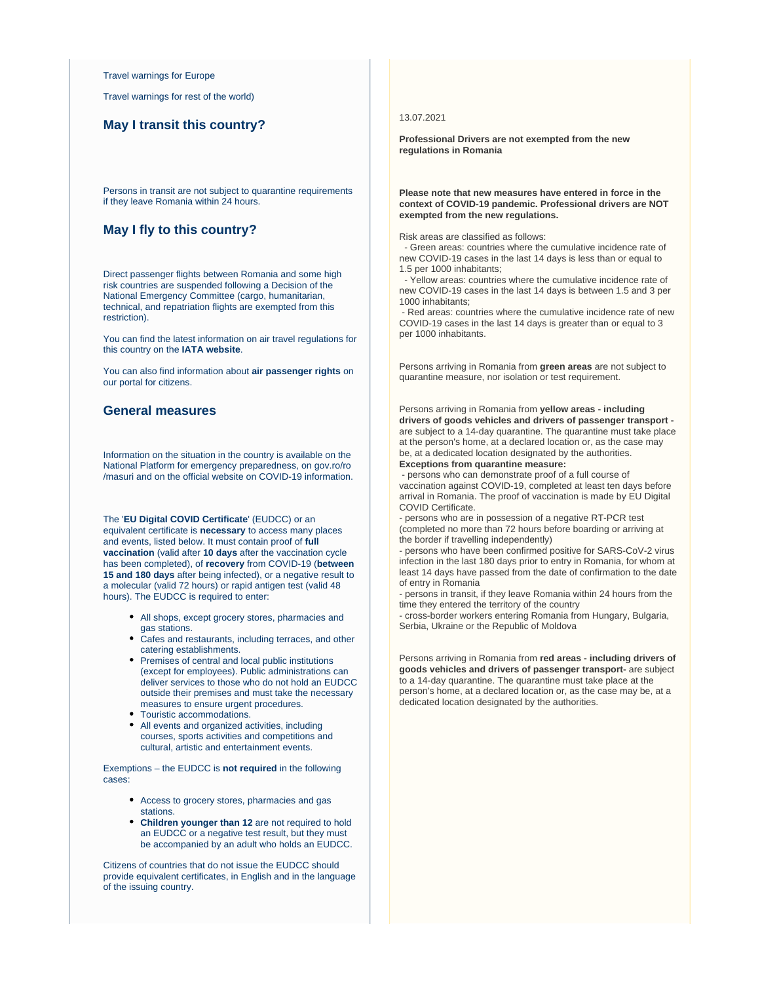[Travel warnings for Europe](http://www.mae.ro/node/51880)

[Travel warnings for rest of the world\)](http://www.mae.ro/node/51982)

## **May I transit this country?**

Persons in transit are not subject to quarantine requirements if they leave Romania within 24 hours.

#### **May I fly to this country?**

Direct passenger flights between Romania and some high risk countries are suspended following a Decision of the National Emergency Committee (cargo, humanitarian, technical, and repatriation flights are exempted from this restriction).

You can find the latest information on air travel regulations for this country on the **[IATA website](https://www.iatatravelcentre.com/international-travel-document-news/1580226297.htm)**.

You can also find information about **[air passenger rights](https://europa.eu/youreurope/citizens/travel/passenger-rights/air/index_en.htm)** on our portal for citizens.

## **General measures**

Information on the situation in the country is available on the [National Platform for emergency preparedness,](https://fiipregatit.ro/sectiune_ghid/restrictii-covid-si-masuri-de-preventie/) on [gov.ro/ro](https://gov.ro/ro/masuri) [/masuri](https://gov.ro/ro/masuri) and on the [official website on COVID-19 information.](https://stirioficiale.ro/informatii)

The '**EU Digital COVID Certificate**' (EUDCC) or an equivalent certificate is **necessary** to access many places and events, listed below. It must contain proof of **full vaccination** (valid after **10 days** after the vaccination cycle has been completed), of **recovery** from COVID-19 (**between 15 and 180 days** after being infected), or a negative result to a molecular (valid 72 hours) or rapid antigen test (valid 48 hours). The EUDCC is required to enter:

- All shops, except grocery stores, pharmacies and gas stations.
- Cafes and restaurants, including terraces, and other catering establishments.
- Premises of central and local public institutions (except for employees). Public administrations can deliver services to those who do not hold an EUDCC outside their premises and must take the necessary measures to ensure urgent procedures.
- Touristic accommodations.
- All events and organized activities, including courses, sports activities and competitions and cultural, artistic and entertainment events.

Exemptions – the EUDCC is **not required** in the following cases:

- Access to grocery stores, pharmacies and gas stations.
- **Children younger than 12** are not required to hold an EUDCC or a negative test result, but they must be accompanied by an adult who holds an EUDCC.

Citizens of countries that do not issue the EUDCC should provide equivalent certificates, in English and in the language of the issuing country.

#### 13.07.2021

**Professional Drivers are not exempted from the new regulations in Romania**

#### **Please note that new measures have entered in force in the context of COVID-19 pandemic. Professional drivers are NOT exempted from the new regulations.**

Risk areas are classified as follows:

 - Green areas: countries where the cumulative incidence rate of new COVID-19 cases in the last 14 days is less than or equal to 1.5 per 1000 inhabitants;

 - Yellow areas: countries where the cumulative incidence rate of new COVID-19 cases in the last 14 days is between 1.5 and 3 per 1000 inhabitants;

 - Red areas: countries where the cumulative incidence rate of new COVID-19 cases in the last 14 days is greater than or equal to 3 per 1000 inhabitants.

Persons arriving in Romania from **green areas** are not subject to quarantine measure, nor isolation or test requirement.

Persons arriving in Romania from **yellow areas - including drivers of goods vehicles and drivers of passenger transport**  are subject to a 14-day quarantine. The quarantine must take place at the person's home, at a declared location or, as the case may be, at a dedicated location designated by the authorities. **Exceptions from quarantine measure:**

 - persons who can demonstrate proof of a full course of vaccination against COVID-19, completed at least ten days before arrival in Romania. The proof of vaccination is made by EU Digital COVID Certificate.

- persons who are in possession of a negative RT-PCR test (completed no more than 72 hours before boarding or arriving at the border if travelling independently)

- persons who have been confirmed positive for SARS-CoV-2 virus infection in the last 180 days prior to entry in Romania, for whom at least 14 days have passed from the date of confirmation to the date of entry in Romania

- persons in transit, if they leave Romania within 24 hours from the time they entered the territory of the country

- cross-border workers entering Romania from Hungary, Bulgaria, Serbia, Ukraine or the Republic of Moldova

Persons arriving in Romania from **red areas - including drivers of goods vehicles and drivers of passenger transport-** are subject to a 14-day quarantine. The quarantine must take place at the person's home, at a declared location or, as the case may be, at a dedicated location designated by the authorities.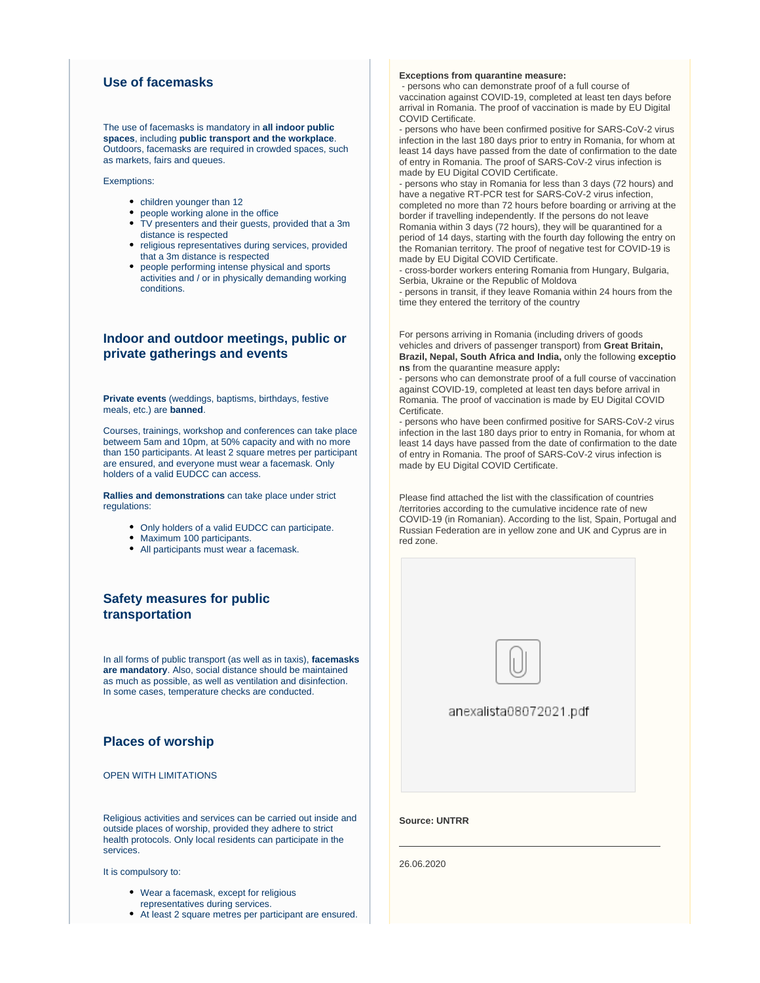## **Use of facemasks**

The use of facemasks is mandatory in **all indoor public spaces**, including **public transport and the workplace**. Outdoors, facemasks are required in crowded spaces, such as markets, fairs and queues.

Exemptions:

- children younger than 12
- people working alone in the office
- TV presenters and their guests, provided that a 3m distance is respected
- religious representatives during services, provided that a 3m distance is respected
- people performing intense physical and sports activities and / or in physically demanding working conditions.

## **Indoor and outdoor meetings, public or private gatherings and events**

**Private events** (weddings, baptisms, birthdays, festive meals, etc.) are **banned**.

Courses, trainings, workshop and conferences can take place betweem 5am and 10pm, at 50% capacity and with no more than 150 participants. At least 2 square metres per participant are ensured, and everyone must wear a facemask. Only holders of a valid EUDCC can access.

**Rallies and demonstrations** can take place under strict regulations:

- Only holders of a valid EUDCC can participate.
- Maximum 100 participants.
- All participants must wear a facemask.

## **Safety measures for public transportation**

In all forms of public transport (as well as in taxis), **facemasks are mandatory**. Also, social distance should be maintained as much as possible, as well as ventilation and disinfection. In some cases, temperature checks are conducted.

## **Places of worship**

OPEN WITH LIMITATIONS

Religious activities and services can be carried out inside and outside places of worship, provided they adhere to strict health protocols. Only local residents can participate in the services.

It is compulsory to:

- Wear a facemask, except for religious representatives during services.
- At least 2 square metres per participant are ensured.

#### **Exceptions from quarantine measure:**

 - persons who can demonstrate proof of a full course of vaccination against COVID-19, completed at least ten days before arrival in Romania. The proof of vaccination is made by EU Digital COVID Certificate.

- persons who have been confirmed positive for SARS-CoV-2 virus infection in the last 180 days prior to entry in Romania, for whom at least 14 days have passed from the date of confirmation to the date of entry in Romania. The proof of SARS-CoV-2 virus infection is made by EU Digital COVID Certificate.

- persons who stay in Romania for less than 3 days (72 hours) and have a negative RT-PCR test for SARS-CoV-2 virus infection. completed no more than 72 hours before boarding or arriving at the border if travelling independently. If the persons do not leave Romania within 3 days (72 hours), they will be quarantined for a period of 14 days, starting with the fourth day following the entry on the Romanian territory. The proof of negative test for COVID-19 is made by EU Digital COVID Certificate.

- cross-border workers entering Romania from Hungary, Bulgaria, Serbia, Ukraine or the Republic of Moldova

- persons in transit, if they leave Romania within 24 hours from the time they entered the territory of the country

For persons arriving in Romania (including drivers of goods vehicles and drivers of passenger transport) from **Great Britain, Brazil, Nepal, South Africa and India,** only the following **exceptio ns** from the quarantine measure apply**:**

- persons who can demonstrate proof of a full course of vaccination against COVID-19, completed at least ten days before arrival in Romania. The proof of vaccination is made by EU Digital COVID Certificate.

- persons who have been confirmed positive for SARS-CoV-2 virus infection in the last 180 days prior to entry in Romania, for whom at least 14 days have passed from the date of confirmation to the date of entry in Romania. The proof of SARS-CoV-2 virus infection is made by EU Digital COVID Certificate.

Please find attached the list with the classification of countries /territories according to the cumulative incidence rate of new COVID-19 (in Romanian). According to the list, Spain, Portugal and Russian Federation are in yellow zone and UK and Cyprus are in red zone.

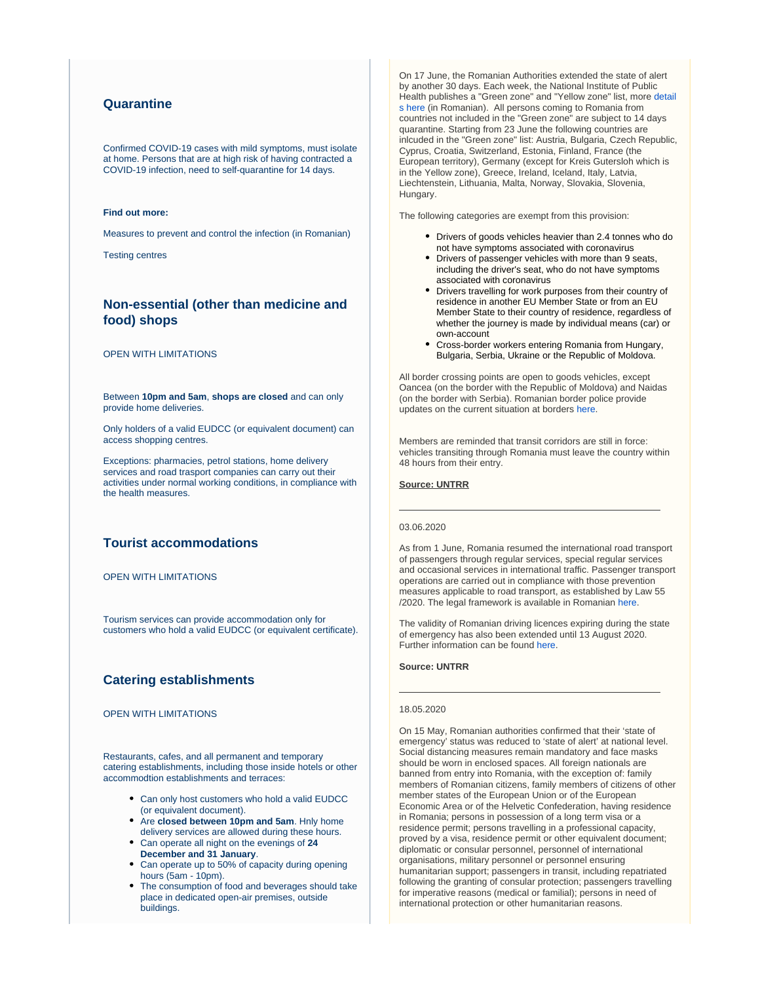## **Quarantine**

Confirmed COVID-19 cases with mild symptoms, must isolate at home. Persons that are at high risk of having contracted a COVID-19 infection, need to self-quarantine for 14 days.

#### **Find out more:**

[Measures to prevent and control the infection](http://www.ms.ro/wp-content/uploads/2020/04/M%C4%83suri-recomandate-de-Societatea-Rom%C3%A2n%C4%83-de-Epidemiologie-privind-prevenirea-%C8%99i-controlul-infec%C8%9B-1.pdf) (in Romanian)

[Testing centres](http://www.ms.ro/centre-testare/)

## **Non-essential (other than medicine and food) shops**

#### OPEN WITH LIMITATIONS

Between **10pm and 5am**, **shops are closed** and can only provide home deliveries.

Only holders of a valid EUDCC (or equivalent document) can access shopping centres.

Exceptions: pharmacies, petrol stations, home delivery services and road trasport companies can carry out their activities under normal working conditions, in compliance with the health measures.

## **Tourist accommodations**

OPEN WITH LIMITATIONS

Tourism services can provide accommodation only for customers who hold a valid EUDCC (or equivalent certificate).

## **Catering establishments**

#### OPEN WITH LIMITATIONS

Restaurants, cafes, and all permanent and temporary catering establishments, including those inside hotels or other accommodtion establishments and terraces:

- Can only host customers who hold a valid EUDCC (or equivalent document).
- Are **closed between 10pm and 5am**. Hnly home delivery services are allowed during these hours.
- Can operate all night on the evenings of **24 December and 31 January**.
- Can operate up to 50% of capacity during opening hours (5am - 10pm).
- The consumption of food and beverages should take place in dedicated open-air premises, outside buildings.

On 17 June, the Romanian Authorities extended the state of alert by another 30 days. Each week, the National Institute of Public Health publishes a "Green zone" and "Yellow zone" list, more [detail](https://www.cnscbt.ro/index.php/liste-zone-afectate-covid-19) [s here](https://www.cnscbt.ro/index.php/liste-zone-afectate-covid-19) (in Romanian). All persons coming to Romania from countries not included in the "Green zone" are subject to 14 days quarantine. Starting from 23 June the following countries are inlcuded in the "Green zone" list: Austria, Bulgaria, Czech Republic, Cyprus, Croatia, Switzerland, Estonia, Finland, France (the European territory), Germany (except for Kreis Gutersloh which is in the Yellow zone), Greece, Ireland, Iceland, Italy, Latvia, Liechtenstein, Lithuania, Malta, Norway, Slovakia, Slovenia, Hungary.

The following categories are exempt from this provision:

- Drivers of goods vehicles heavier than 2.4 tonnes who do not have symptoms associated with coronavirus
- Drivers of passenger vehicles with more than 9 seats, including the driver's seat, who do not have symptoms associated with coronavirus
- Drivers travelling for work purposes from their country of residence in another EU Member State or from an EU Member State to their country of residence, regardless of whether the journey is made by individual means (car) or own-account
- Cross-border workers entering Romania from Hungary, Bulgaria, Serbia, Ukraine or the Republic of Moldova.

All border crossing points are open to goods vehicles, except Oancea (on the border with the Republic of Moldova) and Naidas (on the border with Serbia). Romanian border police provide updates on the current situation at borders [here.](https://www.politiadefrontiera.ro/en/traficonline/?vt=2)

Members are reminded that transit corridors are still in force: vehicles transiting through Romania must leave the country within 48 hours from their entry.

#### **Source: UNTRR**

#### 03.06.2020

As from 1 June, Romania resumed the international road transport of passengers through regular services, special regular services and occasional services in international traffic. Passenger transport operations are carried out in compliance with those prevention measures applicable to road transport, as established by Law 55 /2020. The legal framework is available in Romanian [here](https://www.untrr.ro/meniu-vertical/coronavirus/ncepand-cu-data-de-1-iunie-se-reia-transportul-rutier-international-de-persoane-prin-servicii-regulate-servicii-regulate-speciale-si-servicii-ocazionale-in-trafic-international.html).

The validity of Romanian driving licences expiring during the state of emergency has also been extended until 13 August 2020. Further information can be found [here.](https://ec.europa.eu/transport/coronavirus-response_en)

#### **Source: UNTRR**

#### 18.05.2020

On 15 May, Romanian authorities confirmed that their 'state of emergency' status was reduced to 'state of alert' at national level. Social distancing measures remain mandatory and face masks should be worn in enclosed spaces. All foreign nationals are banned from entry into Romania, with the exception of: family members of Romanian citizens, family members of citizens of other member states of the European Union or of the European Economic Area or of the Helvetic Confederation, having residence in Romania; persons in possession of a long term visa or a residence permit; persons travelling in a professional capacity, proved by a visa, residence permit or other equivalent document; diplomatic or consular personnel, personnel of international organisations, military personnel or personnel ensuring humanitarian support; passengers in transit, including repatriated following the granting of consular protection; passengers travelling for imperative reasons (medical or familial); persons in need of international protection or other humanitarian reasons.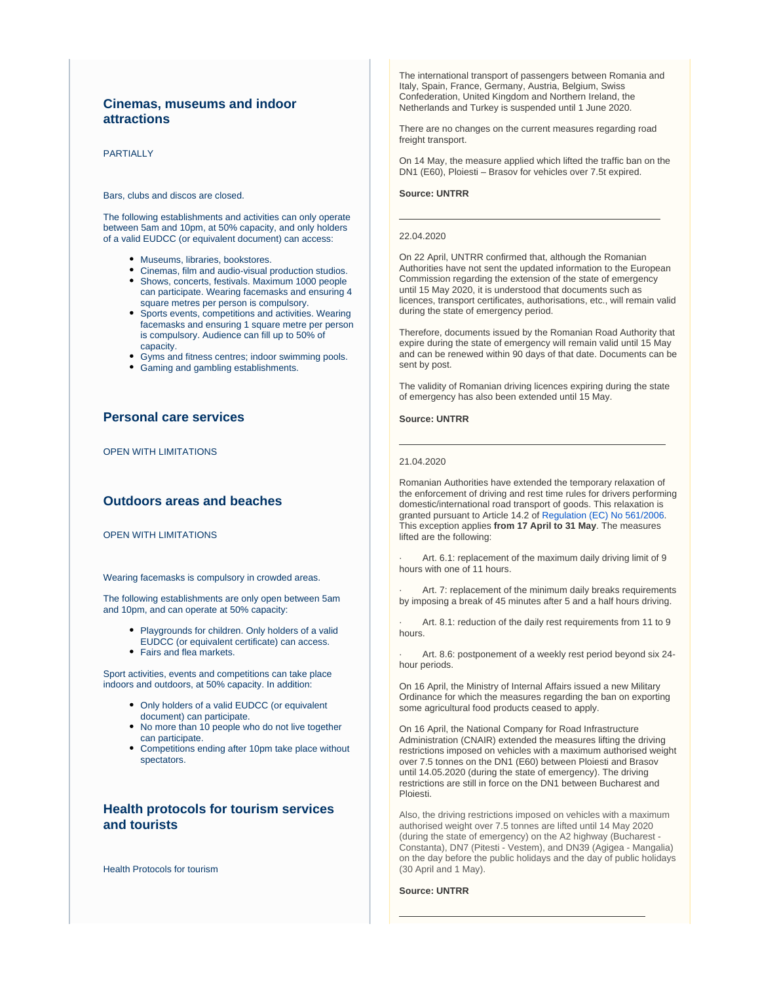## **Cinemas, museums and indoor attractions**

#### **PARTIALLY**

#### Bars, clubs and discos are closed.

The following establishments and activities can only operate between 5am and 10pm, at 50% capacity, and only holders of a valid EUDCC (or equivalent document) can access:

- Museums, libraries, bookstores.
- Cinemas, film and audio-visual production studios.
- Shows, concerts, festivals. Maximum 1000 people can participate. Wearing facemasks and ensuring 4 square metres per person is compulsory.
- Sports events, competitions and activities. Wearing facemasks and ensuring 1 square metre per person is compulsory. Audience can fill up to 50% of capacity.
- Gyms and fitness centres; indoor swimming pools.
- Gaming and gambling establishments.

## **Personal care services**

OPEN WITH LIMITATIONS

## **Outdoors areas and beaches**

OPEN WITH LIMITATIONS

Wearing facemasks is compulsory in crowded areas.

The following establishments are only open between 5am and 10pm, and can operate at 50% capacity:

- Playgrounds for children. Only holders of a valid EUDCC (or equivalent certificate) can access.
- Fairs and flea markets.

Sport activities, events and competitions can take place indoors and outdoors, at 50% capacity. In addition:

- Only holders of a valid EUDCC (or equivalent document) can participate.
- No more than 10 people who do not live together can participate.
- Competitions ending after 10pm take place without spectators.

## **Health protocols for tourism services and tourists**

[Health Protocols for tourism](https://www.cnscbt.ro/)

The international transport of passengers between Romania and Italy, Spain, France, Germany, Austria, Belgium, Swiss Confederation, United Kingdom and Northern Ireland, the Netherlands and Turkey is suspended until 1 June 2020.

There are no changes on the current measures regarding road freight transport.

On 14 May, the measure applied which lifted the traffic ban on the DN1 (E60), Ploiesti – Brasov for vehicles over 7.5t expired.

#### **Source: UNTRR**

#### 22.04.2020

On 22 April, UNTRR confirmed that, although the Romanian Authorities have not sent the updated information to the European Commission regarding the extension of the state of emergency until 15 May 2020, it is understood that documents such as licences, transport certificates, authorisations, etc., will remain valid during the state of emergency period.

Therefore, documents issued by the Romanian Road Authority that expire during the state of emergency will remain valid until 15 May and can be renewed within 90 days of that date. Documents can be sent by post.

The validity of Romanian driving licences expiring during the state of emergency has also been extended until 15 May.

#### **Source: UNTRR**

#### 21.04.2020

Romanian Authorities have extended the temporary relaxation of the enforcement of driving and rest time rules for drivers performing domestic/international road transport of goods. This relaxation is granted pursuant to Article 14.2 of [Regulation \(EC\) No 561/2006](https://www.iru.org/apps/cms-filesystem-action?file=/flashinfo/EU%20Regulation%20No.%20561%202006.pdf). This exception applies **from 17 April to 31 May**. The measures lifted are the following:

Art. 6.1: replacement of the maximum daily driving limit of 9 hours with one of 11 hours.

Art. 7: replacement of the minimum daily breaks requirements by imposing a break of 45 minutes after 5 and a half hours driving.

Art. 8.1: reduction of the daily rest requirements from 11 to 9 hours.

· Art. 8.6: postponement of a weekly rest period beyond six 24 hour periods.

On 16 April, the Ministry of Internal Affairs issued a new Military Ordinance for which the measures regarding the ban on exporting some agricultural food products ceased to apply.

On 16 April, the National Company for Road Infrastructure Administration (CNAIR) extended the measures lifting the driving restrictions imposed on vehicles with a maximum authorised weight over 7.5 tonnes on the DN1 (E60) between Ploiesti and Brasov until 14.05.2020 (during the state of emergency). The driving restrictions are still in force on the DN1 between Bucharest and Ploiesti.

Also, the driving restrictions imposed on vehicles with a maximum authorised weight over 7.5 tonnes are lifted until 14 May 2020 (during the state of emergency) on the A2 highway (Bucharest - Constanta), DN7 (Pitesti - Vestem), and DN39 (Agigea - Mangalia) on the day before the public holidays and the day of public holidays (30 April and 1 May).

#### **Source: UNTRR**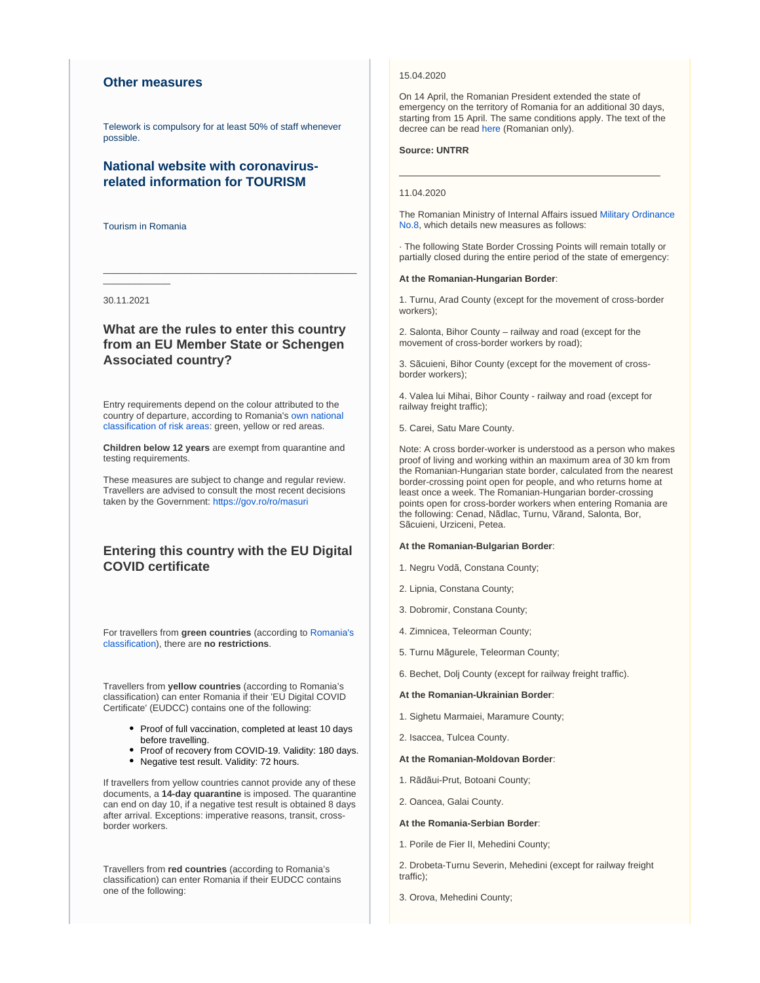## **Other measures**

Telework is compulsory for at least 50% of staff whenever possible.

## **National website with coronavirusrelated information for TOURISM**

[Tourism in Romania](http://romaniatourism.com/)

30.11.2021

 $\overline{\phantom{a}}$   $\overline{\phantom{a}}$   $\overline{\phantom{a}}$   $\overline{\phantom{a}}$   $\overline{\phantom{a}}$   $\overline{\phantom{a}}$   $\overline{\phantom{a}}$   $\overline{\phantom{a}}$   $\overline{\phantom{a}}$   $\overline{\phantom{a}}$   $\overline{\phantom{a}}$   $\overline{\phantom{a}}$   $\overline{\phantom{a}}$   $\overline{\phantom{a}}$   $\overline{\phantom{a}}$   $\overline{\phantom{a}}$   $\overline{\phantom{a}}$   $\overline{\phantom{a}}$   $\overline{\$ 

## **What are the rules to enter this country from an EU Member State or Schengen Associated country?**

\_\_\_\_\_\_\_\_\_\_\_\_\_\_\_\_\_\_\_\_\_\_\_\_\_\_\_\_\_\_\_\_\_\_\_\_\_\_\_\_\_\_\_\_\_\_\_\_\_

Entry requirements depend on the colour attributed to the country of departure, according to Romania's [own national](https://www.cnscbt.ro/index.php/liste-zone-afectate-covid-19/)  [classification of risk areas:](https://www.cnscbt.ro/index.php/liste-zone-afectate-covid-19/) green, yellow or red areas.

**Children below 12 years** are exempt from quarantine and testing requirements.

These measures are subject to change and regular review. Travellers are advised to consult the most recent decisions taken by the Government: <https://gov.ro/ro/masuri>

## **Entering this country with the EU Digital COVID certificate**

For travellers from **green countries** (according to [Romania's](https://www.cnscbt.ro/index.php/liste-zone-afectate-covid-19/)  [classification\)](https://www.cnscbt.ro/index.php/liste-zone-afectate-covid-19/), there are **no restrictions**.

Travellers from **yellow countries** (according to Romania's classification) can enter Romania if their 'EU Digital COVID Certificate' (EUDCC) contains one of the following:

- Proof of full vaccination, completed at least 10 days before travelling.
- Proof of recovery from COVID-19. Validity: 180 days.
- Negative test result. Validity: 72 hours.

If travellers from yellow countries cannot provide any of these documents, a **14-day quarantine** is imposed. The quarantine can end on day 10, if a negative test result is obtained 8 days after arrival. Exceptions: imperative reasons, transit, crossborder workers.

Travellers from **red countries** (according to Romania's classification) can enter Romania if their EUDCC contains one of the following:

#### 15.04.2020

On 14 April, the Romanian President extended the state of emergency on the territory of Romania for an additional 30 days, starting from 15 April. The same conditions apply. The text of the decree can be read [here](https://www.iru.org/apps/cms-filesystem-action?file=/flashinfo/14-04-2020-decret-privind-prelungirea-starii-de-urgenta.pdf) (Romanian only).

#### **Source: UNTRR**

#### 11.04.2020

The Romanian Ministry of Internal Affairs issued [Military Ordinance](https://www.untrr.ro/userfiles/files/Military-Ordinance-no-8.pdf)  [No.8,](https://www.untrr.ro/userfiles/files/Military-Ordinance-no-8.pdf) which details new measures as follows:

· The following State Border Crossing Points will remain totally or partially closed during the entire period of the state of emergency:

#### **At the Romanian-Hungarian Border**:

1. Turnu, Arad County (except for the movement of cross-border workers);

2. Salonta, Bihor County – railway and road (except for the movement of cross-border workers by road);

3. Sãcuieni, Bihor County (except for the movement of crossborder workers);

4. Valea lui Mihai, Bihor County - railway and road (except for railway freight traffic);

5. Carei, Satu Mare County.

Note: A cross border-worker is understood as a person who makes proof of living and working within an maximum area of 30 km from the Romanian-Hungarian state border, calculated from the nearest border-crossing point open for people, and who returns home at least once a week. The Romanian-Hungarian border-crossing points open for cross-border workers when entering Romania are the following: Cenad, Nãdlac, Turnu, Vãrand, Salonta, Bor, Sãcuieni, Urziceni, Petea.

#### **At the Romanian-Bulgarian Border**:

- 1. Negru Vodã, Constana County;
- 2. Lipnia, Constana County;
- 3. Dobromir, Constana County;
- 4. Zimnicea, Teleorman County;
- 5. Turnu Mãgurele, Teleorman County;
- 6. Bechet, Dolj County (except for railway freight traffic).

#### **At the Romanian-Ukrainian Border**:

- 1. Sighetu Marmaiei, Maramure County;
- 2. Isaccea, Tulcea County.

#### **At the Romanian-Moldovan Border**:

- 1. Rãdãui-Prut, Botoani County;
- 2. Oancea, Galai County.

#### **At the Romania-Serbian Border**:

1. Porile de Fier II, Mehedini County;

2. Drobeta-Turnu Severin, Mehedini (except for railway freight traffic);

3. Orova, Mehedini County;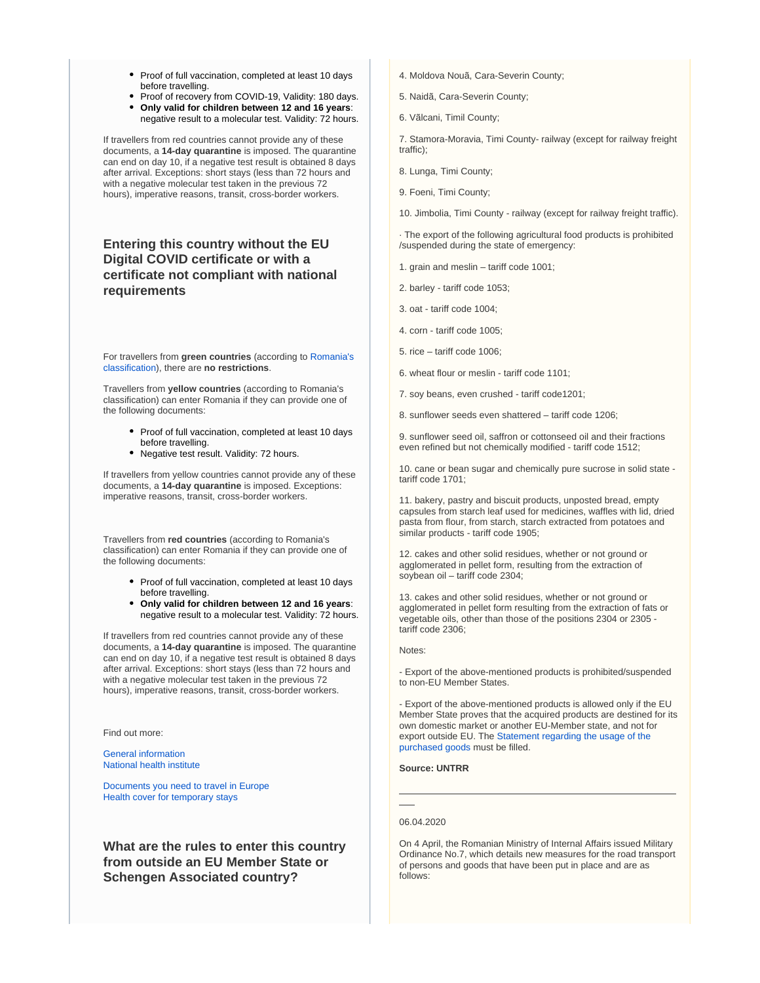- Proof of full vaccination, completed at least 10 days before travelling.
- Proof of recovery from COVID-19, Validity: 180 days. **Only valid for children between 12 and 16 years**: negative result to a molecular test. Validity: 72 hours.

If travellers from red countries cannot provide any of these documents, a **14-day quarantine** is imposed. The quarantine can end on day 10, if a negative test result is obtained 8 days after arrival. Exceptions: short stays (less than 72 hours and with a negative molecular test taken in the previous 72 hours), imperative reasons, transit, cross-border workers.

## **Entering this country without the EU Digital COVID certificate or with a certificate not compliant with national requirements**

For travellers from **green countries** (according to [Romania's](https://www.cnscbt.ro/index.php/liste-zone-afectate-covid-19/)  [classification\)](https://www.cnscbt.ro/index.php/liste-zone-afectate-covid-19/), there are **no restrictions**.

Travellers from **yellow countries** (according to Romania's classification) can enter Romania if they can provide one of the following documents:

- Proof of full vaccination, completed at least 10 days before travelling.
- Negative test result. Validity: 72 hours.

If travellers from yellow countries cannot provide any of these documents, a **14-day quarantine** is imposed. Exceptions: imperative reasons, transit, cross-border workers.

Travellers from **red countries** (according to Romania's classification) can enter Romania if they can provide one of the following documents:

- Proof of full vaccination, completed at least 10 days before travelling.
- **Only valid for children between 12 and 16 years**: negative result to a molecular test. Validity: 72 hours.

If travellers from red countries cannot provide any of these documents, a **14-day quarantine** is imposed. The quarantine can end on day 10, if a negative test result is obtained 8 days after arrival. Exceptions: short stays (less than 72 hours and with a negative molecular test taken in the previous 72 hours), imperative reasons, transit, cross-border workers.

Find out more:

[General information](https://stirioficiale.ro/informatii) [National health institute](https://www.cnscbt.ro/)

[Documents you need to travel in Europe](https://europa.eu/youreurope/citizens/travel/entry-exit/index_en.htm) [Health cover for temporary stays](https://europa.eu/youreurope/citizens/health/unplanned-healthcare/temporary-stays/index_en.htm)

**What are the rules to enter this country from outside an EU Member State or Schengen Associated country?**

- 4. Moldova Nouã, Cara-Severin County;
- 5. Naidã, Cara-Severin County;
- 6. Vãlcani, Timil County;

7. Stamora-Moravia, Timi County- railway (except for railway freight traffic);

8. Lunga, Timi County;

9. Foeni, Timi County;

10. Jimbolia, Timi County - railway (except for railway freight traffic).

· The export of the following agricultural food products is prohibited /suspended during the state of emergency:

1. grain and meslin – tariff code 1001;

2. barley - tariff code 1053;

3. oat - tariff code 1004;

4. corn - tariff code 1005;

5. rice – tariff code 1006;

6. wheat flour or meslin - tariff code 1101;

7. soy beans, even crushed - tariff code1201;

8. sunflower seeds even shattered – tariff code 1206;

9. sunflower seed oil, saffron or cottonseed oil and their fractions even refined but not chemically modified - tariff code 1512;

10. cane or bean sugar and chemically pure sucrose in solid state tariff code 1701;

11. bakery, pastry and biscuit products, unposted bread, empty capsules from starch leaf used for medicines, waffles with lid, dried pasta from flour, from starch, starch extracted from potatoes and similar products - tariff code 1905;

12. cakes and other solid residues, whether or not ground or agglomerated in pellet form, resulting from the extraction of soybean oil – tariff code 2304;

13. cakes and other solid residues, whether or not ground or agglomerated in pellet form resulting from the extraction of fats or vegetable oils, other than those of the positions 2304 or 2305 tariff code 2306;

Notes:

- Export of the above-mentioned products is prohibited/suspended to non-EU Member States.

- Export of the above-mentioned products is allowed only if the EU Member State proves that the acquired products are destined for its own domestic market or another EU-Member state, and not for export outside EU. The [Statement regarding the usage of the](https://www.iru.org/apps/cms-filesystem-action?file=/flashinfo/Statement_Romania_11.04.pdf)  [purchased goods](https://www.iru.org/apps/cms-filesystem-action?file=/flashinfo/Statement_Romania_11.04.pdf) must be filled.

#### **Source: UNTRR**

## 06.04.2020

On 4 April, the Romanian Ministry of Internal Affairs issued Military Ordinance No.7, which details new measures for the road transport of persons and goods that have been put in place and are as follows: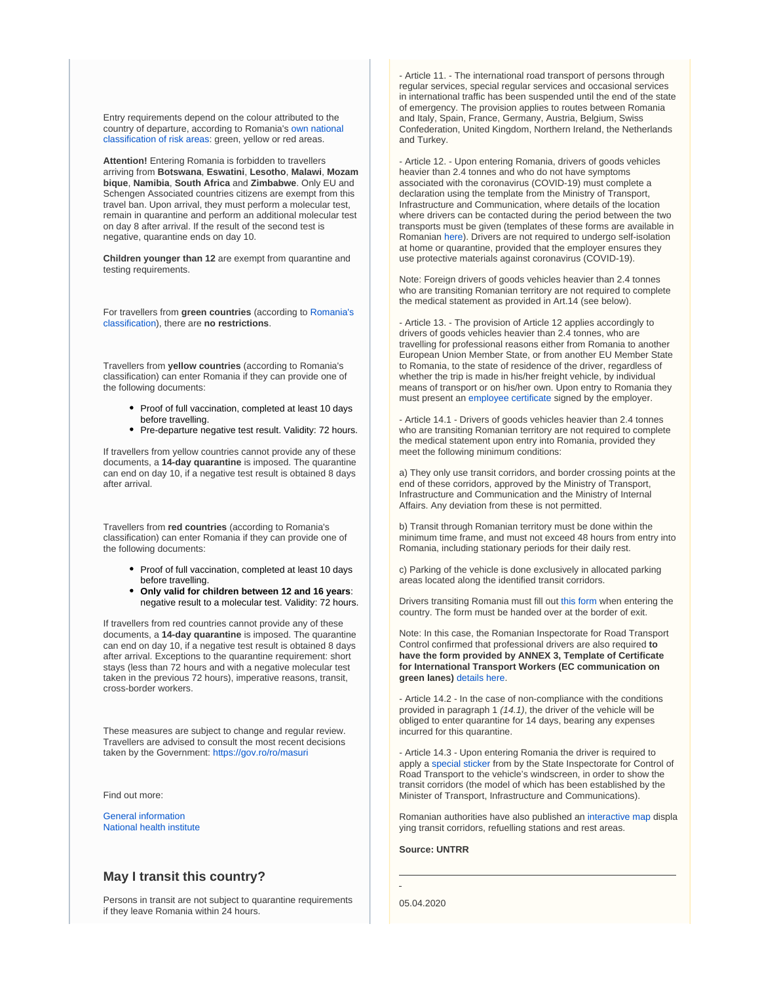Entry requirements depend on the colour attributed to the country of departure, according to Romania's [own national](https://www.cnscbt.ro/index.php/liste-zone-afectate-covid-19/)  [classification of risk areas:](https://www.cnscbt.ro/index.php/liste-zone-afectate-covid-19/) green, yellow or red areas.

**Attention!** Entering Romania is forbidden to travellers arriving from **Botswana**, **Eswatini**, **Lesotho**, **Malawi**, **Mozam bique**, **Namibia**, **South Africa** and **Zimbabwe**. Only EU and Schengen Associated countries citizens are exempt from this travel ban. Upon arrival, they must perform a molecular test, remain in quarantine and perform an additional molecular test on day 8 after arrival. If the result of the second test is negative, quarantine ends on day 10.

**Children younger than 12** are exempt from quarantine and testing requirements.

For travellers from **green countries** (according to [Romania's](https://www.cnscbt.ro/index.php/liste-zone-afectate-covid-19/)  [classification\)](https://www.cnscbt.ro/index.php/liste-zone-afectate-covid-19/), there are **no restrictions**.

Travellers from **yellow countries** (according to Romania's classification) can enter Romania if they can provide one of the following documents:

- Proof of full vaccination, completed at least 10 days before travelling.
- Pre-departure negative test result. Validity: 72 hours.

If travellers from yellow countries cannot provide any of these documents, a **14-day quarantine** is imposed. The quarantine can end on day 10, if a negative test result is obtained 8 days after arrival.

Travellers from **red countries** (according to Romania's classification) can enter Romania if they can provide one of the following documents:

- Proof of full vaccination, completed at least 10 days before travelling.
- **Only valid for children between 12 and 16 years**: negative result to a molecular test. Validity: 72 hours.

If travellers from red countries cannot provide any of these documents, a **14-day quarantine** is imposed. The quarantine can end on day 10, if a negative test result is obtained 8 days after arrival. Exceptions to the quarantine requirement: short stays (less than 72 hours and with a negative molecular test taken in the previous 72 hours), imperative reasons, transit, cross-border workers.

These measures are subject to change and regular review. Travellers are advised to consult the most recent decisions taken by the Government: <https://gov.ro/ro/masuri>

Find out more:

[General information](https://stirioficiale.ro/informatii) [National health institute](https://www.cnscbt.ro/)

## **May I transit this country?**

Persons in transit are not subject to quarantine requirements if they leave Romania within 24 hours.

- Article 11. - The international road transport of persons through regular services, special regular services and occasional services in international traffic has been suspended until the end of the state of emergency. The provision applies to routes between Romania and Italy, Spain, France, Germany, Austria, Belgium, Swiss Confederation, United Kingdom, Northern Ireland, the Netherlands and Turkey.

- Article 12. - Upon entering Romania, drivers of goods vehicles heavier than 2.4 tonnes and who do not have symptoms associated with the coronavirus (COVID-19) must complete a declaration using the template from the Ministry of Transport, Infrastructure and Communication, where details of the location where drivers can be contacted during the period between the two transports must be given (templates of these forms are available in Romanian [here](https://www.untrr.ro/userfiles/files/RO%20-%20formular%20COND%20AUTO%20ACTUALIZAT%20%20MTIC03.04.2020.pdf)). Drivers are not required to undergo self-isolation at home or quarantine, provided that the employer ensures they use protective materials against coronavirus (COVID-19).

Note: Foreign drivers of goods vehicles heavier than 2.4 tonnes who are transiting Romanian territory are not required to complete the medical statement as provided in Art.14 (see below).

- Article 13. - The provision of Article 12 applies accordingly to drivers of goods vehicles heavier than 2.4 tonnes, who are travelling for professional reasons either from Romania to another European Union Member State, or from another EU Member State to Romania, to the state of residence of the driver, regardless of whether the trip is made in his/her freight vehicle, by individual means of transport or on his/her own. Upon entry to Romania they must present an [employee certificate](https://www.untrr.ro/userfiles/files/Adeverin%C8%9B%C4%83-angajator-in-engleza-1.pdf) signed by the employer.

- Article 14.1 - Drivers of goods vehicles heavier than 2.4 tonnes who are transiting Romanian territory are not required to complete the medical statement upon entry into Romania, provided they meet the following minimum conditions:

a) They only use transit corridors, and border crossing points at the end of these corridors, approved by the Ministry of Transport, Infrastructure and Communication and the Ministry of Internal Affairs. Any deviation from these is not permitted.

b) Transit through Romanian territory must be done within the minimum time frame, and must not exceed 48 hours from entry into Romania, including stationary periods for their daily rest.

c) Parking of the vehicle is done exclusively in allocated parking areas located along the identified transit corridors.

Drivers transiting Romania must fill out [this form](https://www.iru.org/apps/cms-filesystem-action?file=/flashinfo/romania.pdf) when entering the country. The form must be handed over at the border of exit.

Note: In this case, the Romanian Inspectorate for Road Transport Control confirmed that professional drivers are also required **to have the form provided by ANNEX 3, Template of Certificate for International Transport Workers (EC communication on green lanes)** [details here.](https://www.untrr.ro/userfiles/files/ANEXA%203%20-%20Certicat%20emis%20de%20firma%20pentru%20transport%20international%20soferi%20profesionisti.pdf)

- Article 14.2 - In the case of non-compliance with the conditions provided in paragraph 1 (14.1), the driver of the vehicle will be obliged to enter quarantine for 14 days, bearing any expenses incurred for this quarantine.

- Article 14.3 - Upon entering Romania the driver is required to apply a [special sticker](https://www.untrr.ro/userfiles/files/tranzit%20romania%281%29.pdf) from by the State Inspectorate for Control of Road Transport to the vehicle's windscreen, in order to show the transit corridors (the model of which has been established by the Minister of Transport, Infrastructure and Communications).

Romanian authorities have also published an [interactive map](https://cestrin.maps.arcgis.com/apps/webappviewer/index.html?id=2cd8851109eb443ab4c09cb0ec96b054) displa ying transit corridors, refuelling stations and rest areas.

**Source: UNTRR**

05.04.2020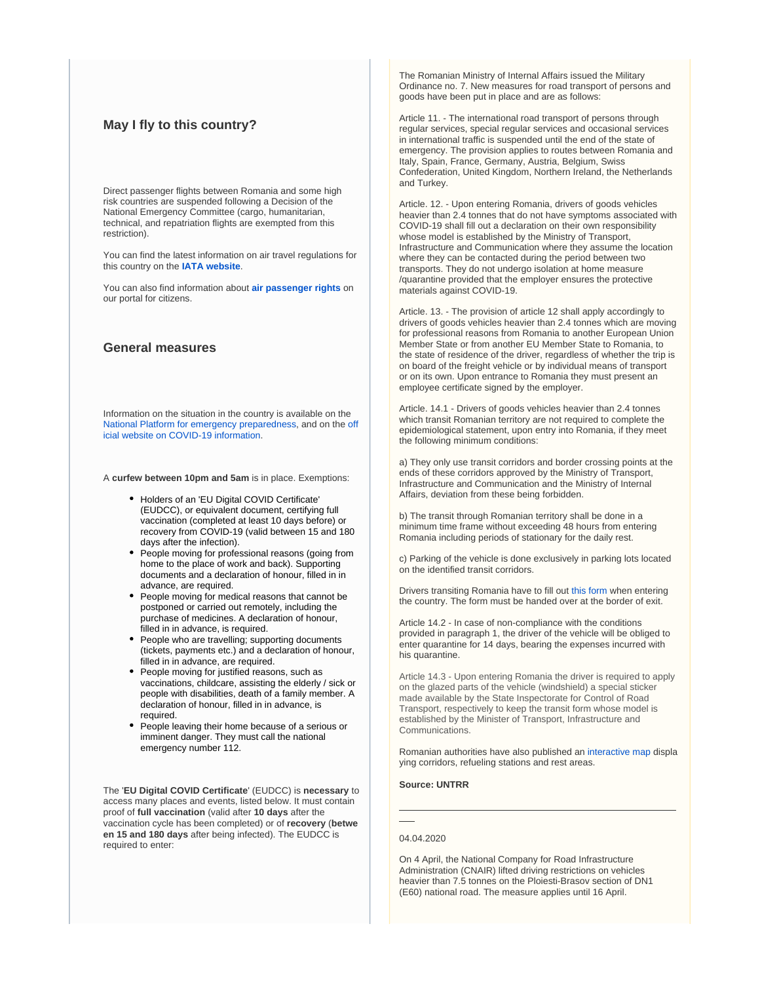## **May I fly to this country?**

Direct passenger flights between Romania and some high risk countries are suspended following a Decision of the National Emergency Committee (cargo, humanitarian, technical, and repatriation flights are exempted from this restriction).

You can find the latest information on air travel regulations for this country on the **[IATA website](https://www.iatatravelcentre.com/international-travel-document-news/1580226297.htm)**.

You can also find information about **[air passenger rights](https://europa.eu/youreurope/citizens/travel/passenger-rights/air/index_en.htm)** on our portal for citizens.

## **General measures**

Information on the situation in the country is available on the [National Platform for emergency preparedness,](https://fiipregatit.ro/sectiune_ghid/restrictii-covid-si-masuri-de-preventie/) and on the [off](https://stirioficiale.ro/informatii) [icial website on COVID-19 information.](https://stirioficiale.ro/informatii)

A **curfew between 10pm and 5am** is in place. Exemptions:

- Holders of an 'EU Digital COVID Certificate' (EUDCC), or equivalent document, certifying full vaccination (completed at least 10 days before) or recovery from COVID-19 (valid between 15 and 180 days after the infection).
- People moving for professional reasons (going from home to the place of work and back). Supporting documents and a declaration of honour, filled in in advance, are required.
- People moving for medical reasons that cannot be postponed or carried out remotely, including the purchase of medicines. A declaration of honour, filled in in advance, is required.
- People who are travelling; supporting documents (tickets, payments etc.) and a declaration of honour, filled in in advance, are required.
- People moving for justified reasons, such as vaccinations, childcare, assisting the elderly / sick or people with disabilities, death of a family member. A declaration of honour, filled in in advance, is required.
- People leaving their home because of a serious or imminent danger. They must call the national emergency number 112.

The '**EU Digital COVID Certificate**' (EUDCC) is **necessary** to access many places and events, listed below. It must contain proof of **full vaccination** (valid after **10 days** after the vaccination cycle has been completed) or of **recovery** (**betwe en 15 and 180 days** after being infected). The EUDCC is required to enter:

The Romanian Ministry of Internal Affairs issued the Military Ordinance no. 7. New measures for road transport of persons and goods have been put in place and are as follows:

Article 11. - The international road transport of persons through regular services, special regular services and occasional services in international traffic is suspended until the end of the state of emergency. The provision applies to routes between Romania and Italy, Spain, France, Germany, Austria, Belgium, Swiss Confederation, United Kingdom, Northern Ireland, the Netherlands and Turkey.

Article. 12. - Upon entering Romania, drivers of goods vehicles heavier than 2.4 tonnes that do not have symptoms associated with COVID-19 shall fill out a declaration on their own responsibility whose model is established by the Ministry of Transport, Infrastructure and Communication where they assume the location where they can be contacted during the period between two transports. They do not undergo isolation at home measure /quarantine provided that the employer ensures the protective materials against COVID-19.

Article. 13. - The provision of article 12 shall apply accordingly to drivers of goods vehicles heavier than 2.4 tonnes which are moving for professional reasons from Romania to another European Union Member State or from another EU Member State to Romania, to the state of residence of the driver, regardless of whether the trip is on board of the freight vehicle or by individual means of transport or on its own. Upon entrance to Romania they must present an employee certificate signed by the employer.

Article. 14.1 - Drivers of goods vehicles heavier than 2.4 tonnes which transit Romanian territory are not required to complete the epidemiological statement, upon entry into Romania, if they meet the following minimum conditions:

a) They only use transit corridors and border crossing points at the ends of these corridors approved by the Ministry of Transport, Infrastructure and Communication and the Ministry of Internal Affairs, deviation from these being forbidden.

b) The transit through Romanian territory shall be done in a minimum time frame without exceeding 48 hours from entering Romania including periods of stationary for the daily rest.

c) Parking of the vehicle is done exclusively in parking lots located on the identified transit corridors.

Drivers transiting Romania have to fill out [this form](https://www.iru.org/apps/cms-filesystem-action?file=/flashinfo/romania.pdf) when entering the country. The form must be handed over at the border of exit.

Article 14.2 - In case of non-compliance with the conditions provided in paragraph 1, the driver of the vehicle will be obliged to enter quarantine for 14 days, bearing the expenses incurred with his quarantine.

Article 14.3 - Upon entering Romania the driver is required to apply on the glazed parts of the vehicle (windshield) a special sticker made available by the State Inspectorate for Control of Road Transport, respectively to keep the transit form whose model is established by the Minister of Transport, Infrastructure and Communications.

Romanian authorities have also published an [interactive map](https://cestrin.maps.arcgis.com/apps/webappviewer/index.html?id=2cd8851109eb443ab4c09cb0ec96b054) displa ying corridors, refueling stations and rest areas.

**Source: UNTRR**

#### 04.04.2020

On 4 April, the National Company for Road Infrastructure Administration (CNAIR) lifted driving restrictions on vehicles heavier than 7.5 tonnes on the Ploiesti-Brasov section of DN1 (E60) national road. The measure applies until 16 April.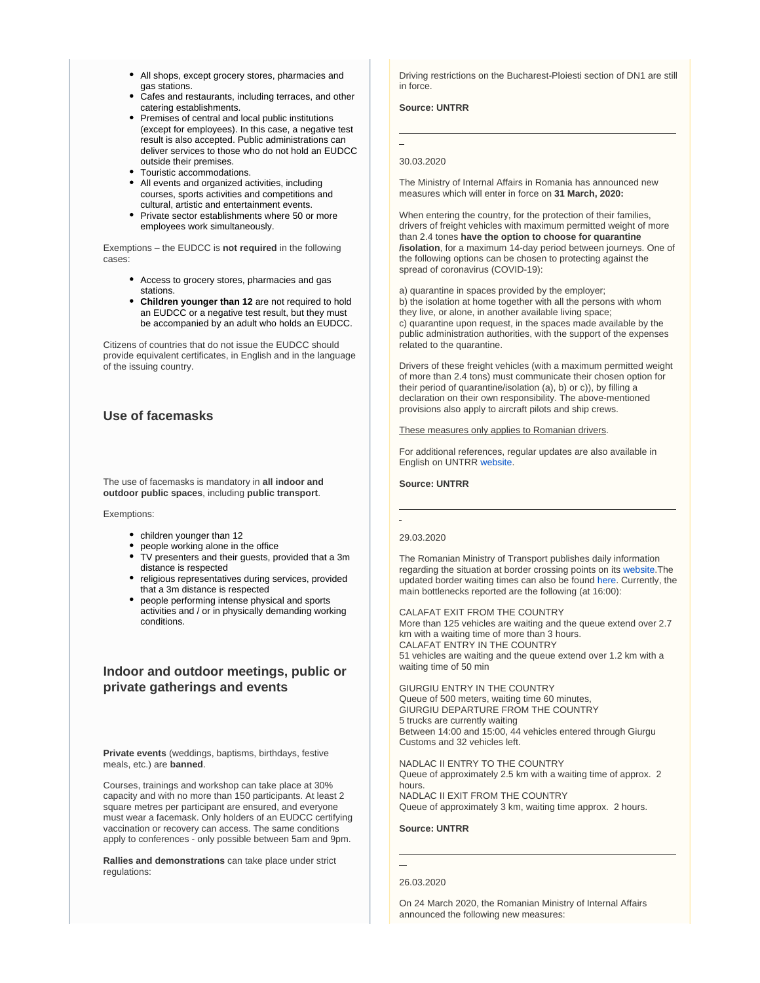- All shops, except grocery stores, pharmacies and gas stations.
- Cafes and restaurants, including terraces, and other catering establishments.
- Premises of central and local public institutions (except for employees). In this case, a negative test result is also accepted. Public administrations can deliver services to those who do not hold an EUDCC outside their premises.
- Touristic accommodations.
- All events and organized activities, including courses, sports activities and competitions and cultural, artistic and entertainment events.
- Private sector establishments where 50 or more employees work simultaneously.

Exemptions – the EUDCC is **not required** in the following cases:

- Access to grocery stores, pharmacies and gas stations.
- **Children younger than 12** are not required to hold an EUDCC or a negative test result, but they must be accompanied by an adult who holds an EUDCC.

Citizens of countries that do not issue the EUDCC should provide equivalent certificates, in English and in the language of the issuing country.

## **Use of facemasks**

The use of facemasks is mandatory in **all indoor and outdoor public spaces**, including **public transport**.

Exemptions:

- children younger than 12
- people working alone in the office
- TV presenters and their guests, provided that a 3m distance is respected
- religious representatives during services, provided that a 3m distance is respected
- people performing intense physical and sports activities and / or in physically demanding working conditions.

## **Indoor and outdoor meetings, public or private gatherings and events**

**Private events** (weddings, baptisms, birthdays, festive meals, etc.) are **banned**.

Courses, trainings and workshop can take place at 30% capacity and with no more than 150 participants. At least 2 square metres per participant are ensured, and everyone must wear a facemask. Only holders of an EUDCC certifying vaccination or recovery can access. The same conditions apply to conferences - only possible between 5am and 9pm.

**Rallies and demonstrations** can take place under strict regulations:

Driving restrictions on the Bucharest-Ploiesti section of DN1 are still in force.

**Source: UNTRR**

#### 30.03.2020

The Ministry of Internal Affairs in Romania has announced new measures which will enter in force on **31 March, 2020:**

When entering the country, for the protection of their families, drivers of freight vehicles with maximum permitted weight of more than 2.4 tones **have the option to choose for quarantine /isolation**, for a maximum 14-day period between journeys. One of the following options can be chosen to protecting against the spread of coronavirus (COVID-19):

a) quarantine in spaces provided by the employer; b) the isolation at home together with all the persons with whom they live, or alone, in another available living space; c) quarantine upon request, in the spaces made available by the public administration authorities, with the support of the expenses related to the quarantine.

Drivers of these freight vehicles (with a maximum permitted weight of more than 2.4 tons) must communicate their chosen option for their period of quarantine/isolation (a), b) or c)), by filling a declaration on their own responsibility. The above-mentioned provisions also apply to aircraft pilots and ship crews.

These measures only applies to Romanian drivers.

For additional references, regular updates are also available in English on UNTRR [website.](https://www.untrr.ro/en/)

**Source: UNTRR**

#### 29.03.2020

The Romanian Ministry of Transport publishes daily information regarding the situation at border crossing points on its [website.](http://www.mt.gov.ro/web14/)The updated border waiting times can also be found [here](https://www.politiadefrontiera.ro/en/traficonline/?vt=2&dt=1). Currently, the main bottlenecks reported are the following (at 16:00):

CALAFAT EXIT FROM THE COUNTRY More than 125 vehicles are waiting and the queue extend over 2.7 km with a waiting time of more than 3 hours. CALAFAT ENTRY IN THE COUNTRY 51 vehicles are waiting and the queue extend over 1.2 km with a waiting time of 50 min

GIURGIU ENTRY IN THE COUNTRY Queue of 500 meters, waiting time 60 minutes, GIURGIU DEPARTURE FROM THE COUNTRY 5 trucks are currently waiting Between 14:00 and 15:00, 44 vehicles entered through Giurgu Customs and 32 vehicles left.

NADLAC II ENTRY TO THE COUNTRY Queue of approximately 2.5 km with a waiting time of approx. 2 hours. NADLAC II EXIT FROM THE COUNTRY Queue of approximately 3 km, waiting time approx. 2 hours.

#### **Source: UNTRR**

On 24 March 2020, the Romanian Ministry of Internal Affairs announced the following new measures:

<sup>26.03.2020</sup>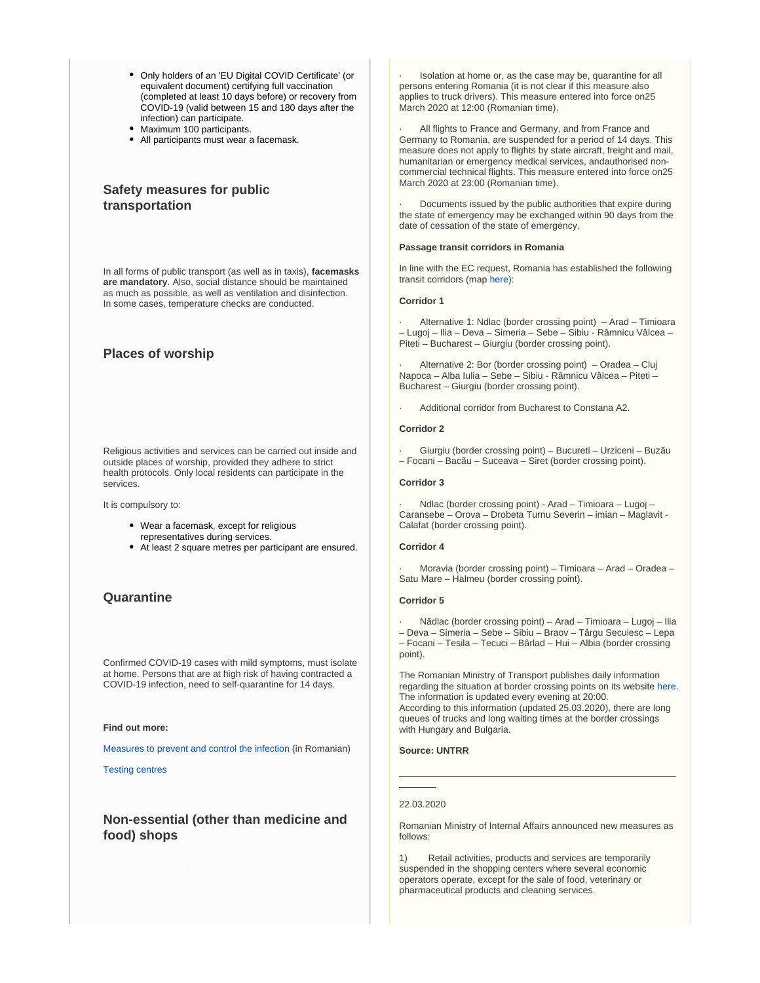- Only holders of an 'EU Digital COVID Certificate' (or equivalent document) certifying full vaccination (completed at least 10 days before) or recovery from COVID-19 (valid between 15 and 180 days after the infection) can participate.
- Maximum 100 participants.
- All participants must wear a facemask.

## **Safety measures for public transportation**

In all forms of public transport (as well as in taxis), **facemasks are mandatory**. Also, social distance should be maintained as much as possible, as well as ventilation and disinfection. In some cases, temperature checks are conducted.

## **Places of worship**

Religious activities and services can be carried out inside and outside places of worship, provided they adhere to strict health protocols. Only local residents can participate in the services.

It is compulsory to:

- Wear a facemask, except for religious representatives during services.
- At least 2 square metres per participant are ensured.

## **Quarantine**

Confirmed COVID-19 cases with mild symptoms, must isolate at home. Persons that are at high risk of having contracted a COVID-19 infection, need to self-quarantine for 14 days.

#### **Find out more:**

[Measures to prevent and control the infection](http://www.ms.ro/wp-content/uploads/2020/04/M%C4%83suri-recomandate-de-Societatea-Rom%C3%A2n%C4%83-de-Epidemiologie-privind-prevenirea-%C8%99i-controlul-infec%C8%9B-1.pdf) (in Romanian)

[Testing centres](http://www.ms.ro/centre-testare/)

## **Non-essential (other than medicine and food) shops**

Isolation at home or, as the case may be, quarantine for all persons entering Romania (it is not clear if this measure also applies to truck drivers). This measure entered into force on25 March 2020 at 12:00 (Romanian time).

All flights to France and Germany, and from France and Germany to Romania, are suspended for a period of 14 days. This measure does not apply to flights by state aircraft, freight and mail, humanitarian or emergency medical services, andauthorised noncommercial technical flights. This measure entered into force on25 March 2020 at 23:00 (Romanian time).

Documents issued by the public authorities that expire during the state of emergency may be exchanged within 90 days from the date of cessation of the state of emergency.

#### **Passage transit corridors in Romania**

In line with the EC request, Romania has established the following transit corridors (map [here\)](https://www.iru.org/apps/cms-filesystem-action?file=/flashinfo/romania%20corridors.jpg):

#### **Corridor 1**

Alternative 1: Ndlac (border crossing point) – Arad – Timioara – Lugoj – Ilia – Deva – Simeria – Sebe – Sibiu - Râmnicu Vâlcea – Piteti – Bucharest – Giurgiu (border crossing point).

Alternative 2: Bor (border crossing point) – Oradea – Cluj Napoca – Alba Iulia – Sebe – Sibiu - Râmnicu Vâlcea – Piteti – Bucharest – Giurgiu (border crossing point).

· Additional corridor from Bucharest to Constana A2.

#### **Corridor 2**

· Giurgiu (border crossing point) – Bucureti – Urziceni – Buzãu – Focani – Bacãu – Suceava – Siret (border crossing point).

#### **Corridor 3**

· Ndlac (border crossing point) - Arad – Timioara – Lugoj – Caransebe – Orova – Drobeta Turnu Severin – imian – Maglavit - Calafat (border crossing point).

#### **Corridor 4**

· Moravia (border crossing point) – Timioara – Arad – Oradea – Satu Mare – Halmeu (border crossing point).

#### **Corridor 5**

· Nãdlac (border crossing point) – Arad – Timioara – Lugoj – Ilia – Deva – Simeria – Sebe – Sibiu – Braov – Târgu Secuiesc – Lepa – Focani – Tesila – Tecuci – Bârlad – Hui – Albia (border crossing point).

The Romanian Ministry of Transport publishes daily information regarding the situation at border crossing points on its website [here.](http://mt.ro/web14/covid-19/2893-25032020ptf20?tmpl=component&print=1&ml=1) The information is updated every evening at 20:00. According to this information (updated 25.03.2020), there are long queues of trucks and long waiting times at the border crossings with Hungary and Bulgaria.

#### **Source: UNTRR**

#### 22.03.2020

Romanian Ministry of Internal Affairs announced new measures as follows:

Retail activities, products and services are temporarily suspended in the shopping centers where several economic operators operate, except for the sale of food, veterinary or pharmaceutical products and cleaning services.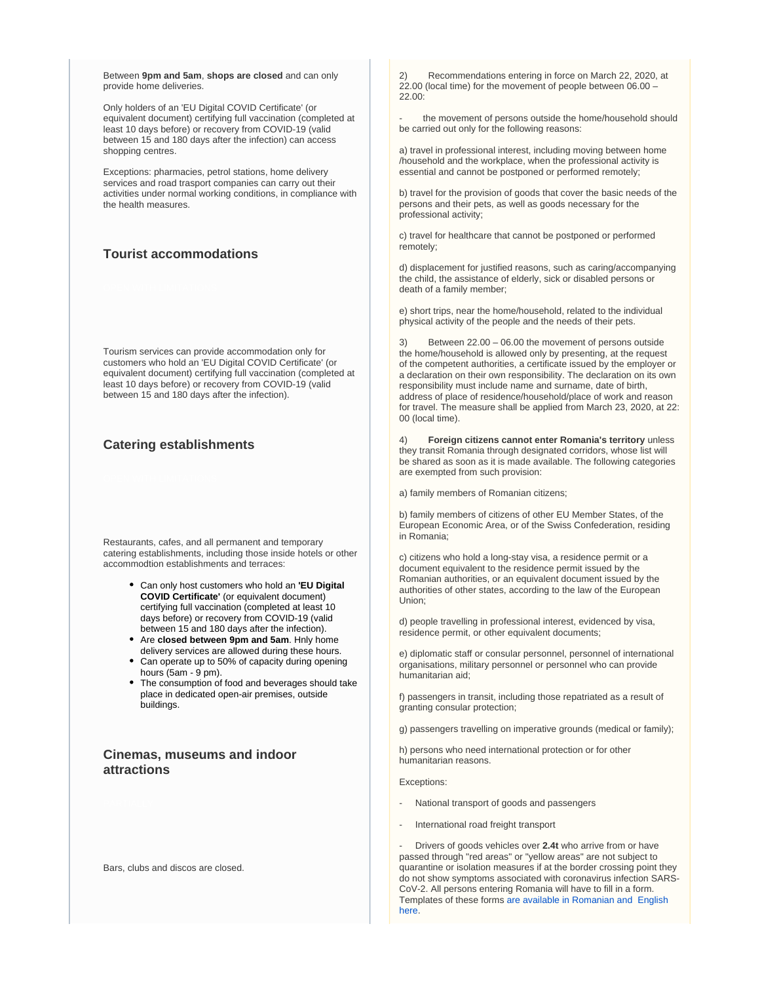Between **9pm and 5am**, **shops are closed** and can only provide home deliveries.

Only holders of an 'EU Digital COVID Certificate' (or equivalent document) certifying full vaccination (completed at least 10 days before) or recovery from COVID-19 (valid between 15 and 180 days after the infection) can access shopping centres.

Exceptions: pharmacies, petrol stations, home delivery services and road trasport companies can carry out their activities under normal working conditions, in compliance with the health measures.

## **Tourist accommodations**

Tourism services can provide accommodation only for customers who hold an 'EU Digital COVID Certificate' (or equivalent document) certifying full vaccination (completed at least 10 days before) or recovery from COVID-19 (valid between 15 and 180 days after the infection).

## **Catering establishments**

Restaurants, cafes, and all permanent and temporary catering establishments, including those inside hotels or other accommodtion establishments and terraces:

- Can only host customers who hold an **'EU Digital COVID Certificate'** (or equivalent document) certifying full vaccination (completed at least 10 days before) or recovery from COVID-19 (valid between 15 and 180 days after the infection).
- Are **closed between 9pm and 5am**. Hnly home delivery services are allowed during these hours.
- Can operate up to 50% of capacity during opening hours (5am - 9 pm).
- The consumption of food and beverages should take place in dedicated open-air premises, outside buildings.

## **Cinemas, museums and indoor attractions**

Bars, clubs and discos are closed.

2) Recommendations entering in force on March 22, 2020, at 22.00 (local time) for the movement of people between 06.00 – 22.00:

the movement of persons outside the home/household should be carried out only for the following reasons:

a) travel in professional interest, including moving between home /household and the workplace, when the professional activity is essential and cannot be postponed or performed remotely;

b) travel for the provision of goods that cover the basic needs of the persons and their pets, as well as goods necessary for the professional activity;

c) travel for healthcare that cannot be postponed or performed remotely;

d) displacement for justified reasons, such as caring/accompanying the child, the assistance of elderly, sick or disabled persons or death of a family member;

e) short trips, near the home/household, related to the individual physical activity of the people and the needs of their pets.

Between 22.00 – 06.00 the movement of persons outside the home/household is allowed only by presenting, at the request of the competent authorities, a certificate issued by the employer or a declaration on their own responsibility. The declaration on its own responsibility must include name and surname, date of birth, address of place of residence/household/place of work and reason for travel. The measure shall be applied from March 23, 2020, at 22: 00 (local time).

4) **Foreign citizens cannot enter Romania's territory** unless they transit Romania through designated corridors, whose list will be shared as soon as it is made available. The following categories are exempted from such provision:

a) family members of Romanian citizens;

b) family members of citizens of other EU Member States, of the European Economic Area, or of the Swiss Confederation, residing in Romania;

c) citizens who hold a long-stay visa, a residence permit or a document equivalent to the residence permit issued by the Romanian authorities, or an equivalent document issued by the authorities of other states, according to the law of the European Union;

d) people travelling in professional interest, evidenced by visa, residence permit, or other equivalent documents;

e) diplomatic staff or consular personnel, personnel of international organisations, military personnel or personnel who can provide humanitarian aid;

f) passengers in transit, including those repatriated as a result of granting consular protection;

g) passengers travelling on imperative grounds (medical or family);

h) persons who need international protection or for other humanitarian reasons.

Exceptions:

- National transport of goods and passengers
- International road freight transport

- Drivers of goods vehicles over **2.4t** who arrive from or have passed through "red areas" or "yellow areas" are not subject to quarantine or isolation measures if at the border crossing point they do not show symptoms associated with coronavirus infection SARS-CoV-2. All persons entering Romania will have to fill in a form. Templates of these forms [are available in Romanian and English](https://www.politiadefrontiera.ro/files/docu/1583921819427-declaratiemodelnoupdfpdf.pdf)  [here.](https://www.politiadefrontiera.ro/files/docu/1583921819427-declaratiemodelnoupdfpdf.pdf)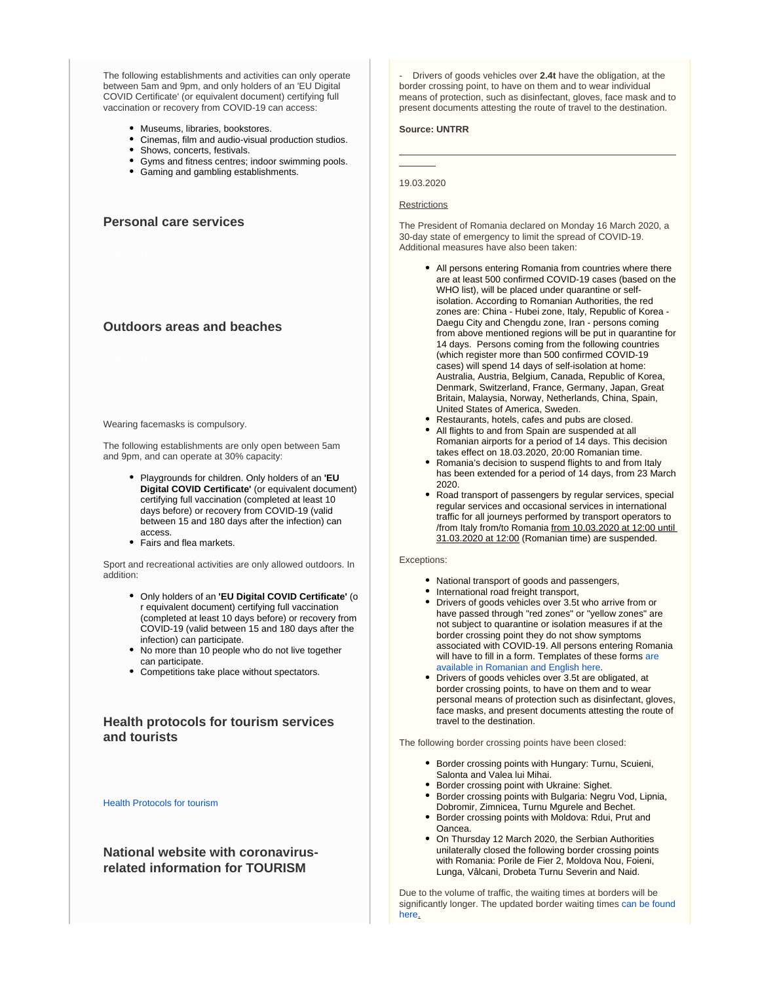The following establishments and activities can only operate between 5am and 9pm, and only holders of an 'EU Digital COVID Certificate' (or equivalent document) certifying full vaccination or recovery from COVID-19 can access:

- Museums, libraries, bookstores.
- Cinemas, film and audio-visual production studios.
- Shows, concerts, festivals.
- Gyms and fitness centres; indoor swimming pools.
- Gaming and gambling establishments.

**Personal care services**

## **Outdoors areas and beaches**

#### Wearing facemasks is compulsory.

The following establishments are only open between 5am and 9pm, and can operate at 30% capacity:

- Playgrounds for children. Only holders of an **'EU Digital COVID Certificate'** (or equivalent document) certifying full vaccination (completed at least 10 days before) or recovery from COVID-19 (valid between 15 and 180 days after the infection) can access.
- Fairs and flea markets.

Sport and recreational activities are only allowed outdoors. In addition:

- Only holders of an **'EU Digital COVID Certificate'** (o r equivalent document) certifying full vaccination (completed at least 10 days before) or recovery from COVID-19 (valid between 15 and 180 days after the infection) can participate.
- No more than 10 people who do not live together can participate.
- Competitions take place without spectators.

## **Health protocols for tourism services and tourists**

#### [Health Protocols for tourism](https://www.cnscbt.ro/)

## **National website with coronavirusrelated information for TOURISM**

- Drivers of goods vehicles over **2.4t** have the obligation, at the border crossing point, to have on them and to wear individual means of protection, such as disinfectant, gloves, face mask and to present documents attesting the route of travel to the destination.

#### **Source: UNTRR**

#### 19.03.2020

#### **Restrictions**

The President of Romania declared on Monday 16 March 2020, a 30-day state of emergency to limit the spread of COVID-19. Additional measures have also been taken:

- All persons entering Romania from countries where there are at least 500 confirmed COVID-19 cases (based on the WHO list), will be placed under quarantine or selfisolation. According to Romanian Authorities, the red zones are: China - Hubei zone, Italy, Republic of Korea - Daegu City and Chengdu zone, Iran - persons coming from above mentioned regions will be put in quarantine for 14 days. Persons coming from the following countries (which register more than 500 confirmed COVID-19 cases) will spend 14 days of self-isolation at home: Australia, Austria, Belgium, Canada, Republic of Korea, Denmark, Switzerland, France, Germany, Japan, Great Britain, Malaysia, Norway, Netherlands, China, Spain, United States of America, Sweden.
- Restaurants, hotels, cafes and pubs are closed. All flights to and from Spain are suspended at all Romanian airports for a period of 14 days. This decision takes effect on 18.03.2020, 20:00 Romanian time.
- Romania's decision to suspend flights to and from Italy has been extended for a period of 14 days, from 23 March 2020.
- Road transport of passengers by regular services, special regular services and occasional services in international traffic for all journeys performed by transport operators to /from Italy from/to Romania from 10.03.2020 at 12:00 until 31.03.2020 at 12:00 (Romanian time) are suspended.

#### Exceptions:

- National transport of goods and passengers,
- International road freight transport,
- Drivers of goods vehicles over 3.5t who arrive from or have passed through "red zones" or "yellow zones" are not subject to quarantine or isolation measures if at the border crossing point they do not show symptoms associated with COVID-19. All persons entering Romania will have to fill in a form. Templates of these forms are [available in Romanian and English here.](https://www.politiadefrontiera.ro/files/docu/1583921819427-declaratiemodelnoupdfpdf.pdf)
- Drivers of goods vehicles over 3.5t are obligated, at border crossing points, to have on them and to wear personal means of protection such as disinfectant, gloves, face masks, and present documents attesting the route of travel to the destination.

The following border crossing points have been closed:

- Border crossing points with Hungary: Turnu, Scuieni, Salonta and Valea lui Mihai.
- **Border crossing point with Ukraine: Sighet.**
- Border crossing points with Bulgaria: Negru Vod, Lipnia, Dobromir, Zimnicea, Turnu Mgurele and Bechet.
- Border crossing points with Moldova: Rdui, Prut and Oancea.
- On Thursday 12 March 2020, the Serbian Authorities unilaterally closed the following border crossing points with Romania: Porile de Fier 2, Moldova Nou, Foieni, Lunga, Vâlcani, Drobeta Turnu Severin and Naid.

Due to the volume of traffic, the waiting times at borders will be significantly longer. The updated border waiting times [can be found](https://www.politiadefrontiera.ro/en/traficonline/?vt=2&dt=1)  [here.](https://www.politiadefrontiera.ro/en/traficonline/?vt=2&dt=1)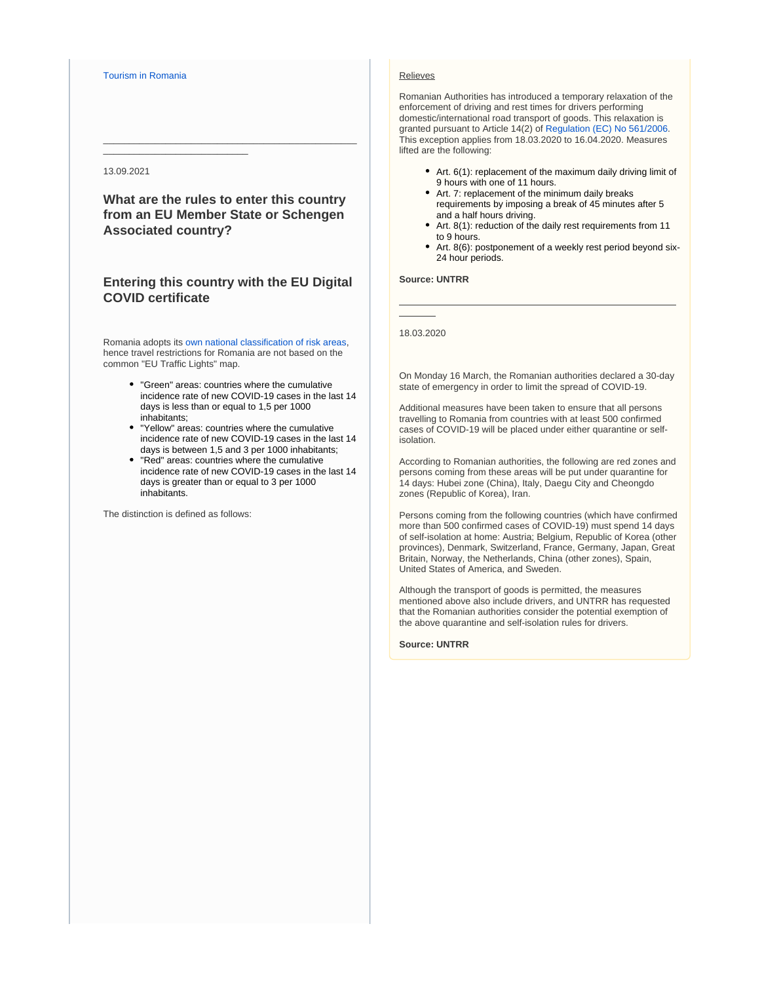#### [Tourism in Romania](http://romaniatourism.com/)

\_\_\_\_\_\_\_\_\_\_\_\_\_\_\_\_\_\_\_\_\_\_\_\_\_\_\_\_

#### 13.09.2021

**What are the rules to enter this country from an EU Member State or Schengen Associated country?**

\_\_\_\_\_\_\_\_\_\_\_\_\_\_\_\_\_\_\_\_\_\_\_\_\_\_\_\_\_\_\_\_\_\_\_\_\_\_\_\_\_\_\_\_\_\_\_\_\_

## **Entering this country with the EU Digital COVID certificate**

Romania adopts its [own national classification of risk areas](https://www.cnscbt.ro/index.php/liste-zone-afectate-covid-19/), hence travel restrictions for Romania are not based on the common "EU Traffic Lights" map.

- "Green" areas: countries where the cumulative incidence rate of new COVID-19 cases in the last 14 days is less than or equal to 1,5 per 1000 inhabitants;
- "Yellow" areas: countries where the cumulative incidence rate of new COVID-19 cases in the last 14 days is between 1,5 and 3 per 1000 inhabitants;
- "Red" areas: countries where the cumulative incidence rate of new COVID-19 cases in the last 14 days is greater than or equal to 3 per 1000 inhabitants.

The distinction is defined as follows:

#### Relieves

Romanian Authorities has introduced a temporary relaxation of the enforcement of driving and rest times for drivers performing domestic/international road transport of goods. This relaxation is granted pursuant to Article 14(2) of [Regulation \(EC\) No 561/2006](https://www.iru.org/apps/cms-filesystem-action?file=/flashinfo/EU%20Regulation%20No.%20561%202006.pdf). This exception applies from 18.03.2020 to 16.04.2020. Measures lifted are the following:

- Art. 6(1): replacement of the maximum daily driving limit of 9 hours with one of 11 hours.
- Art. 7: replacement of the minimum daily breaks requirements by imposing a break of 45 minutes after 5 and a half hours driving.
- Art. 8(1): reduction of the daily rest requirements from 11 to 9 hours.
- Art. 8(6): postponement of a weekly rest period beyond six-24 hour periods.

#### **Source: UNTRR**

18.03.2020

On Monday 16 March, the Romanian authorities declared a 30-day state of emergency in order to limit the spread of COVID-19.

Additional measures have been taken to ensure that all persons travelling to Romania from countries with at least 500 confirmed cases of COVID-19 will be placed under either quarantine or selfisolation.

According to Romanian authorities, the following are red zones and persons coming from these areas will be put under quarantine for 14 days: Hubei zone (China), Italy, Daegu City and Cheongdo zones (Republic of Korea), Iran.

Persons coming from the following countries (which have confirmed more than 500 confirmed cases of COVID-19) must spend 14 days of self-isolation at home: Austria; Belgium, Republic of Korea (other provinces), Denmark, Switzerland, France, Germany, Japan, Great Britain, Norway, the Netherlands, China (other zones), Spain, United States of America, and Sweden.

Although the transport of goods is permitted, the measures mentioned above also include drivers, and UNTRR has requested that the Romanian authorities consider the potential exemption of the above quarantine and self-isolation rules for drivers.

**Source: UNTRR**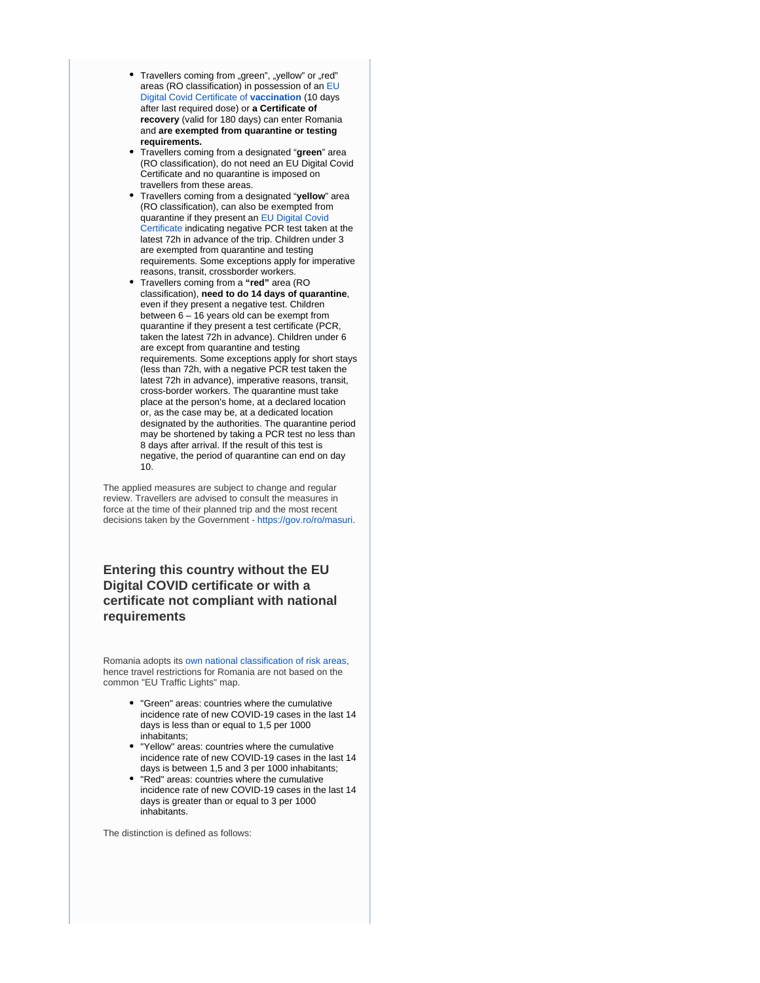- Travellers coming from "green", "yellow" or "red" areas (RO classification) in possession of an [EU](https://ec.europa.eu/info/live-work-travel-eu/coronavirus-response/safe-covid-19-vaccines-europeans/eu-digital-covid-certificate_en)  [Digital Covid Certificate of](https://ec.europa.eu/info/live-work-travel-eu/coronavirus-response/safe-covid-19-vaccines-europeans/eu-digital-covid-certificate_en) **vaccination** (10 days after last required dose) or **a Certificate of recovery** (valid for 180 days) can enter Romania and **are exempted from quarantine or testing requirements.**
- Travellers coming from a designated "**green**" area (RO classification), do not need an EU Digital Covid Certificate and no quarantine is imposed on travellers from these areas.
- Travellers coming from a designated "**yellow**" area (RO classification), can also be exempted from quarantine if they present an [EU Digital Covid](https://ec.europa.eu/info/live-work-travel-eu/coronavirus-response/safe-covid-19-vaccines-europeans/eu-digital-covid-certificate_en)  [Certificate](https://ec.europa.eu/info/live-work-travel-eu/coronavirus-response/safe-covid-19-vaccines-europeans/eu-digital-covid-certificate_en) indicating negative PCR test taken at the latest 72h in advance of the trip. Children under 3 are exempted from quarantine and testing requirements. Some exceptions apply for imperative reasons, transit, crossborder workers.
- Travellers coming from a **"red"** area (RO classification), **need to do 14 days of quarantine**, even if they present a negative test. Children between 6 – 16 years old can be exempt from quarantine if they present a test certificate (PCR, taken the latest 72h in advance). Children under 6 are except from quarantine and testing requirements. Some exceptions apply for short stays (less than 72h, with a negative PCR test taken the latest 72h in advance), imperative reasons, transit, cross-border workers. The quarantine must take place at the person's home, at a declared location or, as the case may be, at a dedicated location designated by the authorities. The quarantine period may be shortened by taking a PCR test no less than 8 days after arrival. If the result of this test is negative, the period of quarantine can end on day 10.

The applied measures are subject to change and regular review. Travellers are advised to consult the measures in force at the time of their planned trip and the most recent decisions taken by the Government - [https://gov.ro/ro/masuri](https://urldefense.com/v3/__https:/gov.ro/ro/masuri__;!!DOxrgLBm!WU9UBr2FiLO-2dvtRBlkwx1sm1l7SekOS9JH44se5PnyoINnTUenrO27bMWK9kLVQ9hHV2C_$).

**Entering this country without the EU Digital COVID certificate or with a certificate not compliant with national requirements**

Romania adopts its [own national classification of risk areas](https://www.cnscbt.ro/index.php/liste-zone-afectate-covid-19/), hence travel restrictions for Romania are not based on the common "EU Traffic Lights" map.

- "Green" areas: countries where the cumulative incidence rate of new COVID-19 cases in the last 14 days is less than or equal to 1,5 per 1000 inhabitants;
- "Yellow" areas: countries where the cumulative incidence rate of new COVID-19 cases in the last 14 days is between 1,5 and 3 per 1000 inhabitants;
- "Red" areas: countries where the cumulative incidence rate of new COVID-19 cases in the last 14 days is greater than or equal to 3 per 1000 inhabitants.

The distinction is defined as follows: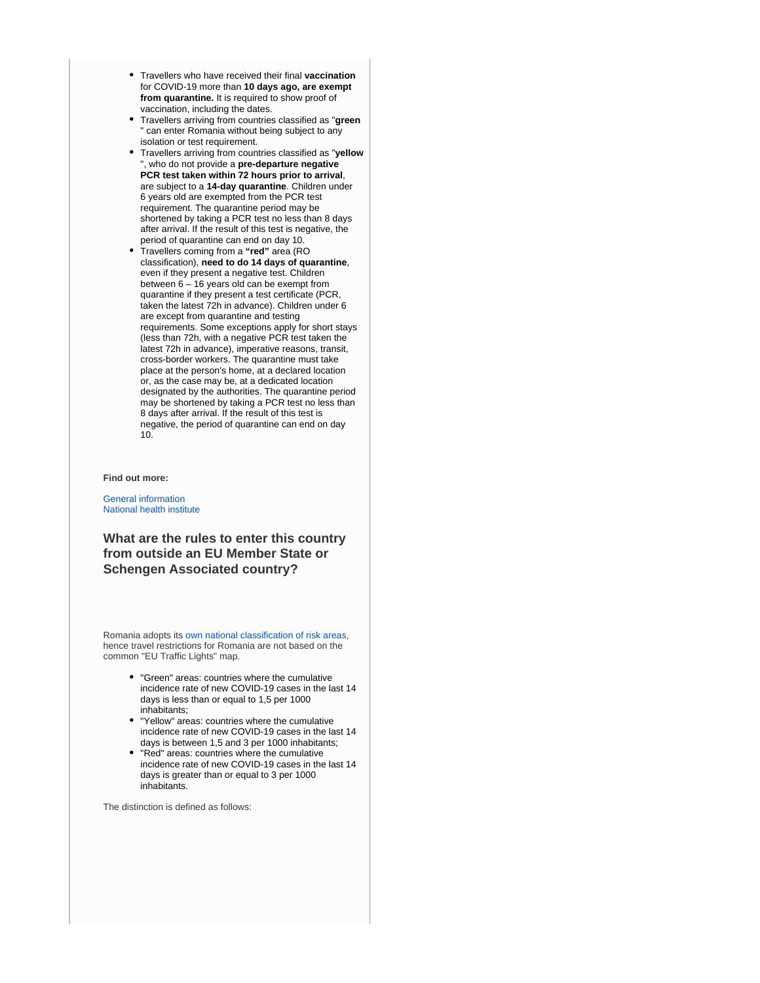- Travellers who have received their final **vaccination**  for COVID-19 more than **10 days ago, are exempt from quarantine.** It is required to show proof of vaccination, including the dates.
- Travellers arriving from countries classified as "**green** " can enter Romania without being subject to any isolation or test requirement.
- Travellers arriving from countries classified as "**yellow** , who do not provide a pre-departure negative **PCR test taken within 72 hours prior to arrival**, are subject to a **14-day quarantine**. Children under 6 years old are exempted from the PCR test requirement. The quarantine period may be shortened by taking a PCR test no less than 8 days after arrival. If the result of this test is negative, the period of quarantine can end on day 10.
- $\bullet$ Travellers coming from a **"red"** area (RO classification), **need to do 14 days of quarantine**, even if they present a negative test. Children between 6 – 16 years old can be exempt from quarantine if they present a test certificate (PCR, taken the latest 72h in advance). Children under 6 are except from quarantine and testing requirements. Some exceptions apply for short stays (less than 72h, with a negative PCR test taken the latest 72h in advance), imperative reasons, transit, cross-border workers. The quarantine must take place at the person's home, at a declared location or, as the case may be, at a dedicated location designated by the authorities. The quarantine period may be shortened by taking a PCR test no less than 8 days after arrival. If the result of this test is negative, the period of quarantine can end on day 10.

**Find out more:**

[General information](https://stirioficiale.ro/informatii) [National health institute](https://www.cnscbt.ro/)

**What are the rules to enter this country from outside an EU Member State or Schengen Associated country?**

Romania adopts its [own national classification of risk areas](https://www.cnscbt.ro/index.php/liste-zone-afectate-covid-19/), hence travel restrictions for Romania are not based on the common "EU Traffic Lights" map.

- "Green" areas: countries where the cumulative incidence rate of new COVID-19 cases in the last 14 days is less than or equal to 1,5 per 1000 inhabitants;
- "Yellow" areas: countries where the cumulative incidence rate of new COVID-19 cases in the last 14 days is between 1,5 and 3 per 1000 inhabitants;
- "Red" areas: countries where the cumulative incidence rate of new COVID-19 cases in the last 14 days is greater than or equal to 3 per 1000 inhabitants.

The distinction is defined as follows: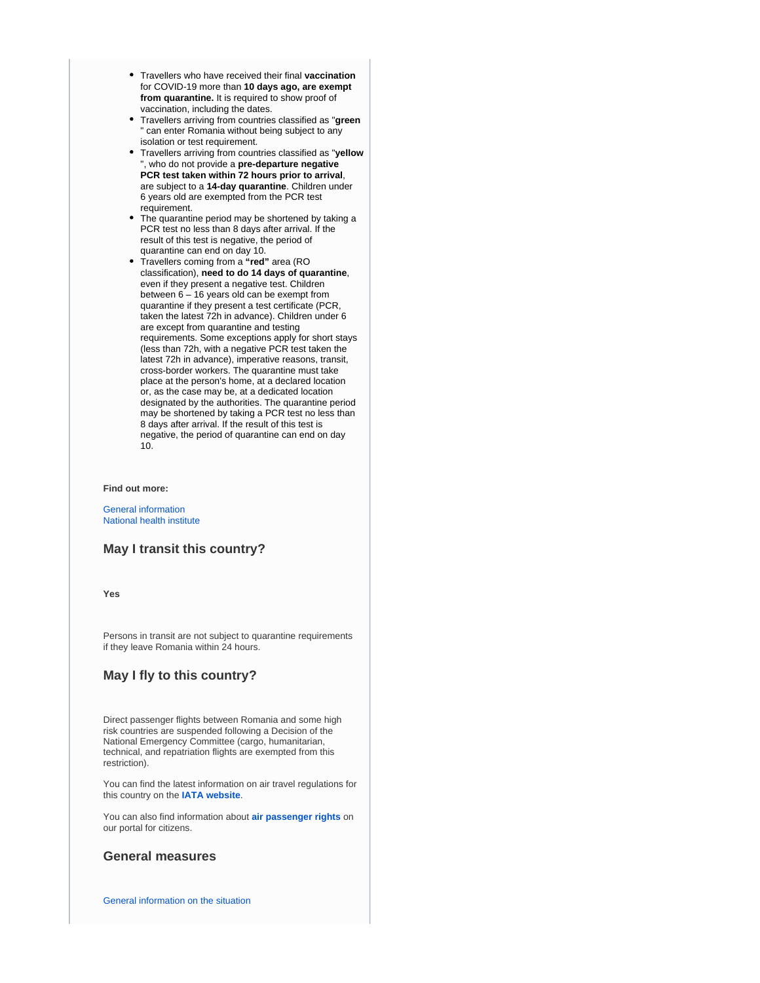- Travellers who have received their final **vaccination**  for COVID-19 more than **10 days ago, are exempt from quarantine.** It is required to show proof of vaccination, including the dates.
- Travellers arriving from countries classified as "**green** " can enter Romania without being subject to any isolation or test requirement.
- Travellers arriving from countries classified as "**yellow** , who do not provide a pre-departure negative **PCR test taken within 72 hours prior to arrival**, are subject to a **14-day quarantine**. Children under 6 years old are exempted from the PCR test requirement.
- The quarantine period may be shortened by taking a PCR test no less than 8 days after arrival. If the result of this test is negative, the period of quarantine can end on day 10.
- Travellers coming from a **"red"** area (RO classification), **need to do 14 days of quarantine**, even if they present a negative test. Children between 6 – 16 years old can be exempt from quarantine if they present a test certificate (PCR, taken the latest 72h in advance). Children under 6 are except from quarantine and testing requirements. Some exceptions apply for short stays (less than 72h, with a negative PCR test taken the latest 72h in advance), imperative reasons, transit, cross-border workers. The quarantine must take place at the person's home, at a declared location or, as the case may be, at a dedicated location designated by the authorities. The quarantine period may be shortened by taking a PCR test no less than 8 days after arrival. If the result of this test is negative, the period of quarantine can end on day 10.

**Find out more:**

[General information](https://stirioficiale.ro/informatii) [National health institute](https://www.cnscbt.ro/)

## **May I transit this country?**

**Yes**

Persons in transit are not subject to quarantine requirements if they leave Romania within 24 hours.

## **May I fly to this country?**

Direct passenger flights between Romania and some high risk countries are suspended following a Decision of the National Emergency Committee (cargo, humanitarian, technical, and repatriation flights are exempted from this restriction).

You can find the latest information on air travel regulations for this country on the **[IATA website](https://www.iatatravelcentre.com/international-travel-document-news/1580226297.htm)**.

You can also find information about **[air passenger rights](https://europa.eu/youreurope/citizens/travel/passenger-rights/air/index_en.htm)** on our portal for citizens.

## **General measures**

[General information on the situation](https://stirioficiale.ro/informatii)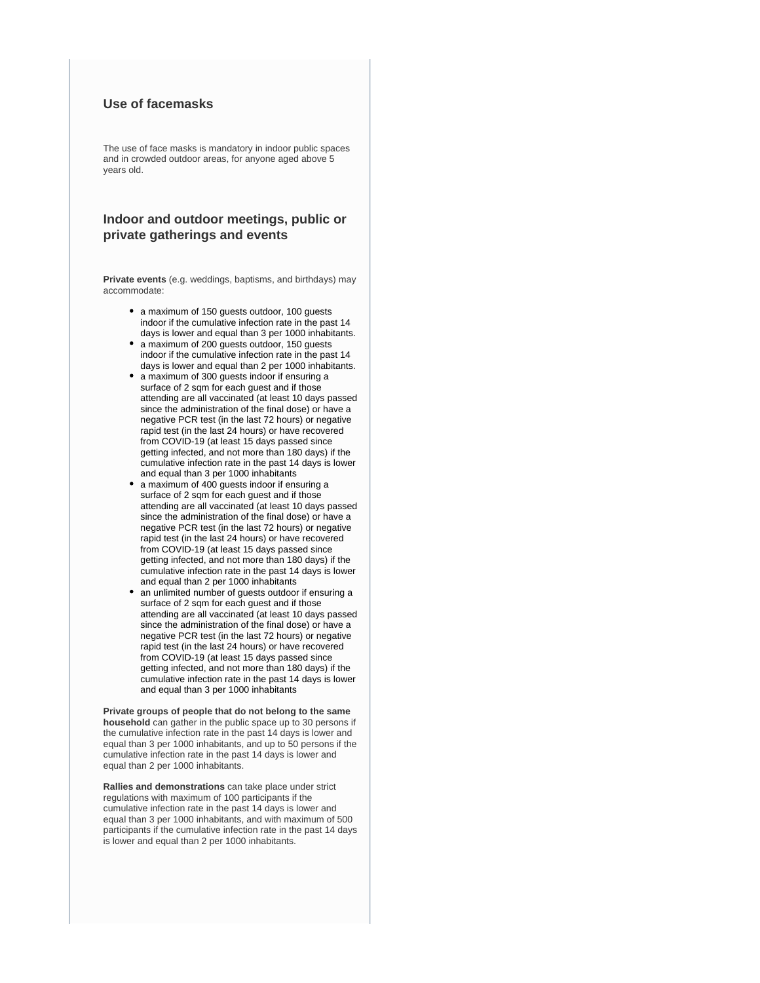## **Use of facemasks**

The use of face masks is mandatory in indoor public spaces and in crowded outdoor areas, for anyone aged above 5 years old.

## **Indoor and outdoor meetings, public or private gatherings and events**

**Private events** (e.g. weddings, baptisms, and birthdays) may accommodate:

- a maximum of 150 guests outdoor, 100 guests indoor if the cumulative infection rate in the past 14 days is lower and equal than 3 per 1000 inhabitants.
- a maximum of 200 guests outdoor, 150 guests indoor if the cumulative infection rate in the past 14 days is lower and equal than 2 per 1000 inhabitants.
- a maximum of 300 guests indoor if ensuring a surface of 2 sqm for each guest and if those attending are all vaccinated (at least 10 days passed since the administration of the final dose) or have a negative PCR test (in the last 72 hours) or negative rapid test (in the last 24 hours) or have recovered from COVID-19 (at least 15 days passed since getting infected, and not more than 180 days) if the cumulative infection rate in the past 14 days is lower and equal than 3 per 1000 inhabitants
- a maximum of 400 guests indoor if ensuring a surface of 2 sqm for each guest and if those attending are all vaccinated (at least 10 days passed since the administration of the final dose) or have a negative PCR test (in the last 72 hours) or negative rapid test (in the last 24 hours) or have recovered from COVID-19 (at least 15 days passed since getting infected, and not more than 180 days) if the cumulative infection rate in the past 14 days is lower and equal than 2 per 1000 inhabitants
- an unlimited number of guests outdoor if ensuring a surface of 2 sqm for each guest and if those attending are all vaccinated (at least 10 days passed since the administration of the final dose) or have a negative PCR test (in the last 72 hours) or negative rapid test (in the last 24 hours) or have recovered from COVID-19 (at least 15 days passed since getting infected, and not more than 180 days) if the cumulative infection rate in the past 14 days is lower and equal than 3 per 1000 inhabitants

**Private groups of people that do not belong to the same household** can gather in the public space up to 30 persons if the cumulative infection rate in the past 14 days is lower and equal than 3 per 1000 inhabitants, and up to 50 persons if the cumulative infection rate in the past 14 days is lower and equal than 2 per 1000 inhabitants.

**Rallies and demonstrations** can take place under strict regulations with maximum of 100 participants if the cumulative infection rate in the past 14 days is lower and equal than 3 per 1000 inhabitants, and with maximum of 500 participants if the cumulative infection rate in the past 14 days is lower and equal than 2 per 1000 inhabitants.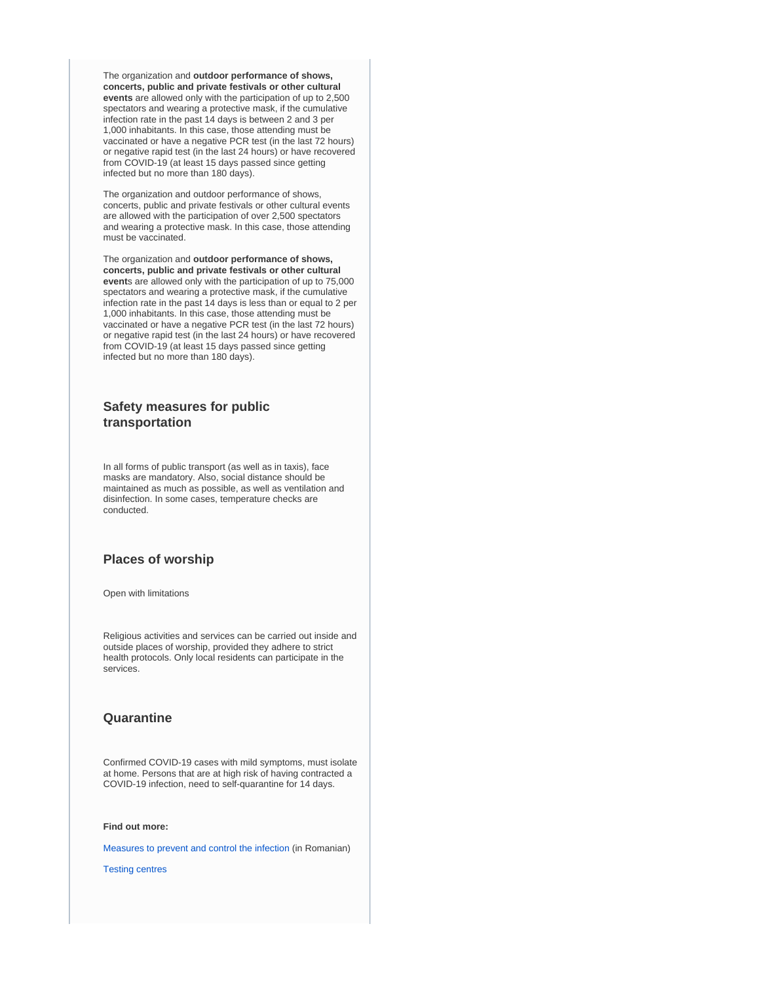The organization and **outdoor performance of shows, concerts, public and private festivals or other cultural events** are allowed only with the participation of up to 2,500 spectators and wearing a protective mask, if the cumulative infection rate in the past 14 days is between 2 and 3 per 1,000 inhabitants. In this case, those attending must be vaccinated or have a negative PCR test (in the last 72 hours) or negative rapid test (in the last 24 hours) or have recovered from COVID-19 (at least 15 days passed since getting infected but no more than 180 days).

The organization and outdoor performance of shows, concerts, public and private festivals or other cultural events are allowed with the participation of over 2,500 spectators and wearing a protective mask. In this case, those attending must be vaccinated.

The organization and **outdoor performance of shows, concerts, public and private festivals or other cultural event**s are allowed only with the participation of up to 75,000 spectators and wearing a protective mask, if the cumulative infection rate in the past 14 days is less than or equal to 2 per 1,000 inhabitants. In this case, those attending must be vaccinated or have a negative PCR test (in the last 72 hours) or negative rapid test (in the last 24 hours) or have recovered from COVID-19 (at least 15 days passed since getting infected but no more than 180 days).

## **Safety measures for public transportation**

In all forms of public transport (as well as in taxis), face masks are mandatory. Also, social distance should be maintained as much as possible, as well as ventilation and disinfection. In some cases, temperature checks are conducted.

## **Places of worship**

Open with limitations

Religious activities and services can be carried out inside and outside places of worship, provided they adhere to strict health protocols. Only local residents can participate in the services.

## **Quarantine**

Confirmed COVID-19 cases with mild symptoms, must isolate at home. Persons that are at high risk of having contracted a COVID-19 infection, need to self-quarantine for 14 days.

**Find out more:**

[Measures to prevent and control the infection](http://www.ms.ro/wp-content/uploads/2020/04/M%C4%83suri-recomandate-de-Societatea-Rom%C3%A2n%C4%83-de-Epidemiologie-privind-prevenirea-%C8%99i-controlul-infec%C8%9B-1.pdf) (in Romanian)

[Testing centres](http://www.ms.ro/centre-testare/)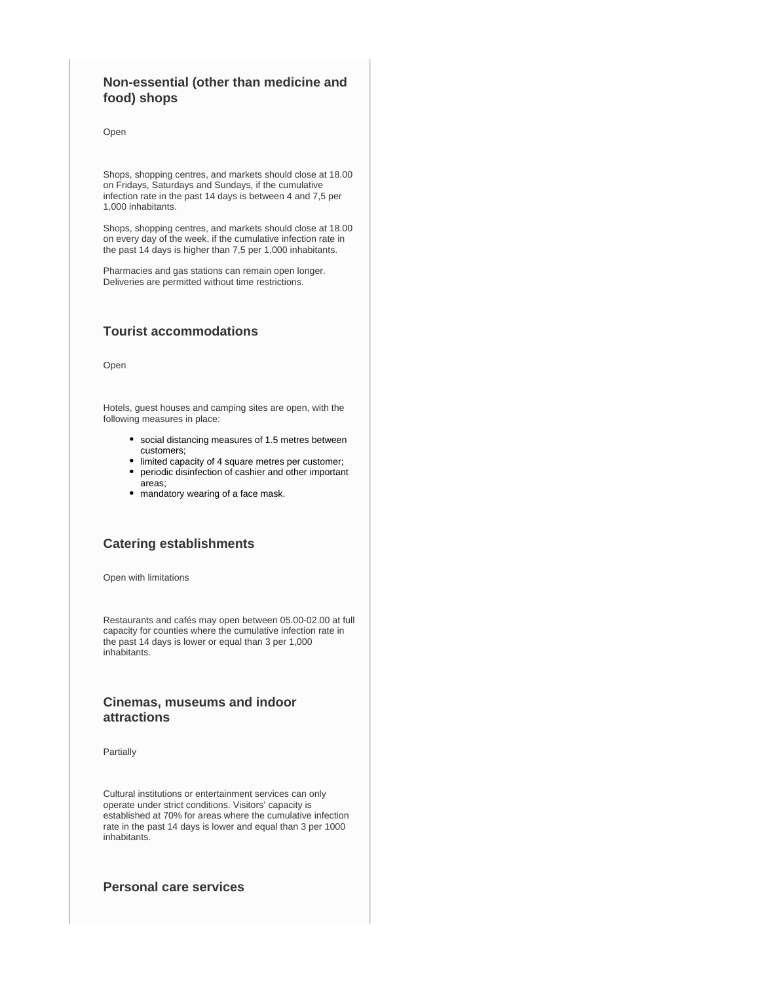## **Non-essential (other than medicine and food) shops**

Open

Shops, shopping centres, and markets should close at 18.00 on Fridays, Saturdays and Sundays, if the cumulative infection rate in the past 14 days is between 4 and 7,5 per 1,000 inhabitants.

Shops, shopping centres, and markets should close at 18.00 on every day of the week, if the cumulative infection rate in the past 14 days is higher than 7,5 per 1,000 inhabitants.

Pharmacies and gas stations can remain open longer. Deliveries are permitted without time restrictions.

## **Tourist accommodations**

Open

Hotels, guest houses and camping sites are open, with the following measures in place:

- social distancing measures of 1.5 metres between customers;
- limited capacity of 4 square metres per customer;
- periodic disinfection of cashier and other important areas;
- mandatory wearing of a face mask.

## **Catering establishments**

Open with limitations

Restaurants and cafés may open between 05.00-02.00 at full capacity for counties where the cumulative infection rate in the past 14 days is lower or equal than 3 per 1,000 inhabitants.

## **Cinemas, museums and indoor attractions**

Partially

Cultural institutions or entertainment services can only operate under strict conditions. Visitors' capacity is established at 70% for areas where the cumulative infection rate in the past 14 days is lower and equal than 3 per 1000 inhabitants.

## **Personal care services**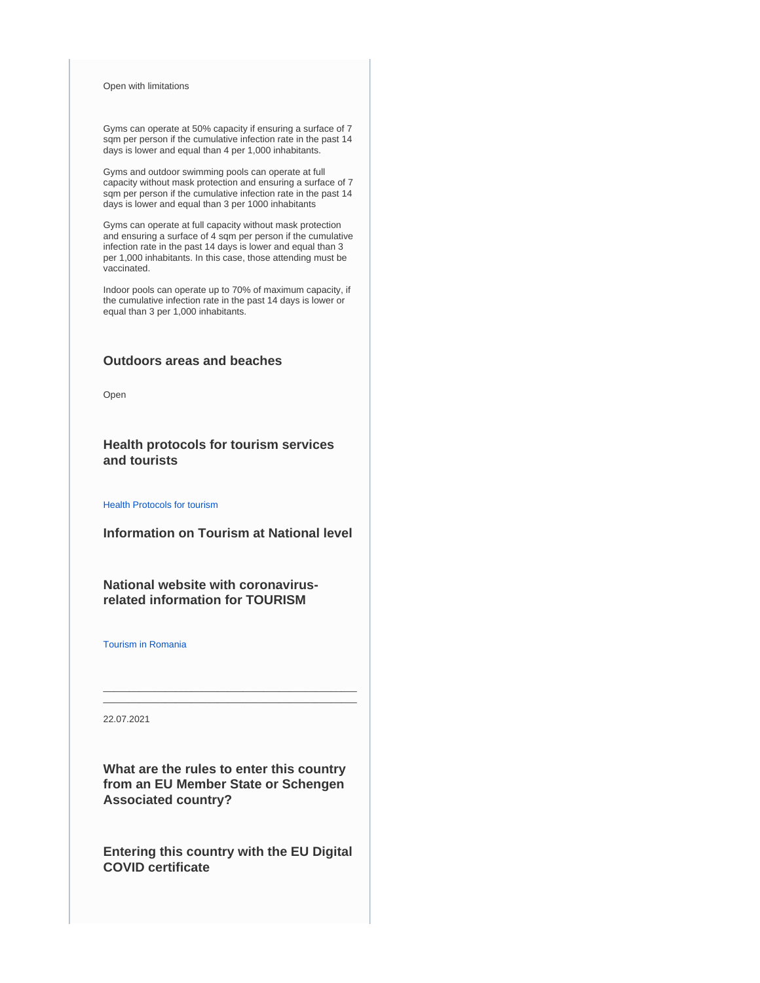#### Open with limitations

Gyms can operate at 50% capacity if ensuring a surface of 7 sqm per person if the cumulative infection rate in the past 14 days is lower and equal than 4 per 1,000 inhabitants.

Gyms and outdoor swimming pools can operate at full capacity without mask protection and ensuring a surface of 7 sqm per person if the cumulative infection rate in the past 14 days is lower and equal than 3 per 1000 inhabitants

Gyms can operate at full capacity without mask protection and ensuring a surface of 4 sqm per person if the cumulative infection rate in the past 14 days is lower and equal than 3 per 1,000 inhabitants. In this case, those attending must be vaccinated.

Indoor pools can operate up to 70% of maximum capacity, if the cumulative infection rate in the past 14 days is lower or equal than 3 per 1,000 inhabitants.

## **Outdoors areas and beaches**

Open

**Health protocols for tourism services and tourists**

[Health Protocols for tourism](https://www.cnscbt.ro/)

**Information on Tourism at National level**

**National website with coronavirusrelated information for TOURISM**

[Tourism in Romania](http://romaniatourism.com/)

22.07.2021

**What are the rules to enter this country from an EU Member State or Schengen Associated country?**

\_\_\_\_\_\_\_\_\_\_\_\_\_\_\_\_\_\_\_\_\_\_\_\_\_\_\_\_\_\_\_\_\_\_\_\_\_\_\_\_\_\_\_\_\_\_\_\_\_ \_\_\_\_\_\_\_\_\_\_\_\_\_\_\_\_\_\_\_\_\_\_\_\_\_\_\_\_\_\_\_\_\_\_\_\_\_\_\_\_\_\_\_\_\_\_\_\_\_

**Entering this country with the EU Digital COVID certificate**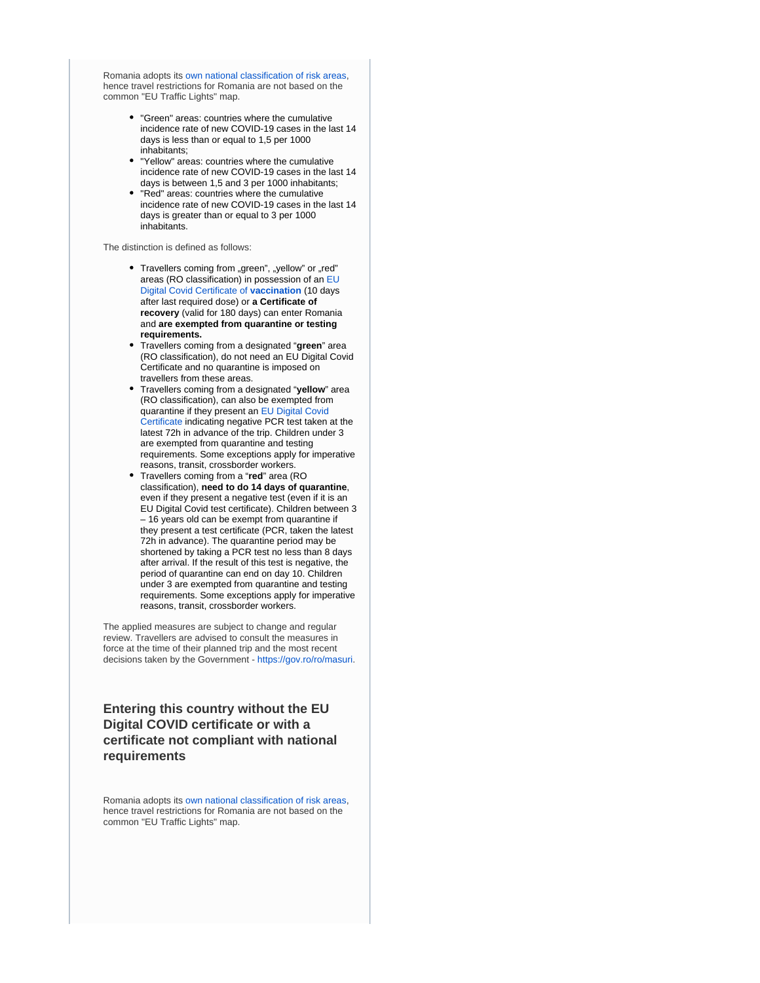Romania adopts its [own national classification of risk areas](https://www.cnscbt.ro/index.php/liste-zone-afectate-covid-19/), hence travel restrictions for Romania are not based on the common "EU Traffic Lights" map.

- "Green" areas: countries where the cumulative incidence rate of new COVID-19 cases in the last 14 days is less than or equal to 1,5 per 1000 inhabitants;
- "Yellow" areas: countries where the cumulative incidence rate of new COVID-19 cases in the last 14 days is between 1,5 and 3 per 1000 inhabitants;
- "Red" areas: countries where the cumulative incidence rate of new COVID-19 cases in the last 14 days is greater than or equal to 3 per 1000 inhabitants.

The distinction is defined as follows:

- Travellers coming from "green", "yellow" or "red" areas (RO classification) in possession of an [EU](https://ec.europa.eu/info/live-work-travel-eu/coronavirus-response/safe-covid-19-vaccines-europeans/eu-digital-covid-certificate_en)  [Digital Covid Certificate of](https://ec.europa.eu/info/live-work-travel-eu/coronavirus-response/safe-covid-19-vaccines-europeans/eu-digital-covid-certificate_en) **vaccination** (10 days after last required dose) or **a Certificate of recovery** (valid for 180 days) can enter Romania and **are exempted from quarantine or testing requirements.**
- Travellers coming from a designated "**green**" area (RO classification), do not need an EU Digital Covid Certificate and no quarantine is imposed on travellers from these areas.
- Travellers coming from a designated "**yellow**" area (RO classification), can also be exempted from quarantine if they present an [EU Digital Covid](https://ec.europa.eu/info/live-work-travel-eu/coronavirus-response/safe-covid-19-vaccines-europeans/eu-digital-covid-certificate_en)  [Certificate](https://ec.europa.eu/info/live-work-travel-eu/coronavirus-response/safe-covid-19-vaccines-europeans/eu-digital-covid-certificate_en) indicating negative PCR test taken at the latest 72h in advance of the trip. Children under 3 are exempted from quarantine and testing requirements. Some exceptions apply for imperative reasons, transit, crossborder workers.
- Travellers coming from a "**red**" area (RO classification), **need to do 14 days of quarantine**, even if they present a negative test (even if it is an EU Digital Covid test certificate). Children between 3 – 16 years old can be exempt from quarantine if they present a test certificate (PCR, taken the latest 72h in advance). The quarantine period may be shortened by taking a PCR test no less than 8 days after arrival. If the result of this test is negative, the period of quarantine can end on day 10. Children under 3 are exempted from quarantine and testing requirements. Some exceptions apply for imperative reasons, transit, crossborder workers.

The applied measures are subject to change and regular review. Travellers are advised to consult the measures in force at the time of their planned trip and the most recent decisions taken by the Government - [https://gov.ro/ro/masuri](https://urldefense.com/v3/__https:/gov.ro/ro/masuri__;!!DOxrgLBm!WU9UBr2FiLO-2dvtRBlkwx1sm1l7SekOS9JH44se5PnyoINnTUenrO27bMWK9kLVQ9hHV2C_$).

## **Entering this country without the EU Digital COVID certificate or with a certificate not compliant with national requirements**

Romania adopts its [own national classification of risk areas](https://www.cnscbt.ro/index.php/liste-zone-afectate-covid-19/), hence travel restrictions for Romania are not based on the common "EU Traffic Lights" map.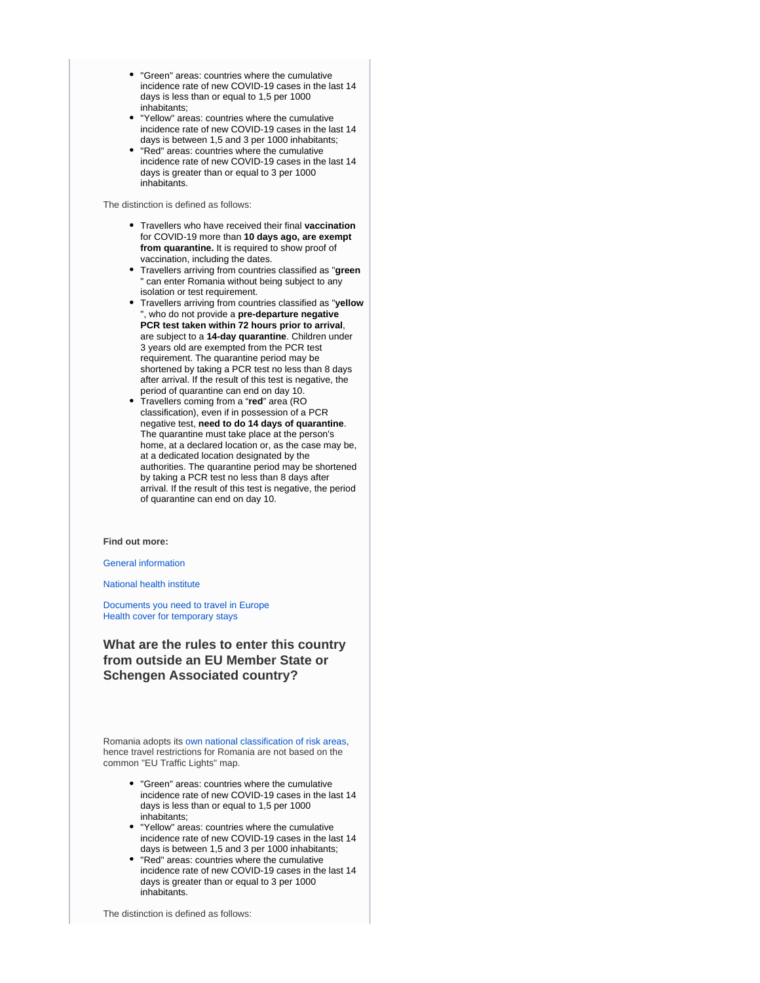- "Green" areas: countries where the cumulative incidence rate of new COVID-19 cases in the last 14 days is less than or equal to 1,5 per 1000 inhabitants;
- "Yellow" areas: countries where the cumulative incidence rate of new COVID-19 cases in the last 14 days is between 1,5 and 3 per 1000 inhabitants;
- "Red" areas: countries where the cumulative incidence rate of new COVID-19 cases in the last 14 days is greater than or equal to 3 per 1000 inhabitants.

The distinction is defined as follows:

- Travellers who have received their final **vaccination**  for COVID-19 more than **10 days ago, are exempt from quarantine.** It is required to show proof of vaccination, including the dates.
- Travellers arriving from countries classified as "**green** can enter Romania without being subject to any isolation or test requirement.
- Travellers arriving from countries classified as "**yellow** ", who do not provide a **pre-departure negative PCR test taken within 72 hours prior to arrival**, are subject to a **14-day quarantine**. Children under 3 years old are exempted from the PCR test requirement. The quarantine period may be shortened by taking a PCR test no less than 8 days after arrival. If the result of this test is negative, the period of quarantine can end on day 10.
- Travellers coming from a "**red**" area (RO classification), even if in possession of a PCR negative test, **need to do 14 days of quarantine**. The quarantine must take place at the person's home, at a declared location or, as the case may be, at a dedicated location designated by the authorities. The quarantine period may be shortened by taking a PCR test no less than 8 days after arrival. If the result of this test is negative, the period of quarantine can end on day 10.

#### **Find out more:**

[General information](https://stirioficiale.ro/informatii)

[National health institute](https://www.cnscbt.ro/)

[Documents you need to travel in Europe](https://europa.eu/youreurope/citizens/travel/entry-exit/index_en.htm) [Health cover for temporary stays](https://europa.eu/youreurope/citizens/health/unplanned-healthcare/temporary-stays/index_en.htm)

**What are the rules to enter this country from outside an EU Member State or Schengen Associated country?**

Romania adopts its [own national classification of risk areas](https://www.cnscbt.ro/index.php/liste-zone-afectate-covid-19/), hence travel restrictions for Romania are not based on the common "EU Traffic Lights" map.

- "Green" areas: countries where the cumulative incidence rate of new COVID-19 cases in the last 14 days is less than or equal to 1,5 per 1000 inhabitants;
- "Yellow" areas: countries where the cumulative incidence rate of new COVID-19 cases in the last 14 days is between 1,5 and 3 per 1000 inhabitants;
- "Red" areas: countries where the cumulative incidence rate of new COVID-19 cases in the last 14 days is greater than or equal to 3 per 1000 inhabitants.

The distinction is defined as follows: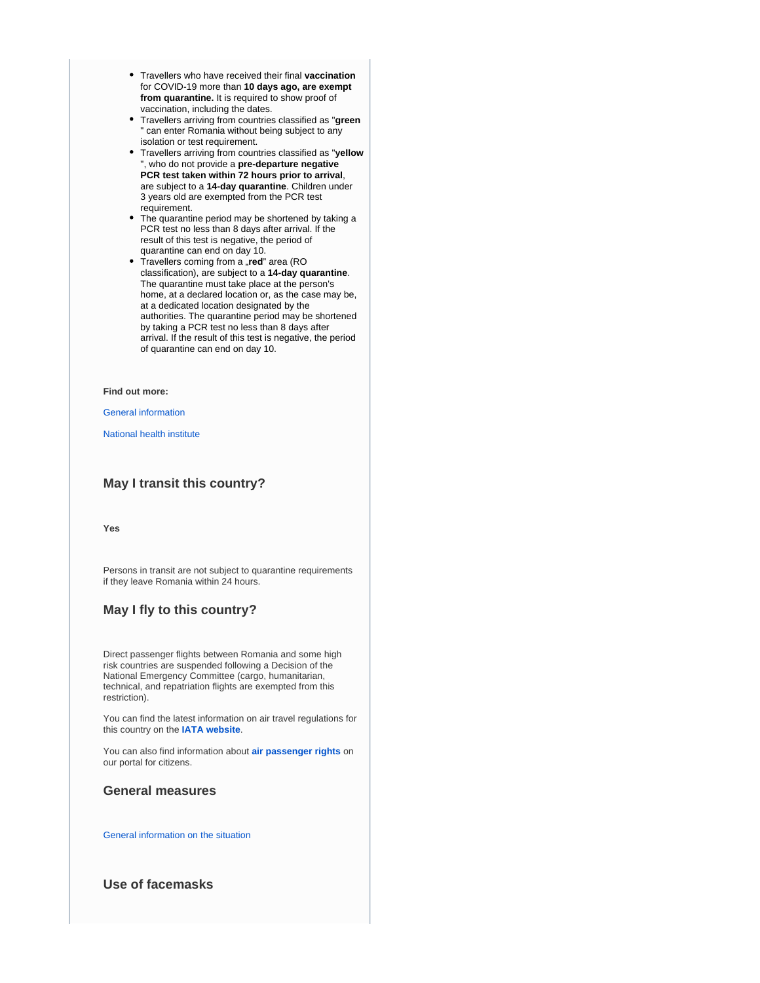- Travellers who have received their final **vaccination**  for COVID-19 more than **10 days ago, are exempt from quarantine.** It is required to show proof of vaccination, including the dates.
- Travellers arriving from countries classified as "**green** " can enter Romania without being subject to any isolation or test requirement.
- Travellers arriving from countries classified as "**yellow** ", who do not provide a **pre-departure negative PCR test taken within 72 hours prior to arrival**, are subject to a **14-day quarantine**. Children under 3 years old are exempted from the PCR test requirement.
- The quarantine period may be shortened by taking a PCR test no less than 8 days after arrival. If the result of this test is negative, the period of quarantine can end on day 10.
- Travellers coming from a "red" area (RO classification), are subject to a **14-day quarantine**. The quarantine must take place at the person's home, at a declared location or, as the case may be, at a dedicated location designated by the authorities. The quarantine period may be shortened by taking a PCR test no less than 8 days after arrival. If the result of this test is negative, the period of quarantine can end on day 10.

#### **Find out more:**

#### [General information](https://stirioficiale.ro/informatii)

[National health institute](https://www.cnscbt.ro/)

## **May I transit this country?**

**Yes**

Persons in transit are not subject to quarantine requirements if they leave Romania within 24 hours.

## **May I fly to this country?**

Direct passenger flights between Romania and some high risk countries are suspended following a Decision of the National Emergency Committee (cargo, humanitarian, technical, and repatriation flights are exempted from this restriction).

You can find the latest information on air travel regulations for this country on the **[IATA website](https://www.iatatravelcentre.com/international-travel-document-news/1580226297.htm)**.

You can also find information about **[air passenger rights](https://europa.eu/youreurope/citizens/travel/passenger-rights/air/index_en.htm)** on our portal for citizens.

### **General measures**

[General information on the situation](https://stirioficiale.ro/informatii)

## **Use of facemasks**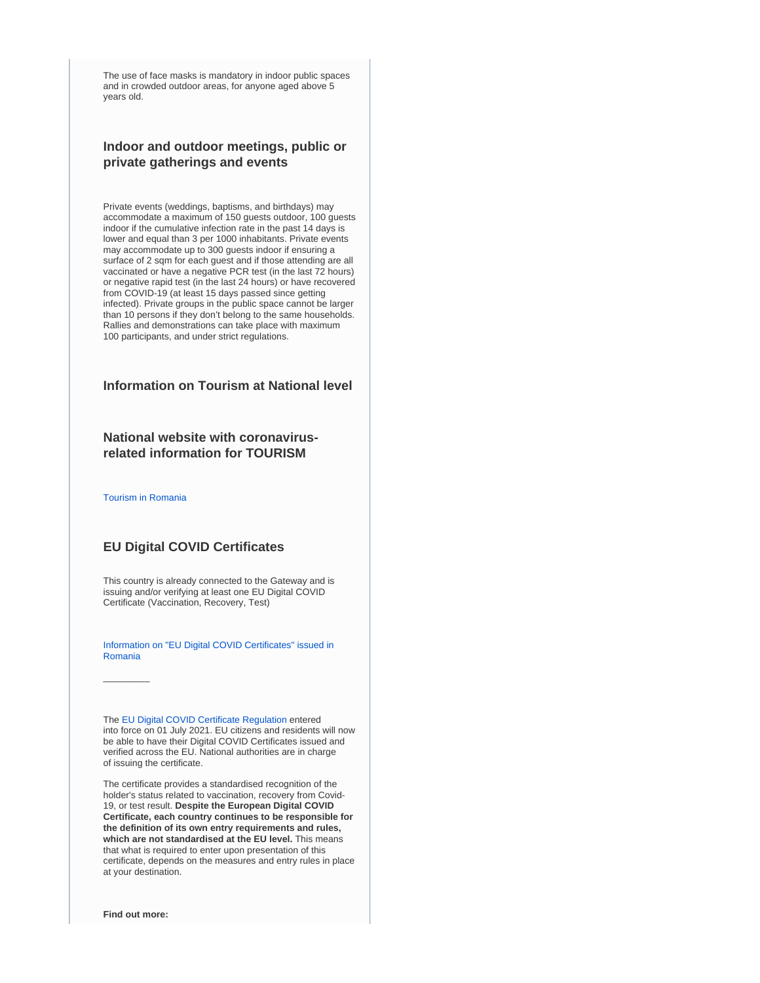The use of face masks is mandatory in indoor public spaces and in crowded outdoor areas, for anyone aged above 5 years old.

## **Indoor and outdoor meetings, public or private gatherings and events**

Private events (weddings, baptisms, and birthdays) may accommodate a maximum of 150 guests outdoor, 100 guests indoor if the cumulative infection rate in the past 14 days is lower and equal than 3 per 1000 inhabitants. Private events may accommodate up to 300 guests indoor if ensuring a surface of 2 sqm for each guest and if those attending are all vaccinated or have a negative PCR test (in the last 72 hours) or negative rapid test (in the last 24 hours) or have recovered from COVID-19 (at least 15 days passed since getting infected). Private groups in the public space cannot be larger than 10 persons if they don't belong to the same households. Rallies and demonstrations can take place with maximum 100 participants, and under strict regulations.

## **Information on Tourism at National level**

## **National website with coronavirusrelated information for TOURISM**

[Tourism in Romania](http://romaniatourism.com/)

 $\overline{\phantom{a}}$ 

## **EU Digital COVID Certificates**

This country is already connected to the Gateway and is issuing and/or verifying at least one EU Digital COVID Certificate (Vaccination, Recovery, Test)

[Information on "EU Digital COVID Certificates" issued in](https://vaccinare-covid.gov.ro/certificat-verde-electronic/)  [Romania](https://vaccinare-covid.gov.ro/certificat-verde-electronic/)

The [EU Digital COVID Certificate Regulation](https://ec.europa.eu/info/live-work-travel-eu/coronavirus-response/safe-covid-19-vaccines-europeans/eu-digital-covid-certificate_en) entered into force on 01 July 2021. EU citizens and residents will now be able to have their Digital COVID Certificates issued and verified across the EU. National authorities are in charge of issuing the certificate.

The certificate provides a standardised recognition of the holder's status related to vaccination, recovery from Covid-19, or test result. **Despite the European Digital COVID Certificate, each country continues to be responsible for the definition of its own entry requirements and rules, which are not standardised at the EU level.** This means that what is required to enter upon presentation of this certificate, depends on the measures and entry rules in place at your destination.

**Find out more:**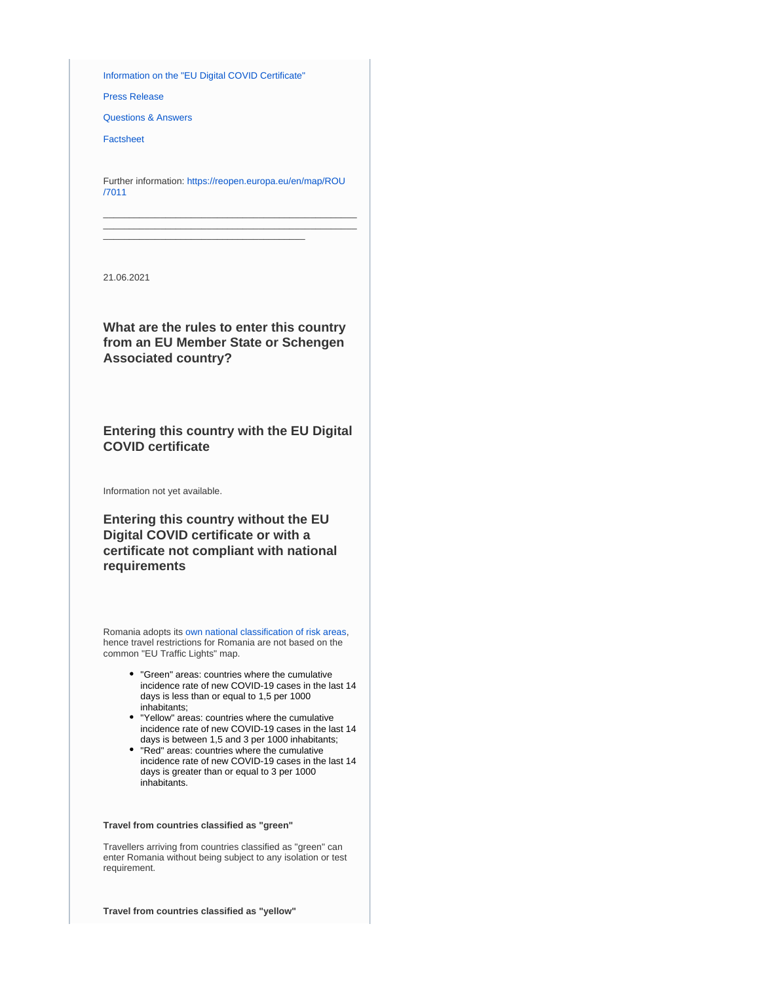[Information on the "EU Digital COVID Certificate"](https://ec.europa.eu/info/live-work-travel-eu/coronavirus-response/safe-covid-19-vaccines-europeans/eu-digital-covid-certificate_en)

[Press Release](https://ec.europa.eu/commission/presscorner/detail/en/IP_21_2721)

[Questions & Answers](https://ec.europa.eu/commission/presscorner/detail/en/QANDA_21_2781)

[Factsheet](https://ec.europa.eu/commission/presscorner/detail/en/FS_21_2793)

Further information: [https://reopen.europa.eu/en/map/ROU](https://reopen.europa.eu/en/map/ROU/7011) [/7011](https://reopen.europa.eu/en/map/ROU/7011)

\_\_\_\_\_\_\_\_\_\_\_\_\_\_\_\_\_\_\_\_\_\_\_\_\_\_\_\_\_\_\_\_\_\_\_\_\_\_\_\_\_\_\_\_\_\_\_\_\_ \_\_\_\_\_\_\_\_\_\_\_\_\_\_\_\_\_\_\_\_\_\_\_\_\_\_\_\_\_\_\_\_\_\_\_\_\_\_\_\_\_\_\_\_\_\_\_\_\_

\_\_\_\_\_\_\_\_\_\_\_\_\_\_\_\_\_\_\_\_\_\_\_\_\_\_\_\_\_\_\_\_\_\_\_\_\_\_\_

21.06.2021

**What are the rules to enter this country from an EU Member State or Schengen Associated country?**

**Entering this country with the EU Digital COVID certificate**

Information not yet available.

**Entering this country without the EU Digital COVID certificate or with a certificate not compliant with national requirements**

Romania adopts its [own national classification of risk areas](https://www.cnscbt.ro/index.php/liste-zone-afectate-covid-19/), hence travel restrictions for Romania are not based on the common "EU Traffic Lights" map.

- "Green" areas: countries where the cumulative incidence rate of new COVID-19 cases in the last 14 days is less than or equal to 1,5 per 1000 inhabitants;
- "Yellow" areas: countries where the cumulative incidence rate of new COVID-19 cases in the last 14 days is between 1,5 and 3 per 1000 inhabitants;
- "Red" areas: countries where the cumulative incidence rate of new COVID-19 cases in the last 14 days is greater than or equal to 3 per 1000 inhabitants.

#### **Travel from countries classified as "green"**

Travellers arriving from countries classified as "green" can enter Romania without being subject to any isolation or test requirement.

**Travel from countries classified as "yellow"**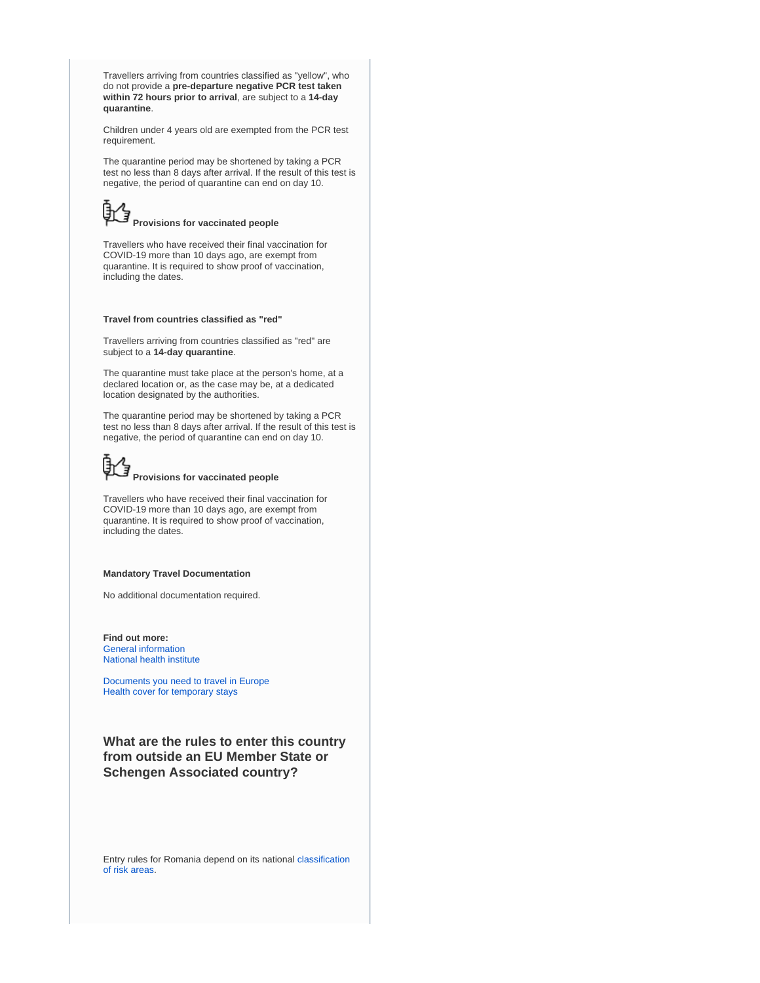Travellers arriving from countries classified as "yellow", who do not provide a **pre-departure negative PCR test taken within 72 hours prior to arrival**, are subject to a **14-day quarantine**.

Children under 4 years old are exempted from the PCR test requirement.

The quarantine period may be shortened by taking a PCR test no less than 8 days after arrival. If the result of this test is negative, the period of quarantine can end on day 10.

# **Provisions for vaccinated people**

Travellers who have received their final vaccination for COVID-19 more than 10 days ago, are exempt from quarantine. It is required to show proof of vaccination, including the dates.

#### **Travel from countries classified as "red"**

Travellers arriving from countries classified as "red" are subject to a **14-day quarantine**.

The quarantine must take place at the person's home, at a declared location or, as the case may be, at a dedicated location designated by the authorities.

The quarantine period may be shortened by taking a PCR test no less than 8 days after arrival. If the result of this test is negative, the period of quarantine can end on day 10.



Travellers who have received their final vaccination for COVID-19 more than 10 days ago, are exempt from quarantine. It is required to show proof of vaccination, including the dates.

#### **Mandatory Travel Documentation**

No additional documentation required.

**Find out more:** [General information](https://stirioficiale.ro/informatii) [National health institute](https://www.cnscbt.ro/)

[Documents you need to travel in Europe](https://europa.eu/youreurope/citizens/travel/entry-exit/index_en.htm) [Health cover for temporary stays](https://europa.eu/youreurope/citizens/health/unplanned-healthcare/temporary-stays/index_en.htm)

**What are the rules to enter this country from outside an EU Member State or Schengen Associated country?**

Entry rules for Romania depend on its national [classification](https://www.cnscbt.ro/index.php/liste-zone-afectate-covid-19/)  [of risk areas](https://www.cnscbt.ro/index.php/liste-zone-afectate-covid-19/).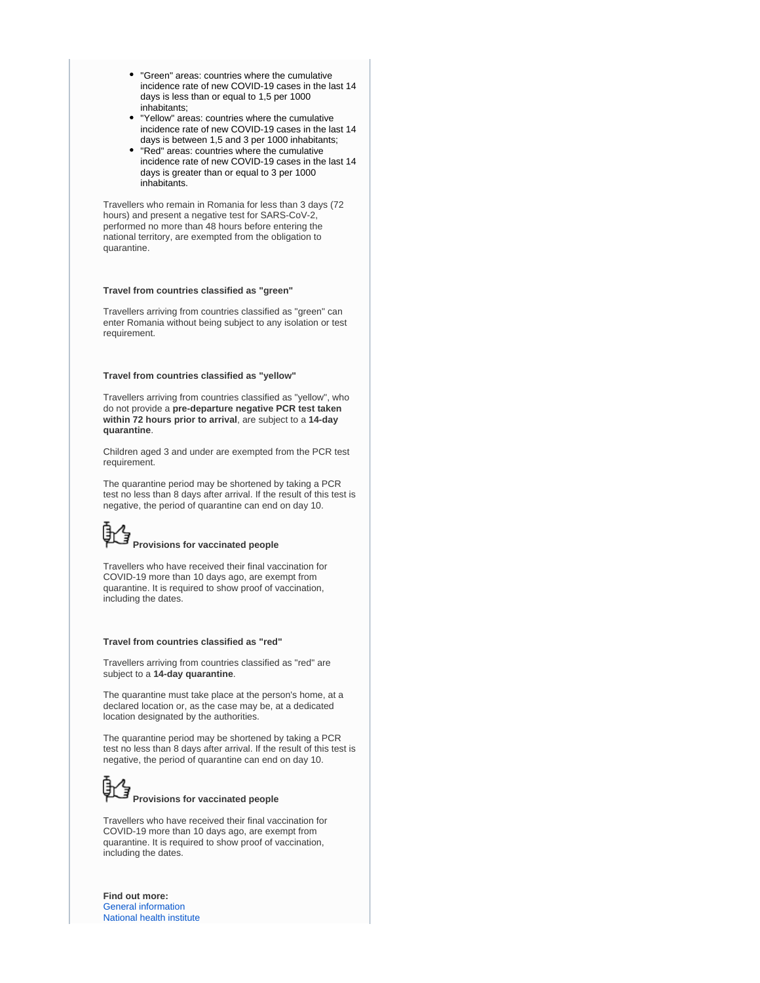- "Green" areas: countries where the cumulative incidence rate of new COVID-19 cases in the last 14 days is less than or equal to 1,5 per 1000 inhabitants;
- "Yellow" areas: countries where the cumulative incidence rate of new COVID-19 cases in the last 14 days is between 1,5 and 3 per 1000 inhabitants;
- "Red" areas: countries where the cumulative incidence rate of new COVID-19 cases in the last 14 days is greater than or equal to 3 per 1000 inhabitants.

Travellers who remain in Romania for less than 3 days (72 hours) and present a negative test for SARS-CoV-2, performed no more than 48 hours before entering the national territory, are exempted from the obligation to quarantine.

#### **Travel from countries classified as "green"**

Travellers arriving from countries classified as "green" can enter Romania without being subject to any isolation or test requirement.

#### **Travel from countries classified as "yellow"**

Travellers arriving from countries classified as "yellow", who do not provide a **pre-departure negative PCR test taken within 72 hours prior to arrival**, are subject to a **14-day quarantine**.

Children aged 3 and under are exempted from the PCR test requirement.

The quarantine period may be shortened by taking a PCR test no less than 8 days after arrival. If the result of this test is negative, the period of quarantine can end on day 10.

# **Provisions for vaccinated people**

Travellers who have received their final vaccination for COVID-19 more than 10 days ago, are exempt from quarantine. It is required to show proof of vaccination, including the dates.

#### **Travel from countries classified as "red"**

Travellers arriving from countries classified as "red" are subject to a **14-day quarantine**.

The quarantine must take place at the person's home, at a declared location or, as the case may be, at a dedicated location designated by the authorities.

The quarantine period may be shortened by taking a PCR test no less than 8 days after arrival. If the result of this test is negative, the period of quarantine can end on day 10.

# **Provisions for vaccinated people**

Travellers who have received their final vaccination for COVID-19 more than 10 days ago, are exempt from quarantine. It is required to show proof of vaccination, including the dates.

**Find out more:** [General information](https://stirioficiale.ro/informatii) [National health institute](https://www.cnscbt.ro/)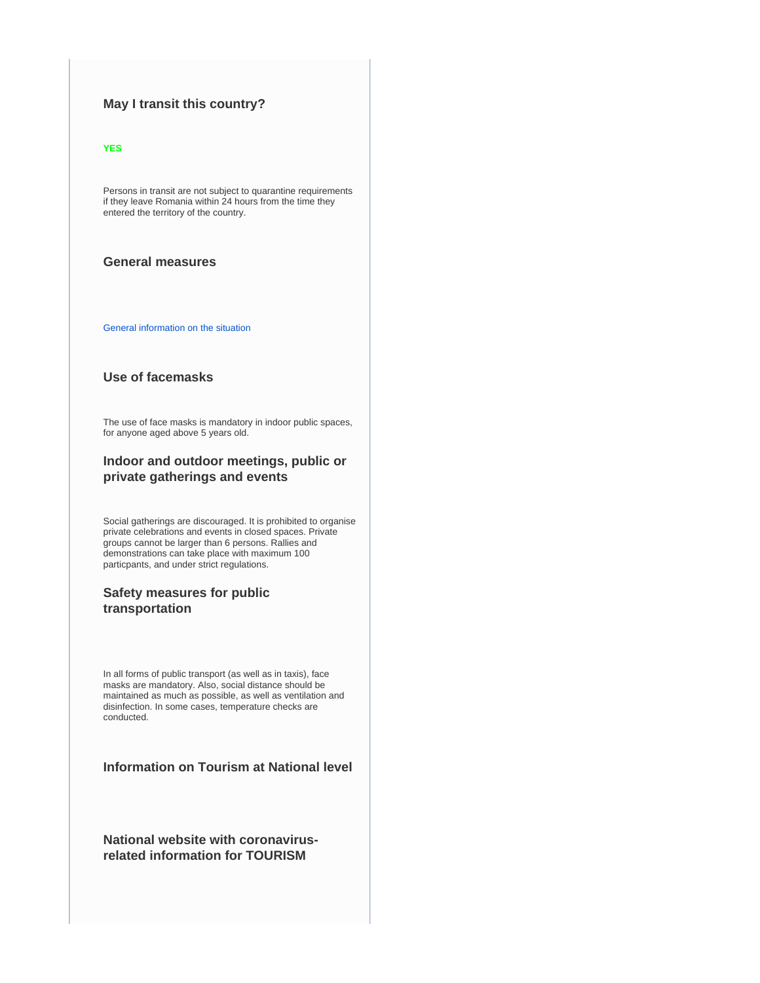## **May I transit this country?**

#### **YES**

Persons in transit are not subject to quarantine requirements if they leave Romania within 24 hours from the time they entered the territory of the country.

## **General measures**

[General information on the situation](https://stirioficiale.ro/informatii)

## **Use of facemasks**

The use of face masks is mandatory in indoor public spaces, for anyone aged above 5 years old.

## **Indoor and outdoor meetings, public or private gatherings and events**

Social gatherings are discouraged. It is prohibited to organise private celebrations and events in closed spaces. Private groups cannot be larger than 6 persons. Rallies and demonstrations can take place with maximum 100 particpants, and under strict regulations.

## **Safety measures for public transportation**

In all forms of public transport (as well as in taxis), face masks are mandatory. Also, social distance should be maintained as much as possible, as well as ventilation and disinfection. In some cases, temperature checks are conducted.

## **Information on Tourism at National level**

**National website with coronavirusrelated information for TOURISM**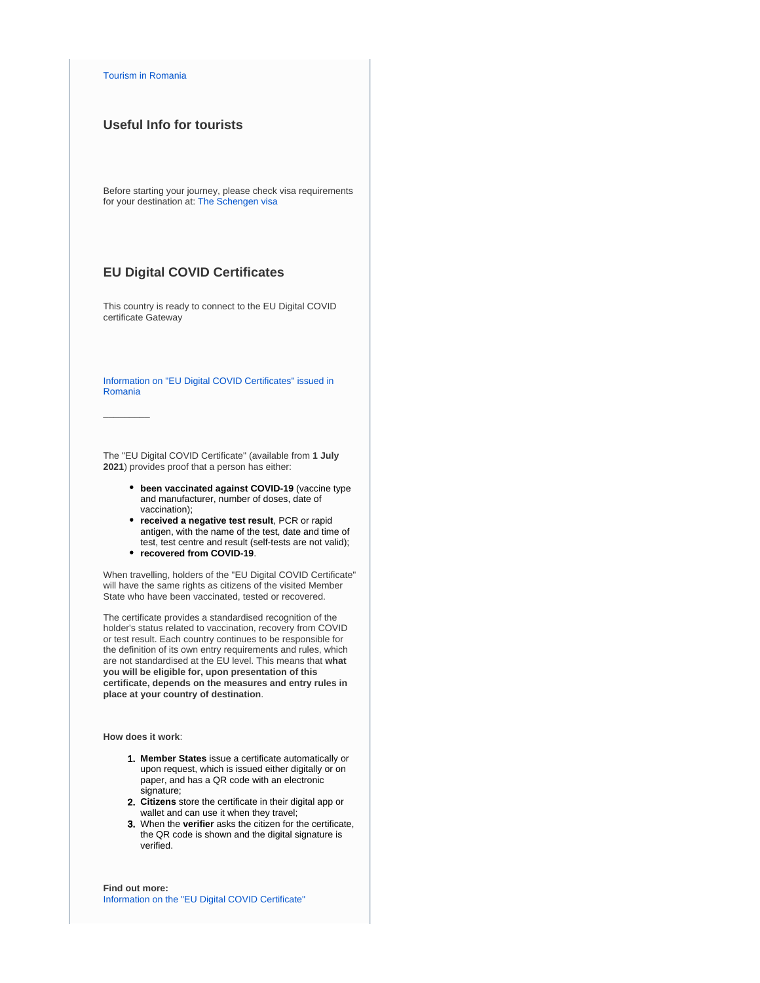#### [Tourism in Romania](http://romaniatourism.com/)

## **Useful Info for tourists**

Before starting your journey, please check visa requirements for your destination at: [The Schengen visa](https://ec.europa.eu/home-affairs/what-we-do/policies/borders-and-visas/visa-policy/schengen_visa_en)

## **EU Digital COVID Certificates**

This country is ready to connect to the EU Digital COVID certificate Gateway

[Information on "EU Digital COVID Certificates" issued in](https://vaccinare-covid.gov.ro/certificat-verde-electronic/)  [Romania](https://vaccinare-covid.gov.ro/certificat-verde-electronic/)

The "EU Digital COVID Certificate" (available from **1 July 2021**) provides proof that a person has either:

- **been vaccinated against COVID-19** (vaccine type and manufacturer, number of doses, date of vaccination);
- **received a negative test result**, PCR or rapid antigen, with the name of the test, date and time of test, test centre and result (self-tests are not valid);
- **recovered from COVID-19**.

When travelling, holders of the "EU Digital COVID Certificate" will have the same rights as citizens of the visited Member State who have been vaccinated, tested or recovered.

The certificate provides a standardised recognition of the holder's status related to vaccination, recovery from COVID or test result. Each country continues to be responsible for the definition of its own entry requirements and rules, which are not standardised at the EU level. This means that **what you will be eligible for, upon presentation of this certificate, depends on the measures and entry rules in place at your country of destination**.

**How does it work**:

 $\overline{\phantom{a}}$ 

- 1. **Member States** issue a certificate automatically or upon request, which is issued either digitally or on paper, and has a QR code with an electronic signature;
- 2. **Citizens** store the certificate in their digital app or wallet and can use it when they travel;
- 3. When the **verifier** asks the citizen for the certificate, the QR code is shown and the digital signature is verified.

**Find out more:** [Information on the "EU Digital COVID Certificate"](https://ec.europa.eu/info/live-work-travel-eu/coronavirus-response/safe-covid-19-vaccines-europeans/eu-digital-covid-certificate_en)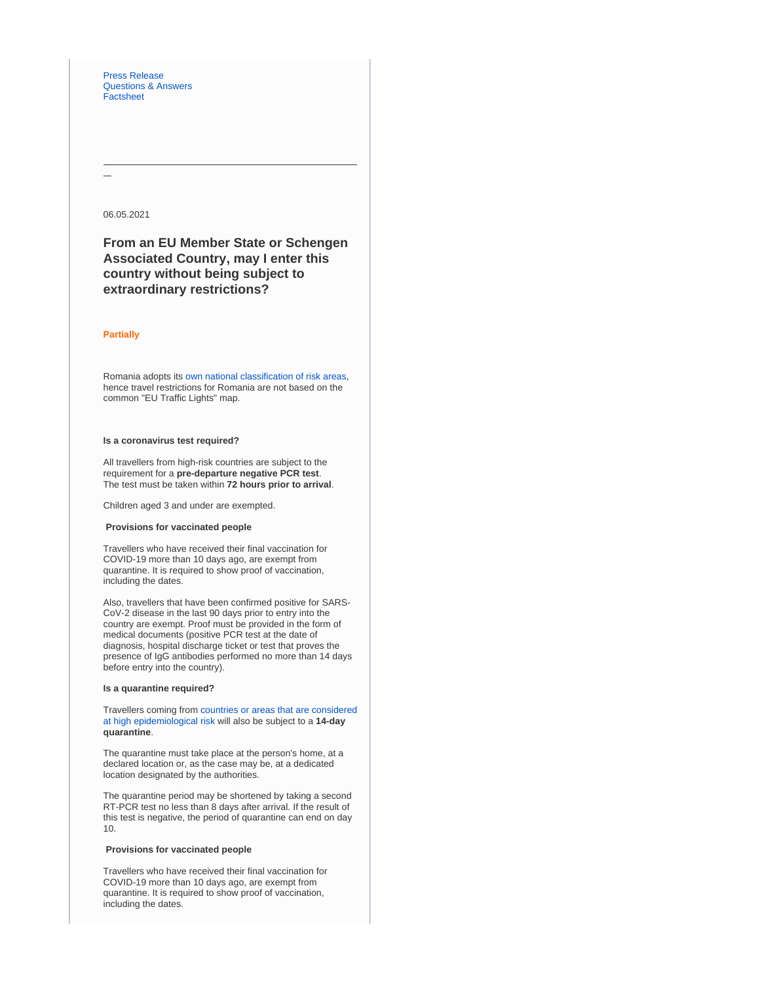[Press Release](https://ec.europa.eu/commission/presscorner/detail/en/IP_21_2721) [Questions & Answers](https://ec.europa.eu/commission/presscorner/detail/en/QANDA_21_2781) **[Factsheet](https://ec.europa.eu/commission/presscorner/detail/en/FS_21_2793)** 

#### 06.05.2021

**From an EU Member State or Schengen Associated Country, may I enter this country without being subject to extraordinary restrictions?**

#### **Partially**

Romania adopts its [own national classification of risk areas](https://www.cnscbt.ro/index.php/liste-zone-afectate-covid-19/), hence travel restrictions for Romania are not based on the common "EU Traffic Lights" map.

## **Is a coronavirus test required?**

All travellers from high-risk countries are subject to the requirement for a **pre-departure negative PCR test**. The test must be taken within **72 hours prior to arrival**.

Children aged 3 and under are exempted.

#### **Provisions for vaccinated people**

Travellers who have received their final vaccination for COVID-19 more than 10 days ago, are exempt from quarantine. It is required to show proof of vaccination, including the dates.

Also, travellers that have been confirmed positive for SARS-CoV-2 disease in the last 90 days prior to entry into the country are exempt. Proof must be provided in the form of medical documents (positive PCR test at the date of diagnosis, hospital discharge ticket or test that proves the presence of IgG antibodies performed no more than 14 days before entry into the country).

#### **Is a quarantine required?**

Travellers coming from [countries or areas that are considered](https://www.cnscbt.ro/index.php/liste-zone-afectate-covid-19/)  [at high epidemiological risk](https://www.cnscbt.ro/index.php/liste-zone-afectate-covid-19/) will also be subject to a **14-day quarantine**.

The quarantine must take place at the person's home, at a declared location or, as the case may be, at a dedicated location designated by the authorities.

The quarantine period may be shortened by taking a second RT-PCR test no less than 8 days after arrival. If the result of this test is negative, the period of quarantine can end on day 10.

#### **Provisions for vaccinated people**

Travellers who have received their final vaccination for COVID-19 more than 10 days ago, are exempt from quarantine. It is required to show proof of vaccination, including the dates.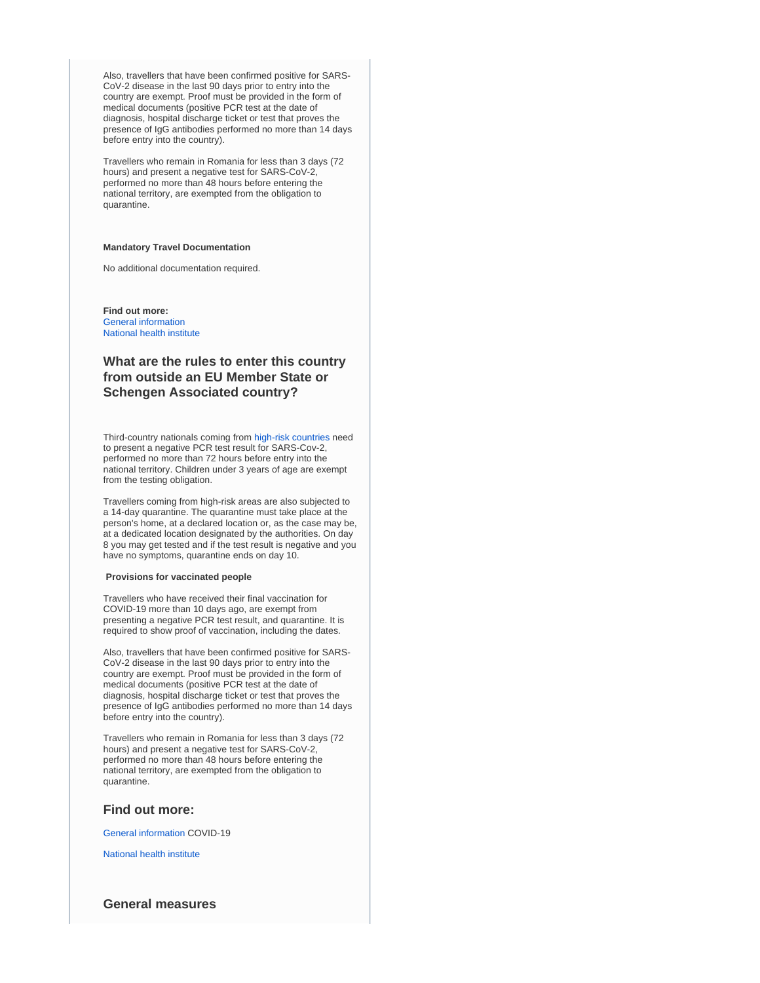Also, travellers that have been confirmed positive for SARS-CoV-2 disease in the last 90 days prior to entry into the country are exempt. Proof must be provided in the form of medical documents (positive PCR test at the date of diagnosis, hospital discharge ticket or test that proves the presence of IgG antibodies performed no more than 14 days before entry into the country).

Travellers who remain in Romania for less than 3 days (72 hours) and present a negative test for SARS-CoV-2, performed no more than 48 hours before entering the national territory, are exempted from the obligation to quarantine.

#### **Mandatory Travel Documentation**

No additional documentation required.

**Find out more:** [General information](https://stirioficiale.ro/informatii) [National health institute](https://www.cnscbt.ro/)

## **What are the rules to enter this country from outside an EU Member State or Schengen Associated country?**

Third-country nationals coming from [high-risk countries](https://www.cnscbt.ro/index.php/liste-zone-afectate-covid-19/) need to present a negative PCR test result for SARS-Cov-2, performed no more than 72 hours before entry into the national territory. Children under 3 years of age are exempt from the testing obligation.

Travellers coming from high-risk areas are also subjected to a 14-day quarantine. The quarantine must take place at the person's home, at a declared location or, as the case may be, at a dedicated location designated by the authorities. On day 8 you may get tested and if the test result is negative and you have no symptoms, quarantine ends on day 10.

#### **Provisions for vaccinated people**

Travellers who have received their final vaccination for COVID-19 more than 10 days ago, are exempt from presenting a negative PCR test result, and quarantine. It is required to show proof of vaccination, including the dates.

Also, travellers that have been confirmed positive for SARS-CoV-2 disease in the last 90 days prior to entry into the country are exempt. Proof must be provided in the form of medical documents (positive PCR test at the date of diagnosis, hospital discharge ticket or test that proves the presence of IgG antibodies performed no more than 14 days before entry into the country).

Travellers who remain in Romania for less than 3 days (72 hours) and present a negative test for SARS-CoV-2, performed no more than 48 hours before entering the national territory, are exempted from the obligation to quarantine.

#### **Find out more:**

[General information](https://stirioficiale.ro/informatii) COVID-19

[National health institute](https://www.cnscbt.ro/)

#### **General measures**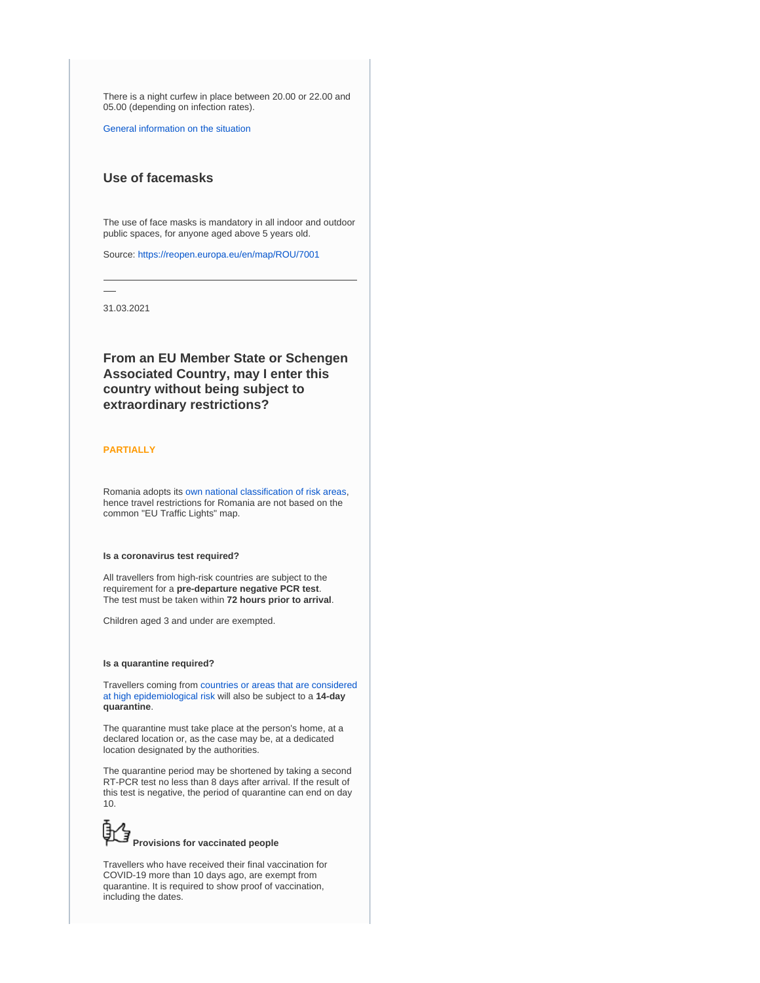There is a night curfew in place between 20.00 or 22.00 and 05.00 (depending on infection rates).

[General information on the situation](https://stirioficiale.ro/informatii)

## **Use of facemasks**

The use of face masks is mandatory in all indoor and outdoor public spaces, for anyone aged above 5 years old.

Source:<https://reopen.europa.eu/en/map/ROU/7001>

31.03.2021

**From an EU Member State or Schengen Associated Country, may I enter this country without being subject to extraordinary restrictions?**

#### **PARTIALLY**

Romania adopts its [own national classification of risk areas](https://www.cnscbt.ro/index.php/liste-zone-afectate-covid-19/), hence travel restrictions for Romania are not based on the common "EU Traffic Lights" map.

#### **Is a coronavirus test required?**

All travellers from high-risk countries are subject to the requirement for a **pre-departure negative PCR test**. The test must be taken within **72 hours prior to arrival**.

Children aged 3 and under are exempted.

#### **Is a quarantine required?**

Travellers coming from [countries or areas that are considered](https://www.cnscbt.ro/index.php/liste-zone-afectate-covid-19/)  [at high epidemiological risk](https://www.cnscbt.ro/index.php/liste-zone-afectate-covid-19/) will also be subject to a **14-day quarantine**.

The quarantine must take place at the person's home, at a declared location or, as the case may be, at a dedicated location designated by the authorities.

The quarantine period may be shortened by taking a second RT-PCR test no less than 8 days after arrival. If the result of this test is negative, the period of quarantine can end on day 10.



Travellers who have received their final vaccination for COVID-19 more than 10 days ago, are exempt from quarantine. It is required to show proof of vaccination, including the dates.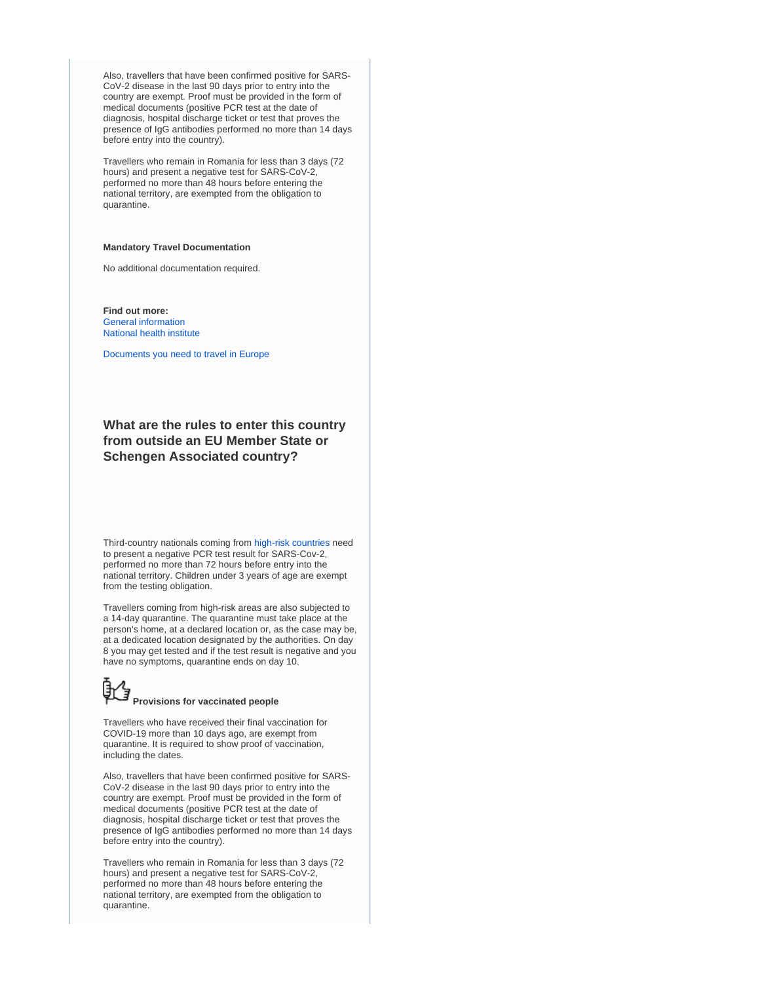Also, travellers that have been confirmed positive for SARS-CoV-2 disease in the last 90 days prior to entry into the country are exempt. Proof must be provided in the form of medical documents (positive PCR test at the date of diagnosis, hospital discharge ticket or test that proves the presence of IgG antibodies performed no more than 14 days before entry into the country).

Travellers who remain in Romania for less than 3 days (72 hours) and present a negative test for SARS-CoV-2, performed no more than 48 hours before entering the national territory, are exempted from the obligation to quarantine.

#### **Mandatory Travel Documentation**

No additional documentation required.

**Find out more:** [General information](https://stirioficiale.ro/informatii) [National health institute](https://www.cnscbt.ro/)

[Documents you need to travel in Europe](https://europa.eu/youreurope/citizens/travel/entry-exit/index_en.htm)

## **What are the rules to enter this country from outside an EU Member State or Schengen Associated country?**

Third-country nationals coming from [high-risk countries](https://www.cnscbt.ro/index.php/liste-zone-afectate-covid-19/) need to present a negative PCR test result for SARS-Cov-2, performed no more than 72 hours before entry into the national territory. Children under 3 years of age are exempt from the testing obligation.

Travellers coming from high-risk areas are also subjected to a 14-day quarantine. The quarantine must take place at the person's home, at a declared location or, as the case may be, at a dedicated location designated by the authorities. On day 8 you may get tested and if the test result is negative and you have no symptoms, quarantine ends on day 10.

# **Provisions for vaccinated people**

Travellers who have received their final vaccination for COVID-19 more than 10 days ago, are exempt from quarantine. It is required to show proof of vaccination, including the dates.

Also, travellers that have been confirmed positive for SARS-CoV-2 disease in the last 90 days prior to entry into the country are exempt. Proof must be provided in the form of medical documents (positive PCR test at the date of diagnosis, hospital discharge ticket or test that proves the presence of IgG antibodies performed no more than 14 days before entry into the country).

Travellers who remain in Romania for less than 3 days (72 hours) and present a negative test for SARS-CoV-2, performed no more than 48 hours before entering the national territory, are exempted from the obligation to quarantine.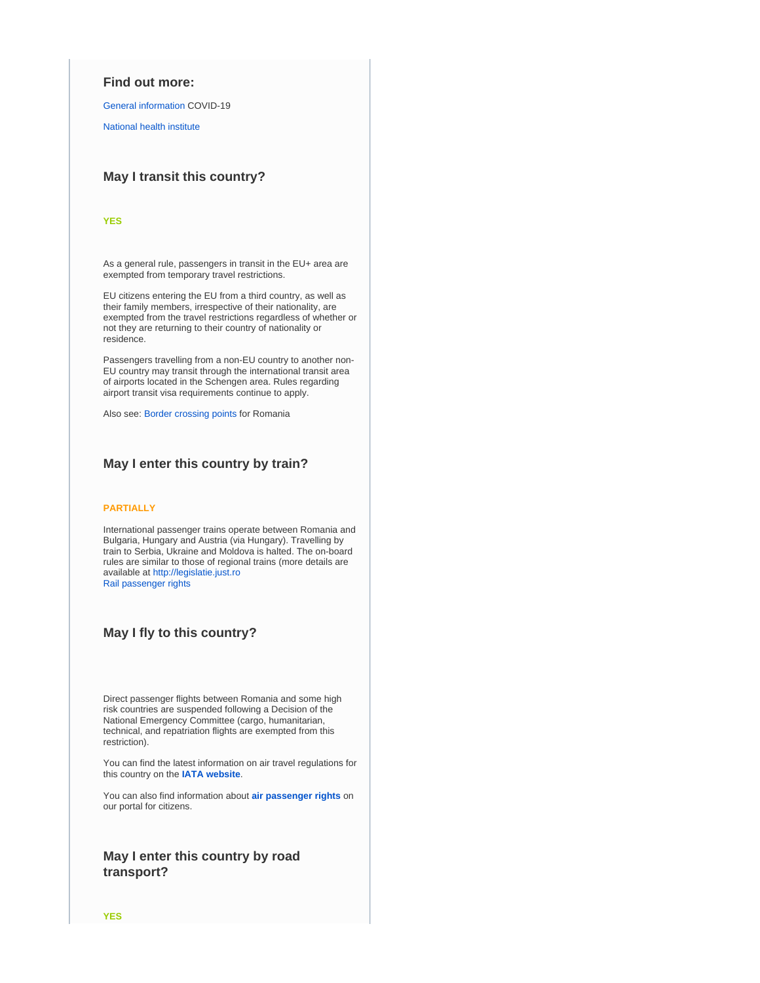## **Find out more:**

[General information](https://stirioficiale.ro/informatii) COVID-19

[National health institute](https://www.cnscbt.ro/)

## **May I transit this country?**

#### **YES**

As a general rule, passengers in transit in the EU+ area are exempted from temporary travel restrictions.

EU citizens entering the EU from a third country, as well as their family members, irrespective of their nationality, are exempted from the travel restrictions regardless of whether or not they are returning to their country of nationality or residence.

Passengers travelling from a non-EU country to another non-EU country may transit through the international transit area of airports located in the Schengen area. Rules regarding airport transit visa requirements continue to apply.

Also see: [Border crossing points](https://www.politiadefrontiera.ro/ro/traficonline/) for Romania

## **May I enter this country by train?**

#### **PARTIALLY**

International passenger trains operate between Romania and Bulgaria, Hungary and Austria (via Hungary). Travelling by train to Serbia, Ukraine and Moldova is halted. The on-board rules are similar to those of regional trains (more details are available at [http://legislatie.just.ro](https://reopen.europa.eu/%E2%80%9Dhttp://legislatie.just.ro/Public/DetaliiDocument/226891%E2%80%9D) [Rail passenger rights](https://europa.eu/youreurope/citizens/travel/passenger-rights/rail/index_en.htm)

## **May I fly to this country?**

Direct passenger flights between Romania and some high risk countries are suspended following a Decision of the National Emergency Committee (cargo, humanitarian, technical, and repatriation flights are exempted from this restriction).

You can find the latest information on air travel regulations for this country on the **[IATA website](https://www.iatatravelcentre.com/international-travel-document-news/1580226297.htm)**.

You can also find information about **[air passenger rights](https://europa.eu/youreurope/citizens/travel/passenger-rights/air/index_en.htm)** on our portal for citizens.

## **May I enter this country by road transport?**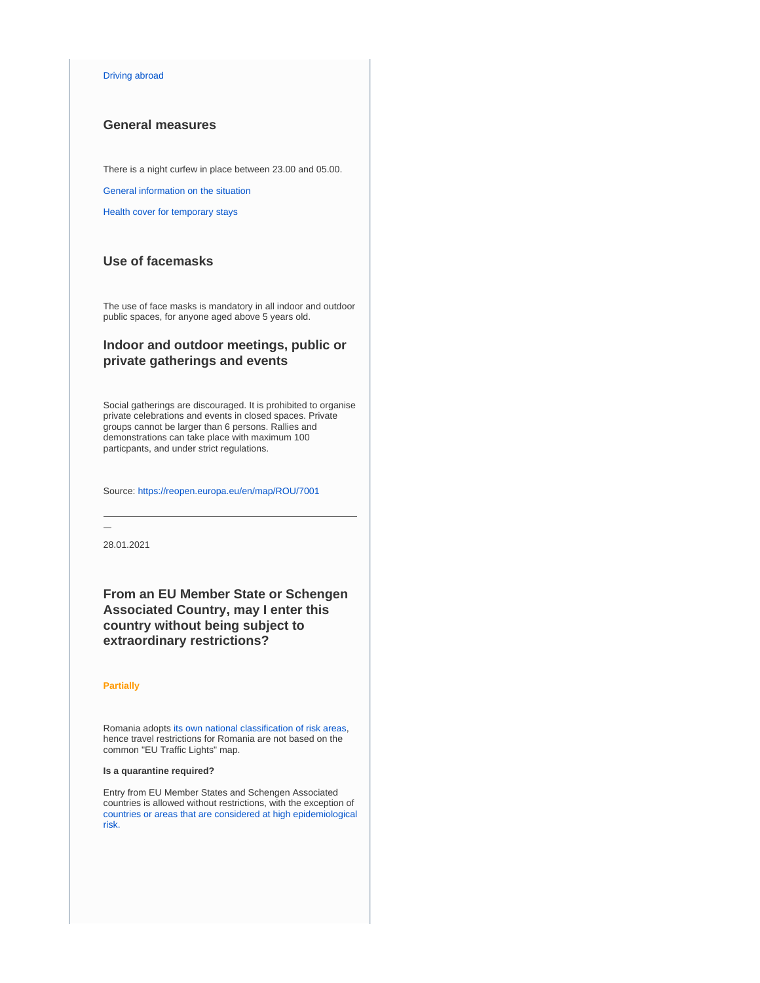#### [Driving abroad](https://europa.eu/youreurope/citizens/travel/driving-abroad/index_en.htm)

## **General measures**

There is a night curfew in place between 23.00 and 05.00.

[General information on the situation](https://stirioficiale.ro/informatii)

[Health cover for temporary stays](https://europa.eu/youreurope/citizens/health/unplanned-healthcare/temporary-stays/index_en.htm)

## **Use of facemasks**

The use of face masks is mandatory in all indoor and outdoor public spaces, for anyone aged above 5 years old.

## **Indoor and outdoor meetings, public or private gatherings and events**

Social gatherings are discouraged. It is prohibited to organise private celebrations and events in closed spaces. Private groups cannot be larger than 6 persons. Rallies and demonstrations can take place with maximum 100 particpants, and under strict regulations.

Source:<https://reopen.europa.eu/en/map/ROU/7001>

28.01.2021

**From an EU Member State or Schengen Associated Country, may I enter this country without being subject to extraordinary restrictions?**

#### **Partially**

Romania adopts [its own national classification of risk areas](https://www.cnscbt.ro/index.php/liste-zone-afectate-covid-19/), hence travel restrictions for Romania are not based on the common "EU Traffic Lights" map.

#### **Is a quarantine required?**

Entry from EU Member States and Schengen Associated countries is allowed without restrictions, with the exception of [countries or areas that are considered at high epidemiological](https://www.cnscbt.ro/index.php/liste-zone-afectate-covid-19/)  [risk.](https://www.cnscbt.ro/index.php/liste-zone-afectate-covid-19/)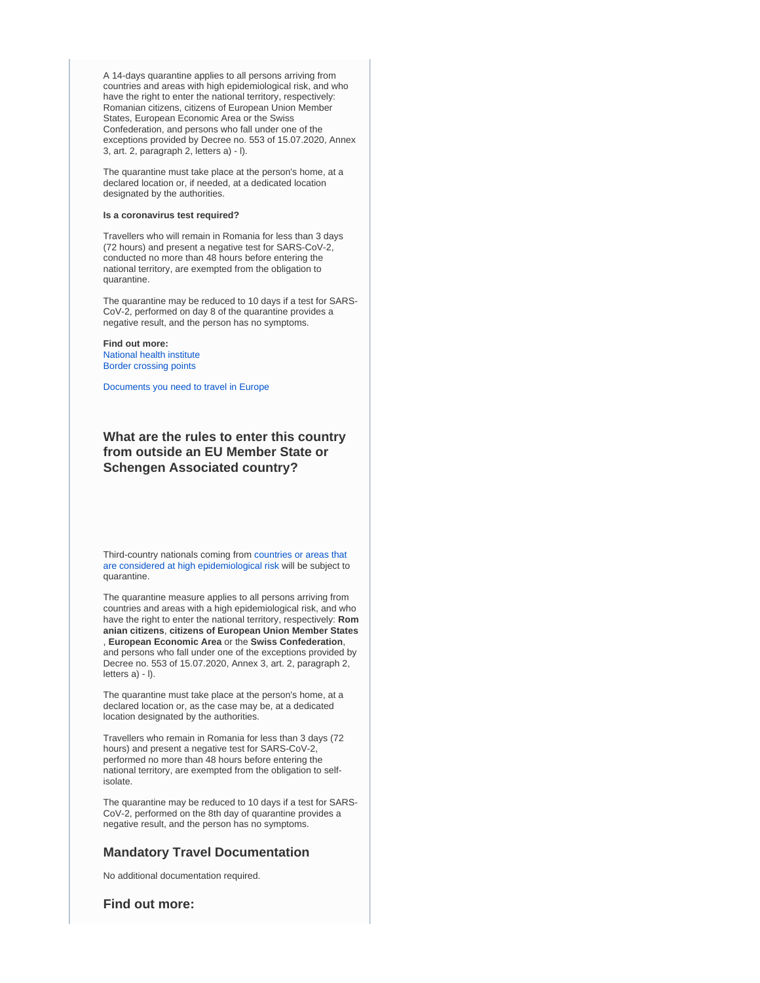A 14-days quarantine applies to all persons arriving from countries and areas with high epidemiological risk, and who have the right to enter the national territory, respectively: Romanian citizens, citizens of European Union Member States, European Economic Area or the Swiss Confederation, and persons who fall under one of the exceptions provided by Decree no. 553 of 15.07.2020, Annex 3, art. 2, paragraph 2, letters a) - l).

The quarantine must take place at the person's home, at a declared location or, if needed, at a dedicated location designated by the authorities.

#### **Is a coronavirus test required?**

Travellers who will remain in Romania for less than 3 days (72 hours) and present a negative test for SARS-CoV-2, conducted no more than 48 hours before entering the national territory, are exempted from the obligation to quarantine.

The quarantine may be reduced to 10 days if a test for SARS-CoV-2, performed on day 8 of the quarantine provides a negative result, and the person has no symptoms.

**Find out more:** [National health institute](https://www.cnscbt.ro/) [Border crossing points](https://www.politiadefrontiera.ro/ro/traficonline/)

[Documents you need to travel in Europe](https://europa.eu/youreurope/citizens/travel/entry-exit/index_en.htm)

## **What are the rules to enter this country from outside an EU Member State or Schengen Associated country?**

Third-country nationals coming from [countries or areas that](https://www.cnscbt.ro/index.php/liste-zone-afectate-covid-19/)  [are considered at high epidemiological risk](https://www.cnscbt.ro/index.php/liste-zone-afectate-covid-19/) will be subject to quarantine.

The quarantine measure applies to all persons arriving from countries and areas with a high epidemiological risk, and who have the right to enter the national territory, respectively: **Rom anian citizens**, **citizens of European Union Member States** , **European Economic Area** or the **Swiss Confederation**, and persons who fall under one of the exceptions provided by Decree no. 553 of 15.07.2020, Annex 3, art. 2, paragraph 2, letters a) - l).

The quarantine must take place at the person's home, at a declared location or, as the case may be, at a dedicated location designated by the authorities.

Travellers who remain in Romania for less than 3 days (72 hours) and present a negative test for SARS-CoV-2, performed no more than 48 hours before entering the national territory, are exempted from the obligation to selfisolate.

The quarantine may be reduced to 10 days if a test for SARS-CoV-2, performed on the 8th day of quarantine provides a negative result, and the person has no symptoms.

## **Mandatory Travel Documentation**

No additional documentation required.

**Find out more:**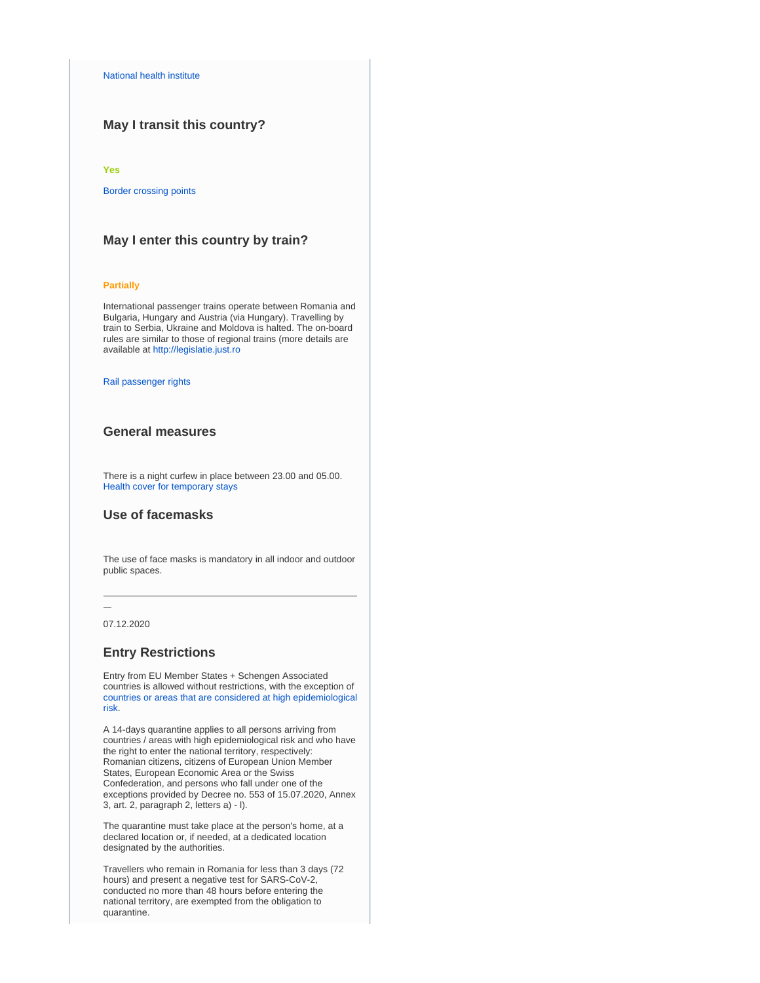## **May I transit this country?**

#### **Yes**

[Border crossing points](https://www.politiadefrontiera.ro/ro/traficonline/)

## **May I enter this country by train?**

#### **Partially**

International passenger trains operate between Romania and Bulgaria, Hungary and Austria (via Hungary). Travelling by train to Serbia, Ukraine and Moldova is halted. The on-board rules are similar to those of regional trains (more details are available at [http://legislatie.just.ro](https://reopen.europa.eu/�http://legislatie.just.ro/Public/DetaliiDocument/226891�)

#### [Rail passenger rights](https://europa.eu/youreurope/citizens/travel/passenger-rights/rail/index_en.htm)

## **General measures**

There is a night curfew in place between 23.00 and 05.00. [Health cover for temporary stays](https://europa.eu/youreurope/citizens/health/unplanned-healthcare/temporary-stays/index_en.htm)

## **Use of facemasks**

The use of face masks is mandatory in all indoor and outdoor public spaces.

07.12.2020

## **Entry Restrictions**

Entry from EU Member States + Schengen Associated countries is allowed without restrictions, with the exception of [countries or areas that are considered at high epidemiological](https://www.cnscbt.ro/index.php/liste-zone-afectate-covid-19)  [risk.](https://www.cnscbt.ro/index.php/liste-zone-afectate-covid-19)

A 14-days quarantine applies to all persons arriving from countries / areas with high epidemiological risk and who have the right to enter the national territory, respectively: Romanian citizens, citizens of European Union Member States, European Economic Area or the Swiss Confederation, and persons who fall under one of the exceptions provided by Decree no. 553 of 15.07.2020, Annex 3, art. 2, paragraph 2, letters a) - l).

The quarantine must take place at the person's home, at a declared location or, if needed, at a dedicated location designated by the authorities.

Travellers who remain in Romania for less than 3 days (72 hours) and present a negative test for SARS-CoV-2, conducted no more than 48 hours before entering the national territory, are exempted from the obligation to quarantine.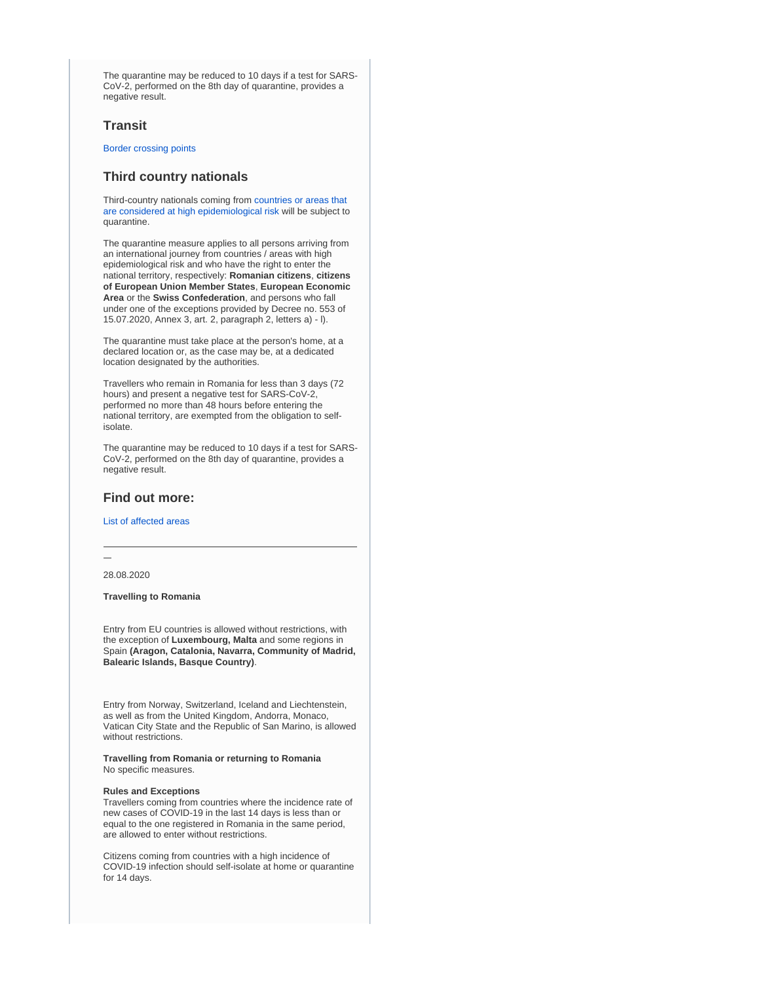The quarantine may be reduced to 10 days if a test for SARS-CoV-2, performed on the 8th day of quarantine, provides a negative result.

## **Transit**

[Border crossing points](https://www.politiadefrontiera.ro/ro/traficonline/)

## **Third country nationals**

Third-country nationals coming from [countries or areas that](https://www.cnscbt.ro/index.php/liste-zone-afectate-covid-19/2067-lista-state-cu-risc-epidemiologic-ridicat-2-11-2020/file)  [are considered at high epidemiological risk](https://www.cnscbt.ro/index.php/liste-zone-afectate-covid-19/2067-lista-state-cu-risc-epidemiologic-ridicat-2-11-2020/file) will be subject to quarantine.

The quarantine measure applies to all persons arriving from an international journey from countries / areas with high epidemiological risk and who have the right to enter the national territory, respectively: **Romanian citizens**, **citizens of European Union Member States**, **European Economic Area** or the **Swiss Confederation**, and persons who fall under one of the exceptions provided by Decree no. 553 of 15.07.2020, Annex 3, art. 2, paragraph 2, letters a) - l).

The quarantine must take place at the person's home, at a declared location or, as the case may be, at a dedicated location designated by the authorities.

Travellers who remain in Romania for less than 3 days (72 hours) and present a negative test for SARS-CoV-2, performed no more than 48 hours before entering the national territory, are exempted from the obligation to selfisolate.

The quarantine may be reduced to 10 days if a test for SARS-CoV-2, performed on the 8th day of quarantine, provides a negative result.

## **Find out more:**

#### [List of affected areas](https://www.cnscbt.ro/index.php/liste-zone-afectate-covid-19)

28.08.2020

**Travelling to Romania**

Entry from EU countries is allowed without restrictions, with the exception of **Luxembourg, Malta** and some regions in Spain **(Aragon, Catalonia, Navarra, Community of Madrid, Balearic Islands, Basque Country)**.

Entry from Norway, Switzerland, Iceland and Liechtenstein, as well as from the United Kingdom, Andorra, Monaco, Vatican City State and the Republic of San Marino, is allowed without restrictions.

**Travelling from Romania or returning to Romania** No specific measures.

#### **Rules and Exceptions**

Travellers coming from countries where the incidence rate of new cases of COVID-19 in the last 14 days is less than or equal to the one registered in Romania in the same period, are allowed to enter without restrictions.

Citizens coming from countries with a high incidence of COVID-19 infection should self-isolate at home or quarantine for 14 days.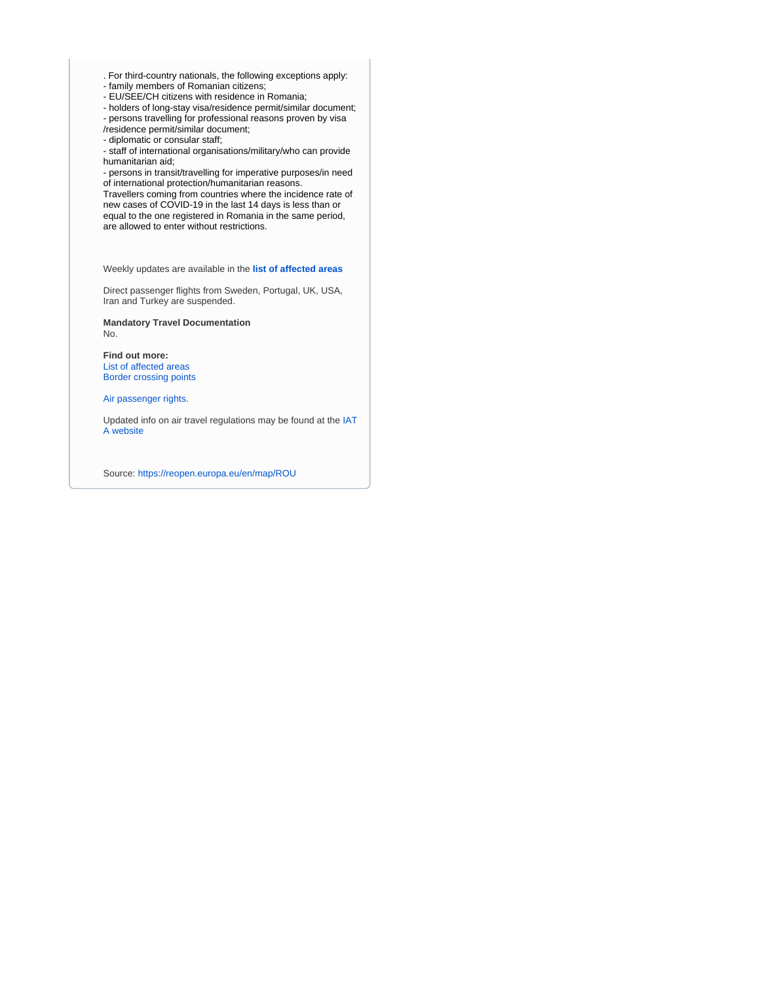- . For third-country nationals, the following exceptions apply:
- family members of Romanian citizens;
- EU/SEE/CH citizens with residence in Romania;
- holders of long-stay visa/residence permit/similar document;
- persons travelling for professional reasons proven by visa
- /residence permit/similar document;
- diplomatic or consular staff;

- staff of international organisations/military/who can provide humanitarian aid;

- persons in transit/travelling for imperative purposes/in need of international protection/humanitarian reasons.

Travellers coming from countries where the incidence rate of new cases of COVID-19 in the last 14 days is less than or equal to the one registered in Romania in the same period, are allowed to enter without restrictions.

Weekly updates are available in the **[list of affected areas](http://www.cnscbt.ro/index.php/liste-zone-afectate-covid-19)**

Direct passenger flights from Sweden, Portugal, UK, USA, Iran and Turkey are suspended.

**Mandatory Travel Documentation** No.

**Find out more:** [List of affected areas](http://www.cnscbt.ro/index.php/liste-zone-afectate-covid-19) [Border crossing points](https://www.politiadefrontiera.ro/ro/traficonline/)

[Air passenger rights.](https://europa.eu/youreurope/citizens/travel/passenger-rights/air/index_en.htm)

Updated info on air travel regulations may be found at the [IAT](https://www.iatatravelcentre.com/international-travel-document-news/1580226297.htm) [A website](https://www.iatatravelcentre.com/international-travel-document-news/1580226297.htm)

Source:<https://reopen.europa.eu/en/map/ROU>